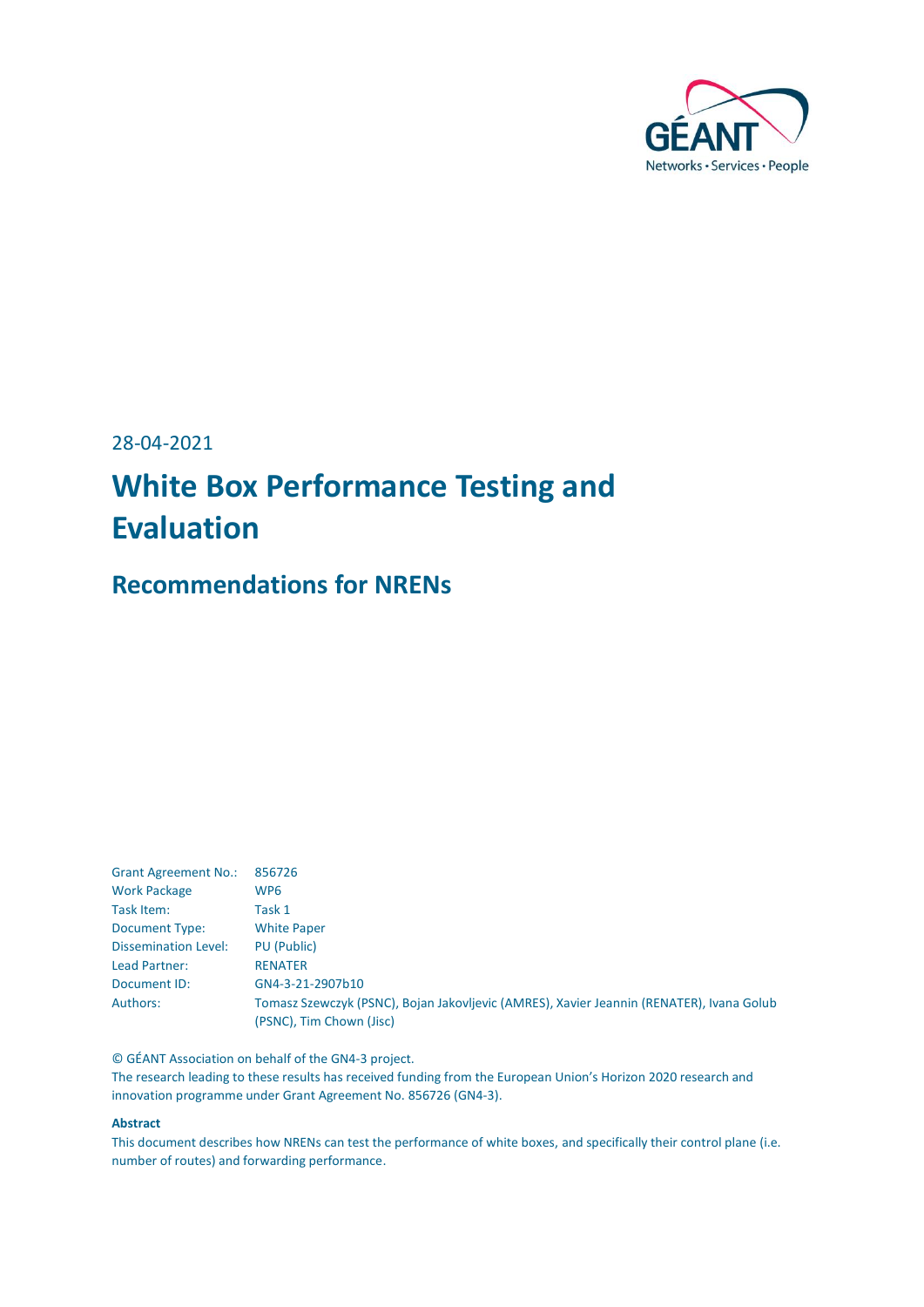

28-04-2021

# **White Box Performance Testing and Evaluation**

## **Recommendations for NRENs**

| <b>Grant Agreement No.:</b> | 856726                                                                                   |
|-----------------------------|------------------------------------------------------------------------------------------|
| <b>Work Package</b>         | WP6                                                                                      |
| Task Item:                  | Task 1                                                                                   |
| Document Type:              | <b>White Paper</b>                                                                       |
| <b>Dissemination Level:</b> | PU (Public)                                                                              |
| Lead Partner:               | <b>RENATER</b>                                                                           |
| Document ID:                | GN4-3-21-2907b10                                                                         |
| Authors:                    | Tomasz Szewczyk (PSNC), Bojan Jakovljevic (AMRES), Xavier Jeannin (RENATER), Ivana Golub |
|                             | (PSNC), Tim Chown (Jisc)                                                                 |

© GÉANT Association on behalf of the GN4-3 project.

The research leading to these results has received funding from the European Union's Horizon 2020 research and innovation programme under Grant Agreement No. 856726 (GN4-3).

### **Abstract**

This document describes how NRENs can test the performance of white boxes, and specifically their control plane (i.e. number of routes) and forwarding performance.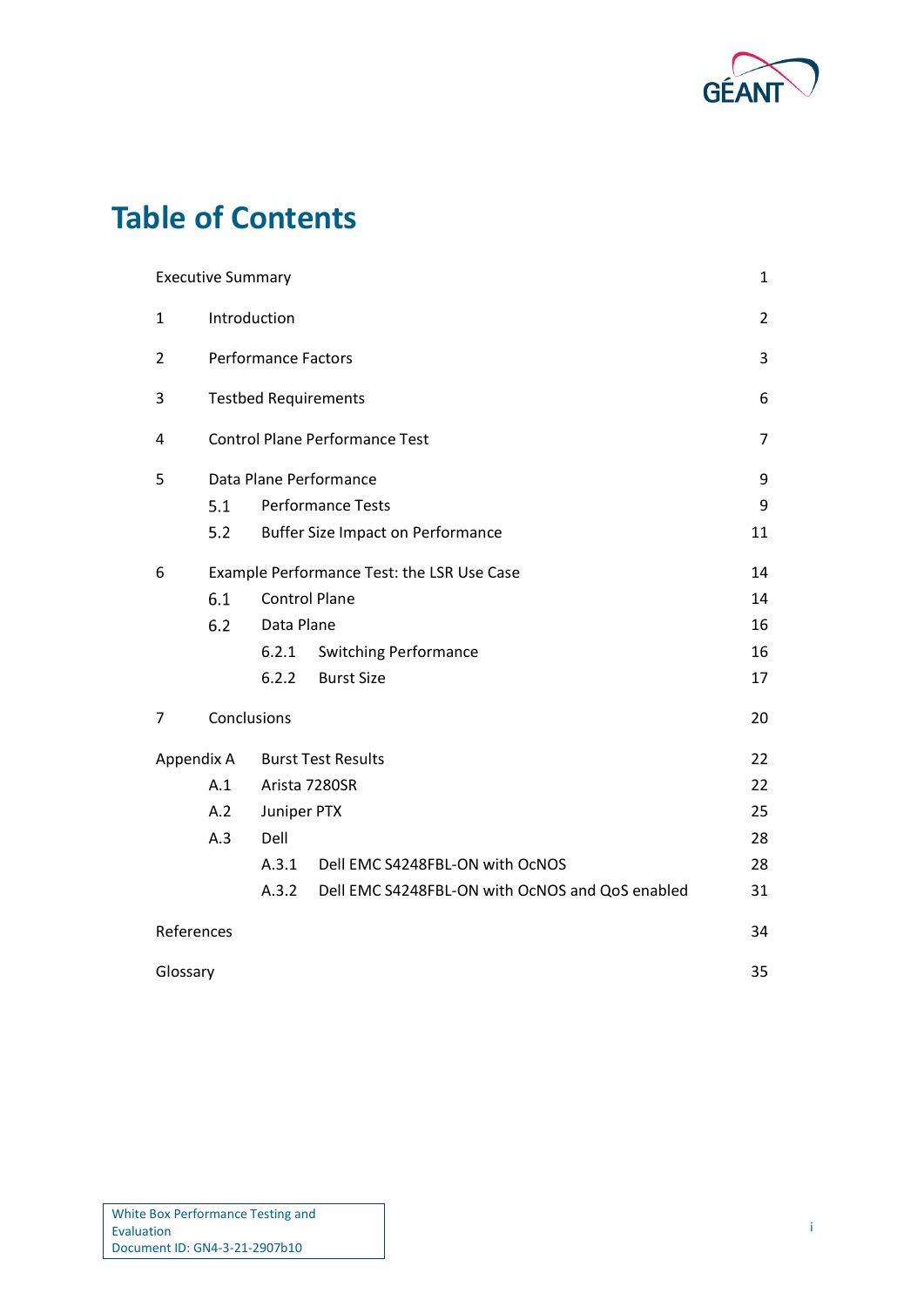

# **Table of Contents**

|                | <b>Executive Summary</b> |                                            |                                                 | 1  |  |  |  |  |  |  |
|----------------|--------------------------|--------------------------------------------|-------------------------------------------------|----|--|--|--|--|--|--|
| 1              |                          | Introduction                               |                                                 | 2  |  |  |  |  |  |  |
| $\overline{2}$ |                          | <b>Performance Factors</b>                 |                                                 | 3  |  |  |  |  |  |  |
| 3              |                          | <b>Testbed Requirements</b>                |                                                 | 6  |  |  |  |  |  |  |
| 4              |                          |                                            | <b>Control Plane Performance Test</b>           | 7  |  |  |  |  |  |  |
| 5              |                          | Data Plane Performance                     |                                                 |    |  |  |  |  |  |  |
|                | 5.1                      |                                            | <b>Performance Tests</b>                        | 9  |  |  |  |  |  |  |
|                | 5.2                      | <b>Buffer Size Impact on Performance</b>   |                                                 |    |  |  |  |  |  |  |
| 6              |                          | Example Performance Test: the LSR Use Case |                                                 |    |  |  |  |  |  |  |
|                | 6.1                      | <b>Control Plane</b>                       |                                                 | 14 |  |  |  |  |  |  |
|                | 6.2                      | Data Plane                                 |                                                 | 16 |  |  |  |  |  |  |
|                |                          | 6.2.1                                      | <b>Switching Performance</b>                    | 16 |  |  |  |  |  |  |
|                |                          | 6.2.2                                      | <b>Burst Size</b>                               | 17 |  |  |  |  |  |  |
| 7              |                          | Conclusions                                |                                                 | 20 |  |  |  |  |  |  |
|                | Appendix A               |                                            | <b>Burst Test Results</b>                       | 22 |  |  |  |  |  |  |
|                | A.1                      |                                            | Arista 7280SR                                   | 22 |  |  |  |  |  |  |
|                | A.2                      | Juniper PTX                                |                                                 | 25 |  |  |  |  |  |  |
|                | A.3                      | Dell                                       |                                                 | 28 |  |  |  |  |  |  |
|                |                          | A.3.1                                      | Dell EMC S4248FBL-ON with OcNOS                 | 28 |  |  |  |  |  |  |
|                |                          | A.3.2                                      | Dell EMC S4248FBL-ON with OcNOS and QoS enabled | 31 |  |  |  |  |  |  |
| References     |                          |                                            |                                                 | 34 |  |  |  |  |  |  |
| Glossary       |                          |                                            |                                                 | 35 |  |  |  |  |  |  |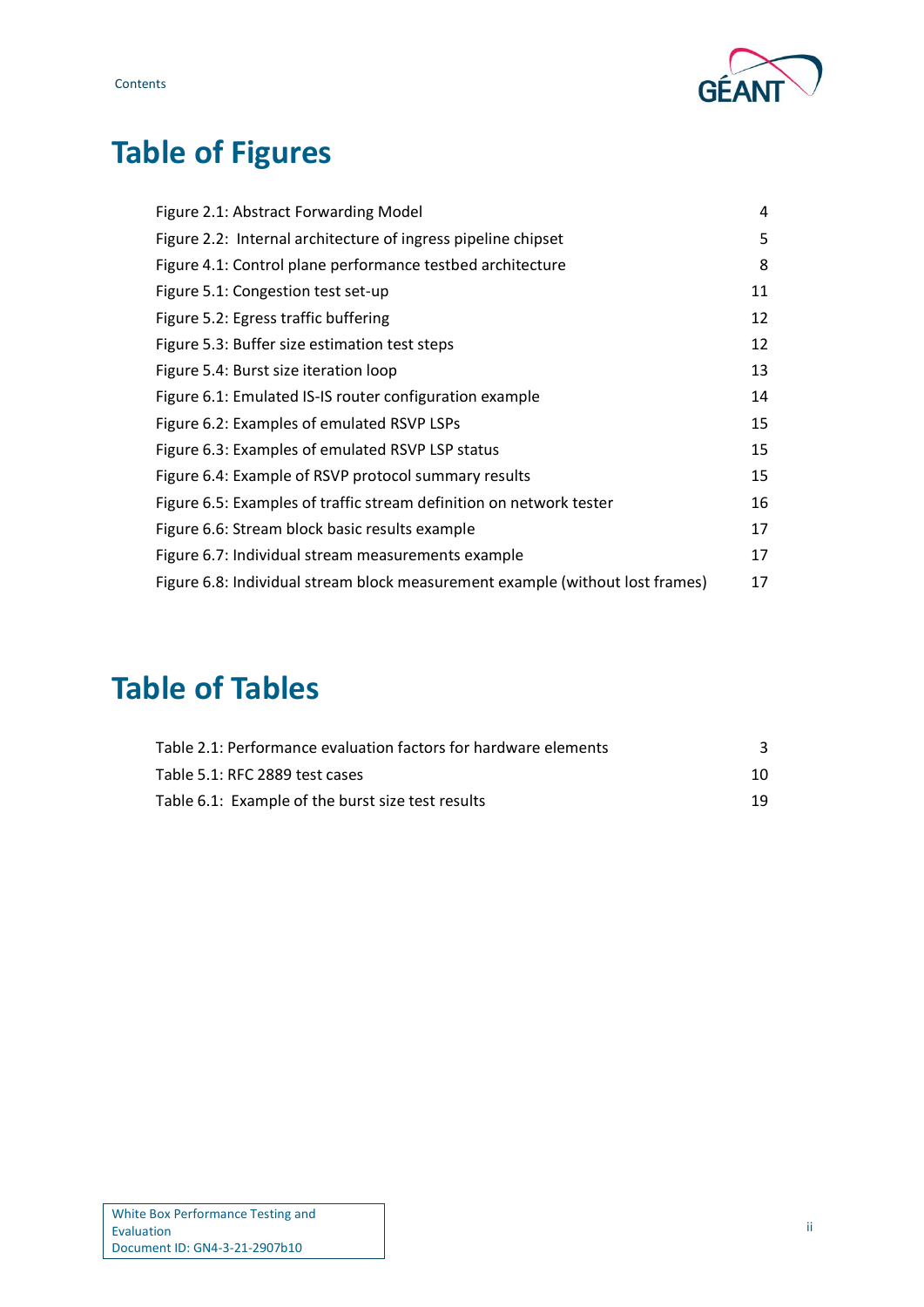



# **Table of Figures**

| Figure 2.1: Abstract Forwarding Model                                         | 4  |
|-------------------------------------------------------------------------------|----|
| Figure 2.2: Internal architecture of ingress pipeline chipset                 | 5  |
| Figure 4.1: Control plane performance testbed architecture                    | 8  |
| Figure 5.1: Congestion test set-up                                            | 11 |
| Figure 5.2: Egress traffic buffering                                          | 12 |
| Figure 5.3: Buffer size estimation test steps                                 | 12 |
| Figure 5.4: Burst size iteration loop                                         | 13 |
| Figure 6.1: Emulated IS-IS router configuration example                       | 14 |
| Figure 6.2: Examples of emulated RSVP LSPs                                    | 15 |
| Figure 6.3: Examples of emulated RSVP LSP status                              | 15 |
| Figure 6.4: Example of RSVP protocol summary results                          | 15 |
| Figure 6.5: Examples of traffic stream definition on network tester           | 16 |
| Figure 6.6: Stream block basic results example                                | 17 |
| Figure 6.7: Individual stream measurements example                            | 17 |
| Figure 6.8: Individual stream block measurement example (without lost frames) | 17 |

# **Table of Tables**

| Table 2.1: Performance evaluation factors for hardware elements |    |
|-----------------------------------------------------------------|----|
| Table 5.1: RFC 2889 test cases                                  | 10 |
| Table 6.1: Example of the burst size test results               | 19 |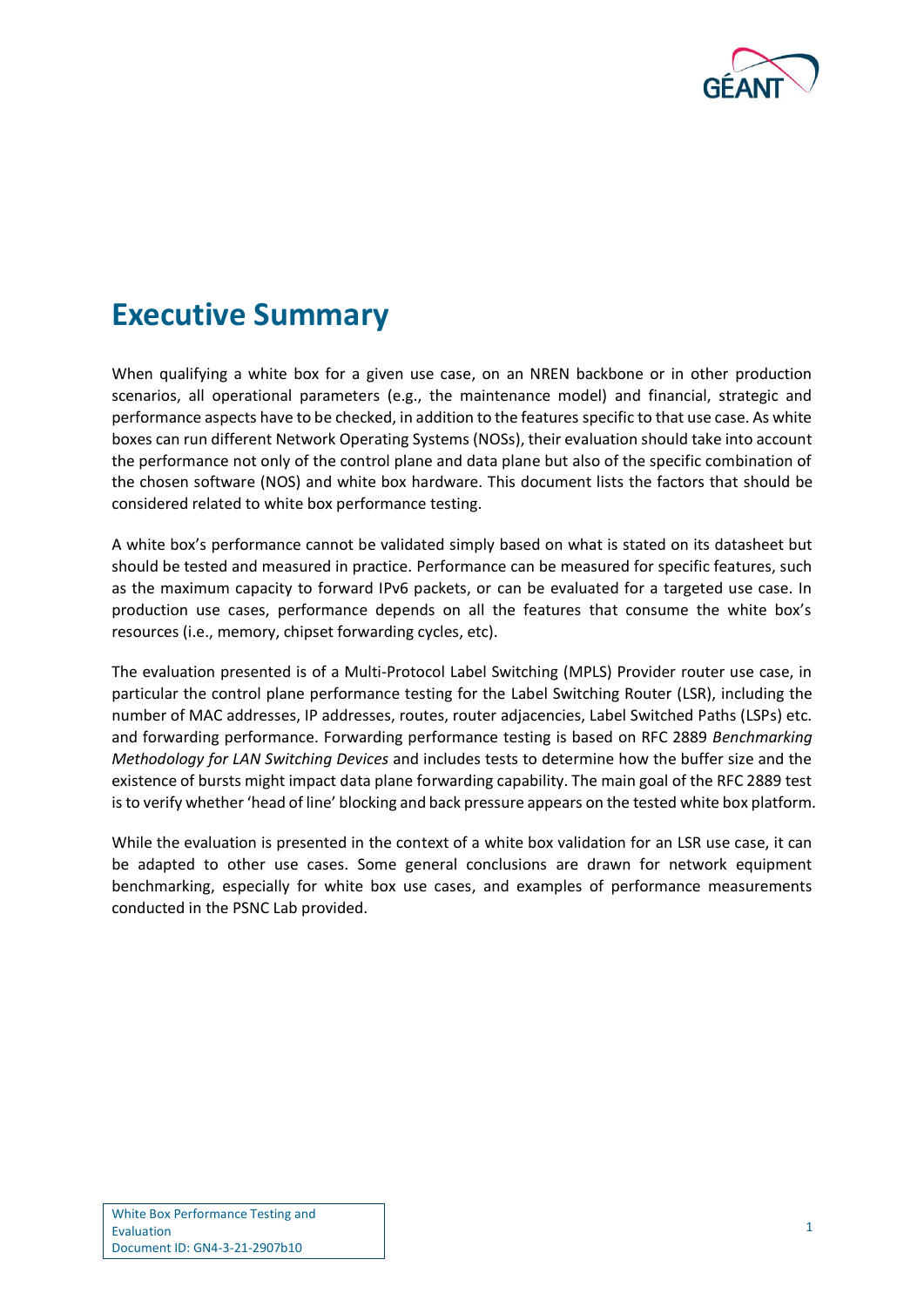

# <span id="page-3-0"></span>**Executive Summary**

When qualifying a white box for a given use case, on an NREN backbone or in other production scenarios, all operational parameters (e.g., the maintenance model) and financial, strategic and performance aspects have to be checked, in addition to the features specific to that use case. As white boxes can run different Network Operating Systems (NOSs), their evaluation should take into account the performance not only of the control plane and data plane but also of the specific combination of the chosen software (NOS) and white box hardware. This document lists the factors that should be considered related to white box performance testing.

A white box's performance cannot be validated simply based on what is stated on its datasheet but should be tested and measured in practice. Performance can be measured for specific features, such as the maximum capacity to forward IPv6 packets, or can be evaluated for a targeted use case. In production use cases, performance depends on all the features that consume the white box's resources (i.e., memory, chipset forwarding cycles, etc).

The evaluation presented is of a Multi-Protocol Label Switching (MPLS) Provider router use case, in particular the control plane performance testing for the Label Switching Router (LSR), including the number of MAC addresses, IP addresses, routes, router adjacencies, Label Switched Paths (LSPs) etc. and forwarding performance. Forwarding performance testing is based on RFC 2889 *Benchmarking Methodology for LAN Switching Devices* and includes tests to determine how the buffer size and the existence of bursts might impact data plane forwarding capability. The main goal of the RFC 2889 test is to verify whether 'head of line' blocking and back pressure appears on the tested white box platform.

While the evaluation is presented in the context of a white box validation for an LSR use case, it can be adapted to other use cases. Some general conclusions are drawn for network equipment benchmarking, especially for white box use cases, and examples of performance measurements conducted in the PSNC Lab provided.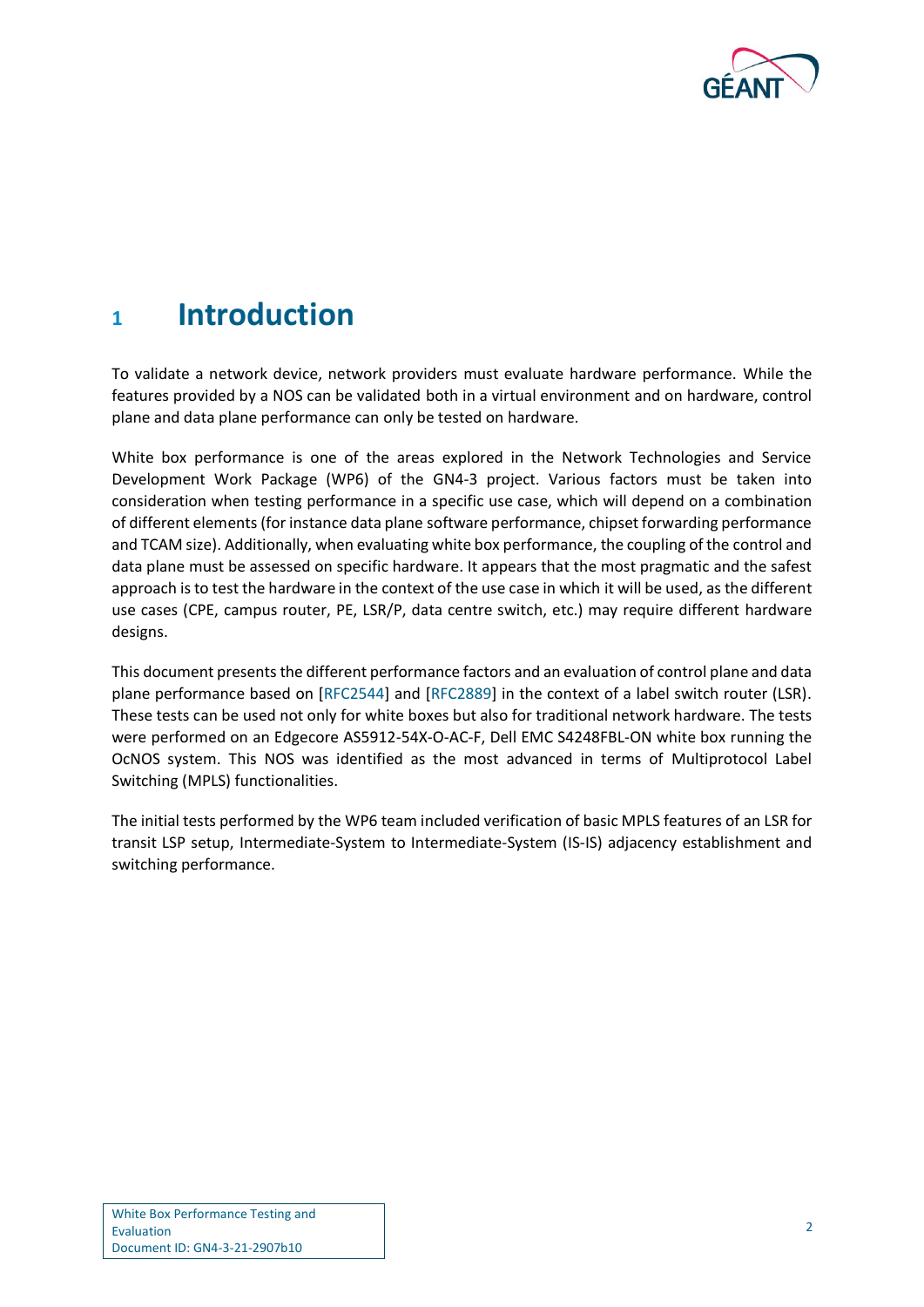

# <span id="page-4-0"></span>**<sup>1</sup> Introduction**

To validate a network device, network providers must evaluate hardware performance. While the features provided by a NOS can be validated both in a virtual environment and on hardware, control plane and data plane performance can only be tested on hardware.

White box performance is one of the areas explored in the Network Technologies and Service Development Work Package (WP6) of the GN4-3 project. Various factors must be taken into consideration when testing performance in a specific use case, which will depend on a combination of different elements (for instance data plane software performance, chipset forwarding performance and TCAM size). Additionally, when evaluating white box performance, the coupling of the control and data plane must be assessed on specific hardware. It appears that the most pragmatic and the safest approach is to test the hardware in the context of the use case in which it will be used, as the different use cases (CPE, campus router, PE, LSR/P, data centre switch, etc.) may require different hardware designs.

This document presents the different performance factors and an evaluation of control plane and data plane performance based on [\[RFC2544\]](#page-36-1) and [\[RFC2889\]](#page-36-2) in the context of a label switch router (LSR). These tests can be used not only for white boxes but also for traditional network hardware. The tests were performed on an Edgecore AS5912-54X-O-AC-F, Dell EMC S4248FBL-ON white box running the OcNOS system. This NOS was identified as the most advanced in terms of Multiprotocol Label Switching (MPLS) functionalities.

The initial tests performed by the WP6 team included verification of basic MPLS features of an LSR for transit LSP setup, Intermediate-System to Intermediate-System (IS-IS) adjacency establishment and switching performance.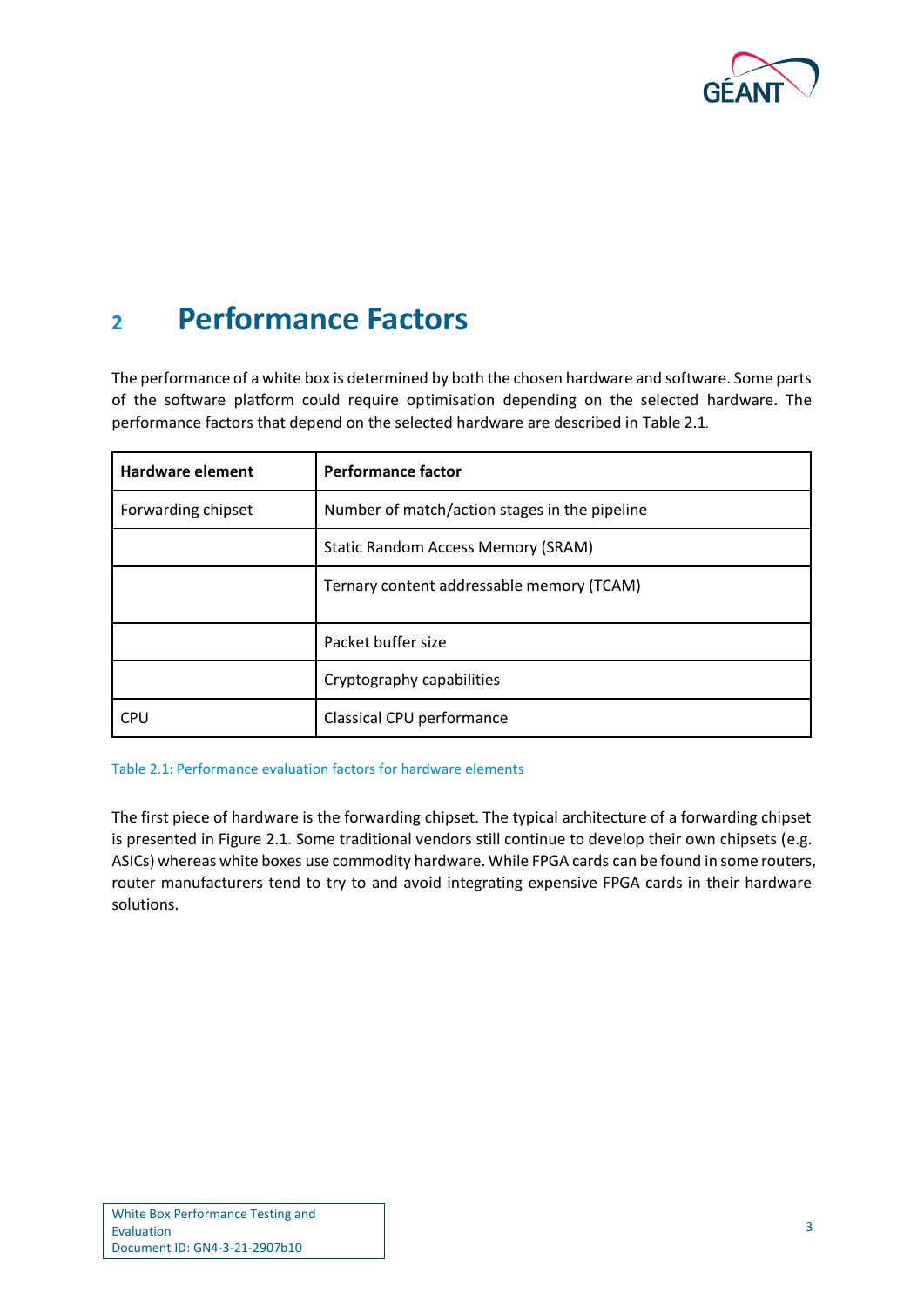

# <span id="page-5-0"></span>**<sup>2</sup> Performance Factors**

The performance of a white box is determined by both the chosen hardware and software. Some parts of the software platform could require optimisation depending on the selected hardware. The performance factors that depend on the selected hardware are described in [Table 2.1](#page-5-1)*.*

| <b>Hardware element</b> | <b>Performance factor</b>                     |
|-------------------------|-----------------------------------------------|
| Forwarding chipset      | Number of match/action stages in the pipeline |
|                         | Static Random Access Memory (SRAM)            |
|                         | Ternary content addressable memory (TCAM)     |
|                         | Packet buffer size                            |
|                         | Cryptography capabilities                     |
| CPU                     | Classical CPU performance                     |

<span id="page-5-1"></span>Table 2.1: Performance evaluation factors for hardware elements

The first piece of hardware is the forwarding chipset. The typical architecture of a forwarding chipset is presented in [Figure 2.1.](#page-6-0) Some traditional vendors still continue to develop their own chipsets (e.g. ASICs) whereas white boxes use commodity hardware. While FPGA cards can be found in some routers, router manufacturers tend to try to and avoid integrating expensive FPGA cards in their hardware solutions.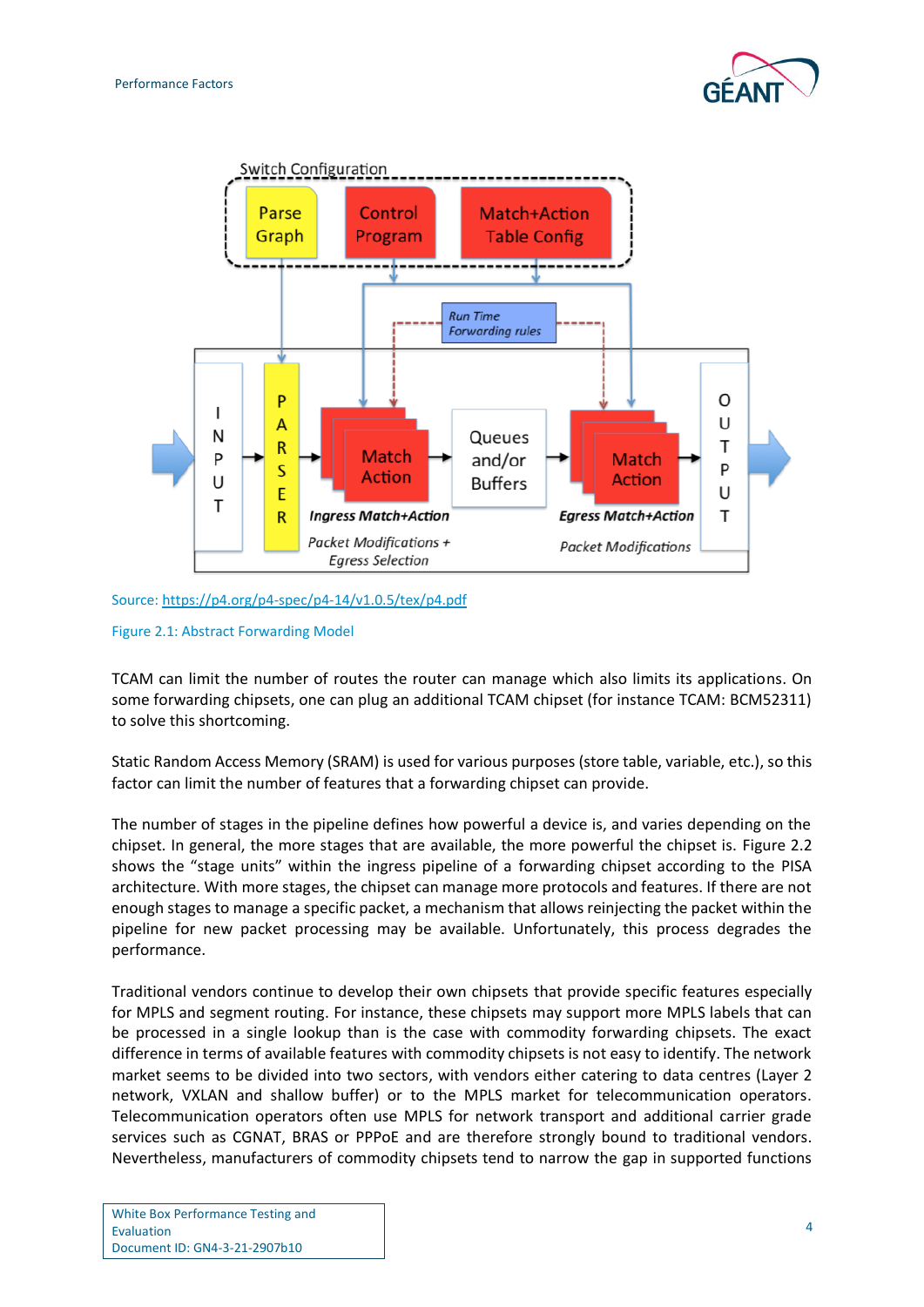



Source[: https://p4.org/p4-spec/p4-14/v1.0.5/tex/p4.pdf](https://p4.org/p4-spec/p4-14/v1.0.5/tex/p4.pdf)

### <span id="page-6-0"></span>Figure 2.1: Abstract Forwarding Model

TCAM can limit the number of routes the router can manage which also limits its applications. On some forwarding chipsets, one can plug an additional TCAM chipset (for instance TCAM: BCM52311) to solve this shortcoming.

Static Random Access Memory (SRAM) is used for various purposes (store table, variable, etc.), so this factor can limit the number of features that a forwarding chipset can provide.

The number of stages in the pipeline defines how powerful a device is, and varies depending on the chipset. In general, the more stages that are available, the more powerful the chipset is. [Figure 2.2](#page-7-0) shows the "stage units" within the ingress pipeline of a forwarding chipset according to the PISA architecture. With more stages, the chipset can manage more protocols and features. If there are not enough stages to manage a specific packet, a mechanism that allows reinjecting the packet within the pipeline for new packet processing may be available. Unfortunately, this process degrades the performance.

Traditional vendors continue to develop their own chipsets that provide specific features especially for MPLS and segment routing. For instance, these chipsets may support more MPLS labels that can be processed in a single lookup than is the case with commodity forwarding chipsets. The exact difference in terms of available features with commodity chipsets is not easy to identify. The network market seems to be divided into two sectors, with vendors either catering to data centres (Layer 2 network, VXLAN and shallow buffer) or to the MPLS market for telecommunication operators. Telecommunication operators often use MPLS for network transport and additional carrier grade services such as CGNAT, BRAS or PPPoE and are therefore strongly bound to traditional vendors. Nevertheless, manufacturers of commodity chipsets tend to narrow the gap in supported functions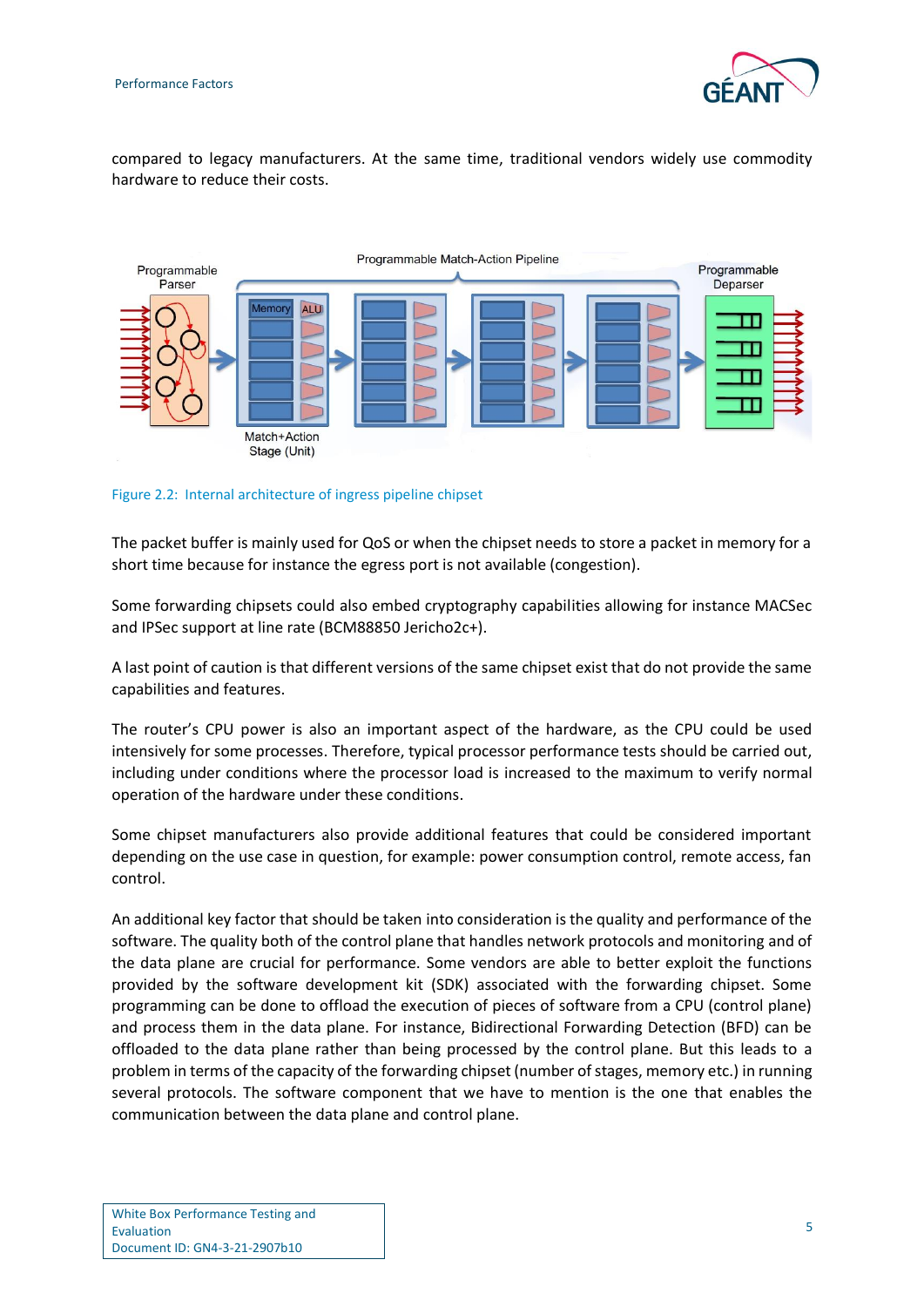

compared to legacy manufacturers. At the same time, traditional vendors widely use commodity hardware to reduce their costs.



<span id="page-7-0"></span>Figure 2.2: Internal architecture of ingress pipeline chipset

The packet buffer is mainly used for QoS or when the chipset needs to store a packet in memory for a short time because for instance the egress port is not available (congestion).

Some forwarding chipsets could also embed cryptography capabilities allowing for instance MACSec and IPSec support at line rate (BCM88850 Jericho2c+).

A last point of caution is that different versions of the same chipset exist that do not provide the same capabilities and features.

The router's CPU power is also an important aspect of the hardware, as the CPU could be used intensively for some processes. Therefore, typical processor performance tests should be carried out, including under conditions where the processor load is increased to the maximum to verify normal operation of the hardware under these conditions.

Some chipset manufacturers also provide additional features that could be considered important depending on the use case in question, for example: power consumption control, remote access, fan control.

An additional key factor that should be taken into consideration is the quality and performance of the software. The quality both of the control plane that handles network protocols and monitoring and of the data plane are crucial for performance. Some vendors are able to better exploit the functions provided by the software development kit (SDK) associated with the forwarding chipset. Some programming can be done to offload the execution of pieces of software from a CPU (control plane) and process them in the data plane. For instance, Bidirectional Forwarding Detection (BFD) can be offloaded to the data plane rather than being processed by the control plane. But this leads to a problem in terms of the capacity of the forwarding chipset (number of stages, memory etc.) in running several protocols. The software component that we have to mention is the one that enables the communication between the data plane and control plane.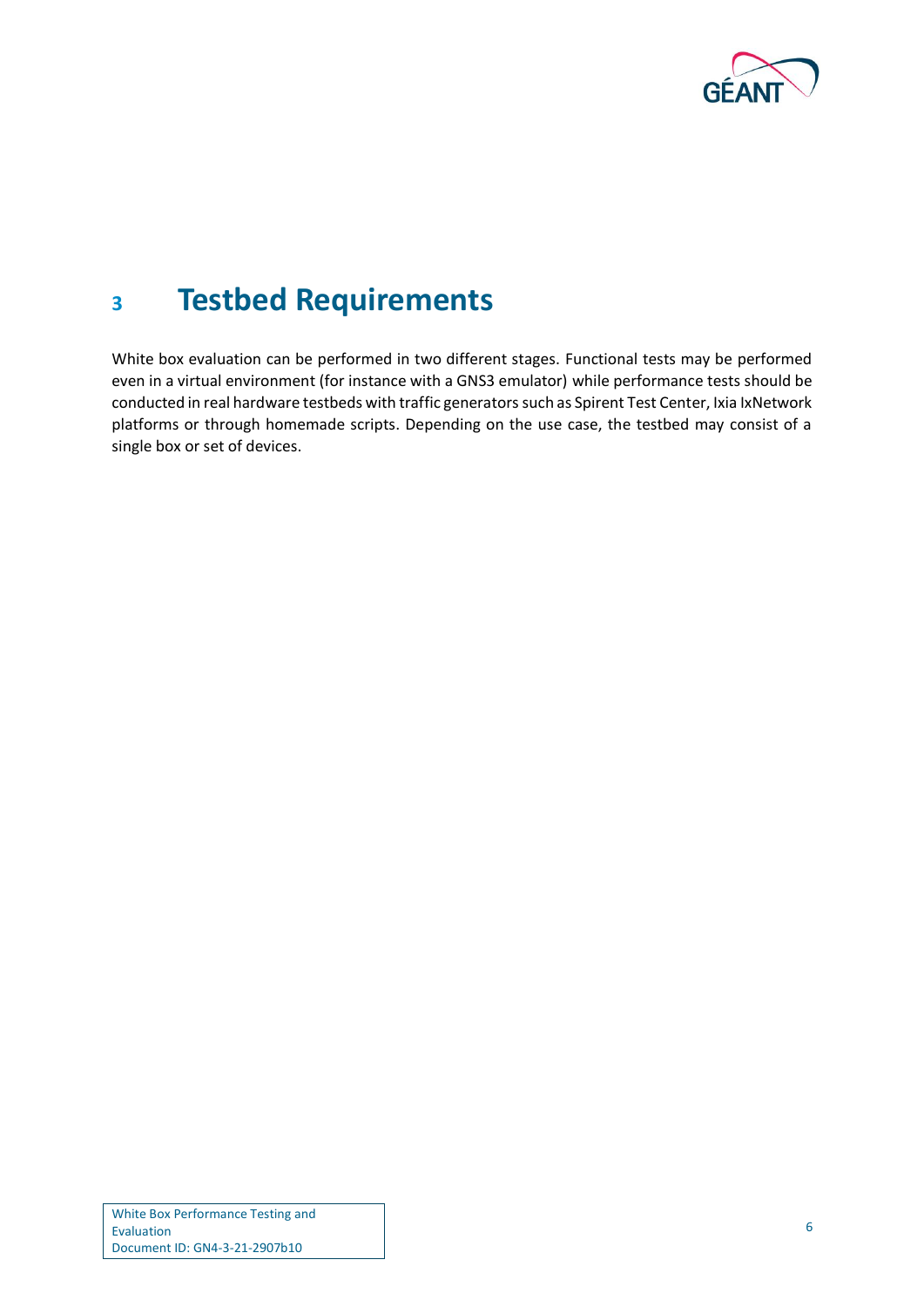

# <span id="page-8-0"></span>**<sup>3</sup> Testbed Requirements**

White box evaluation can be performed in two different stages. Functional tests may be performed even in a virtual environment (for instance with a GNS3 emulator) while performance tests should be conducted in real hardware testbeds with traffic generatorssuch as Spirent Test Center, Ixia IxNetwork platforms or through homemade scripts. Depending on the use case, the testbed may consist of a single box or set of devices.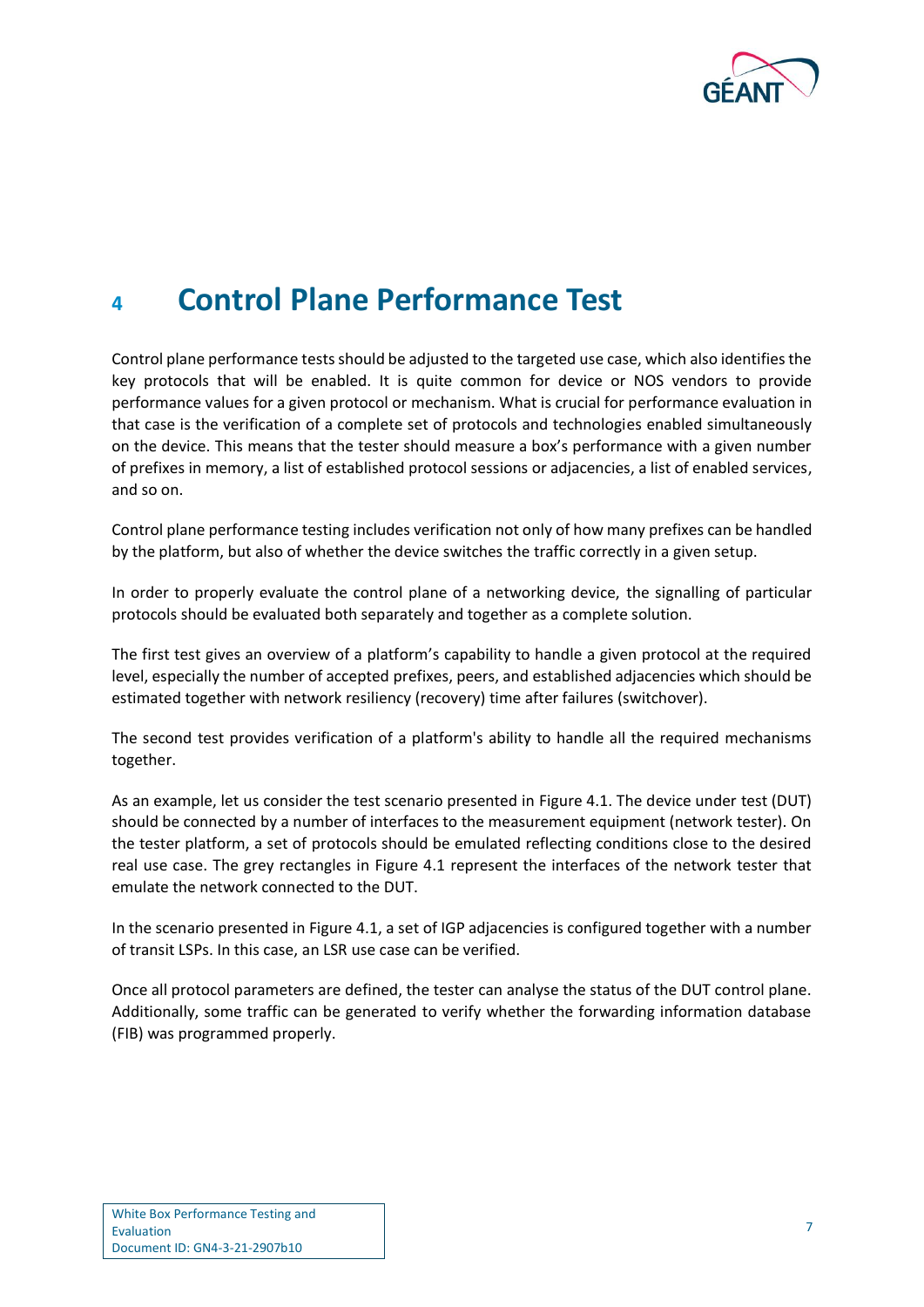

# <span id="page-9-0"></span>**<sup>4</sup> Control Plane Performance Test**

Control plane performance tests should be adjusted to the targeted use case, which also identifies the key protocols that will be enabled. It is quite common for device or NOS vendors to provide performance values for a given protocol or mechanism. What is crucial for performance evaluation in that case is the verification of a complete set of protocols and technologies enabled simultaneously on the device. This means that the tester should measure a box's performance with a given number of prefixes in memory, a list of established protocol sessions or adjacencies, a list of enabled services, and so on.

Control plane performance testing includes verification not only of how many prefixes can be handled by the platform, but also of whether the device switches the traffic correctly in a given setup.

In order to properly evaluate the control plane of a networking device, the signalling of particular protocols should be evaluated both separately and together as a complete solution.

The first test gives an overview of a platform's capability to handle a given protocol at the required level, especially the number of accepted prefixes, peers, and established adjacencies which should be estimated together with network resiliency (recovery) time after failures (switchover).

The second test provides verification of a platform's ability to handle all the required mechanisms together.

As an example, let us consider the test scenario presented in [Figure 4.1.](#page-10-0) The device under test (DUT) should be connected by a number of interfaces to the measurement equipment (network tester). On the tester platform, a set of protocols should be emulated reflecting conditions close to the desired real use case. The grey rectangles in [Figure 4.1](#page-10-0) represent the interfaces of the network tester that emulate the network connected to the DUT.

In the scenario presented in [Figure 4.1,](#page-10-0) a set of IGP adjacencies is configured together with a number of transit LSPs. In this case, an LSR use case can be verified.

Once all protocol parameters are defined, the tester can analyse the status of the DUT control plane. Additionally, some traffic can be generated to verify whether the forwarding information database (FIB) was programmed properly.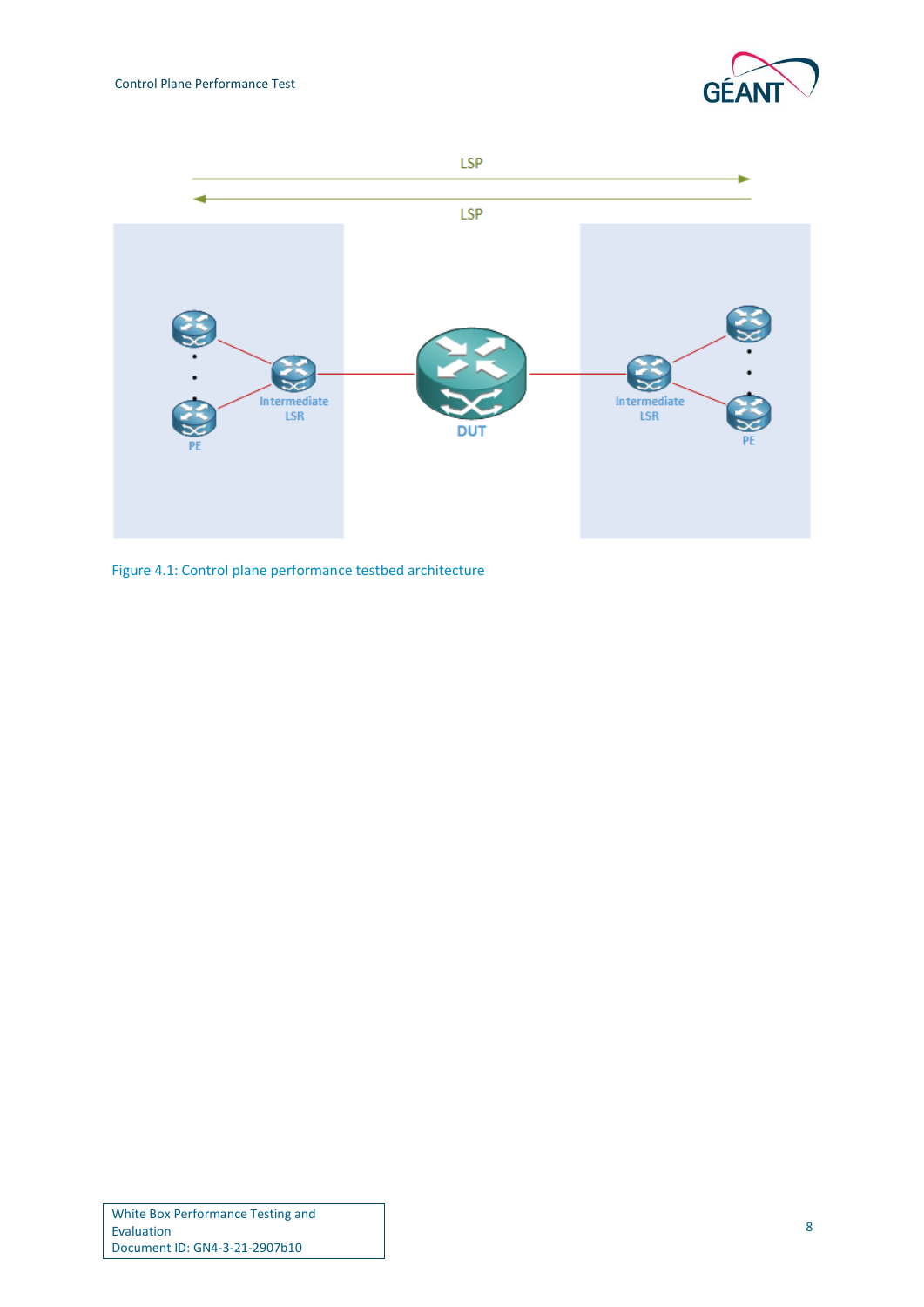



<span id="page-10-0"></span>Figure 4.1: Control plane performance testbed architecture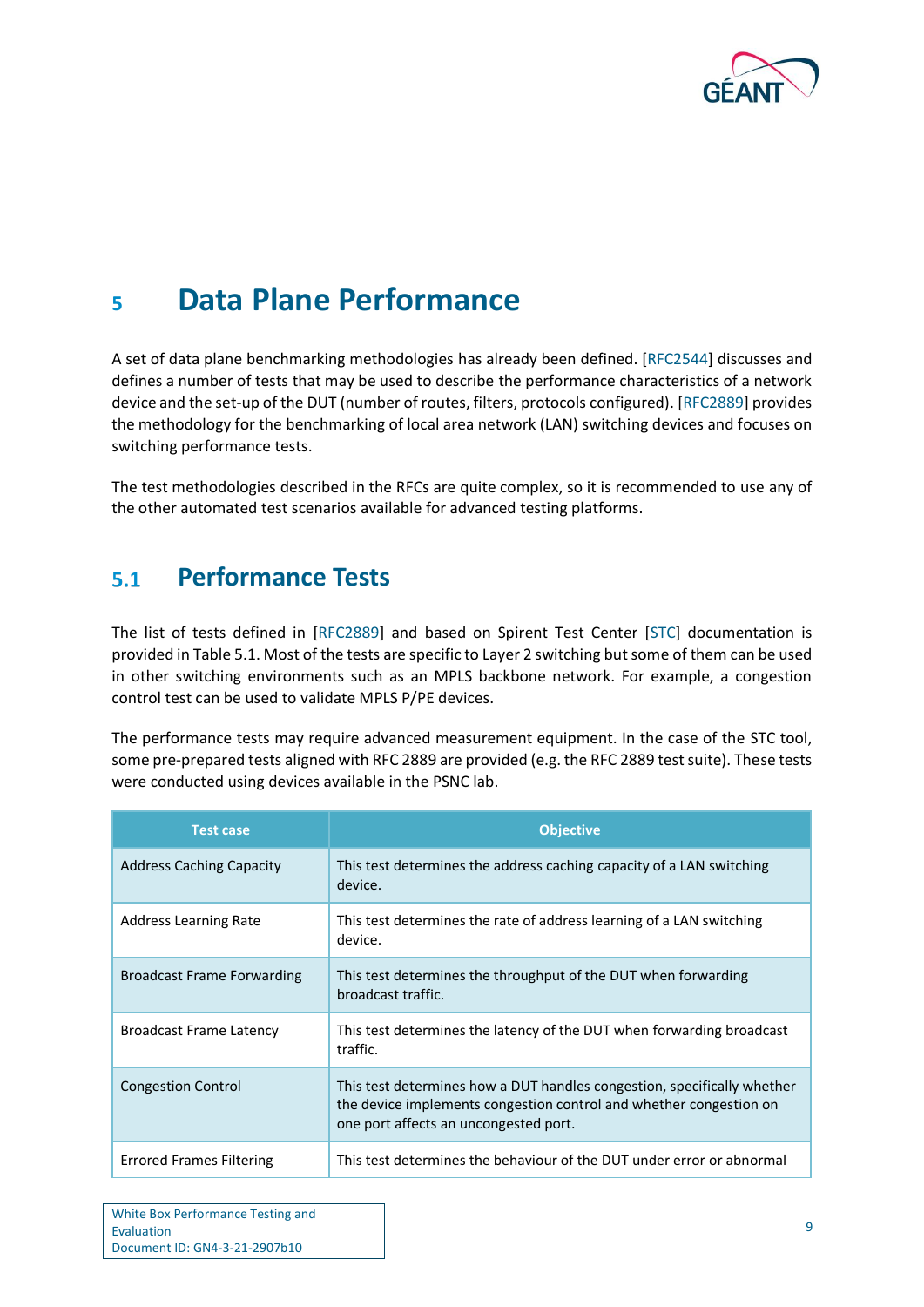

# <span id="page-11-0"></span>**<sup>5</sup> Data Plane Performance**

A set of data plane benchmarking methodologies has already been defined. [\[RFC2544\]](#page-36-1) discusses and defines a number of tests that may be used to describe the performance characteristics of a network device and the set-up of the DUT (number of routes, filters, protocols configured). [\[RFC2889\]](#page-36-2) provides the methodology for the benchmarking of local area network (LAN) switching devices and focuses on switching performance tests.

The test methodologies described in the RFCs are quite complex, so it is recommended to use any of the other automated test scenarios available for advanced testing platforms.

#### <span id="page-11-1"></span>**Performance Tests**  $5.1$

The list of tests defined in [\[RFC2889\]](#page-36-2) and based on Spirent Test Center [\[STC\]](#page-36-3) documentation is provided i[n Table 5.1.](#page-12-0) Most of the tests are specific to Layer 2 switching but some of them can be used in other switching environments such as an MPLS backbone network. For example, a congestion control test can be used to validate MPLS P/PE devices.

The performance tests may require advanced measurement equipment. In the case of the STC tool, some pre-prepared tests aligned with RFC 2889 are provided (e.g. the RFC 2889 test suite). These tests were conducted using devices available in the PSNC lab.

| <b>Test case</b>                  | <b>Objective</b>                                                                                                                                                                       |
|-----------------------------------|----------------------------------------------------------------------------------------------------------------------------------------------------------------------------------------|
| <b>Address Caching Capacity</b>   | This test determines the address caching capacity of a LAN switching<br>device.                                                                                                        |
| Address Learning Rate             | This test determines the rate of address learning of a LAN switching<br>device.                                                                                                        |
| <b>Broadcast Frame Forwarding</b> | This test determines the throughput of the DUT when forwarding<br>broadcast traffic.                                                                                                   |
| <b>Broadcast Frame Latency</b>    | This test determines the latency of the DUT when forwarding broadcast<br>traffic.                                                                                                      |
| <b>Congestion Control</b>         | This test determines how a DUT handles congestion, specifically whether<br>the device implements congestion control and whether congestion on<br>one port affects an uncongested port. |
| <b>Errored Frames Filtering</b>   | This test determines the behaviour of the DUT under error or abnormal                                                                                                                  |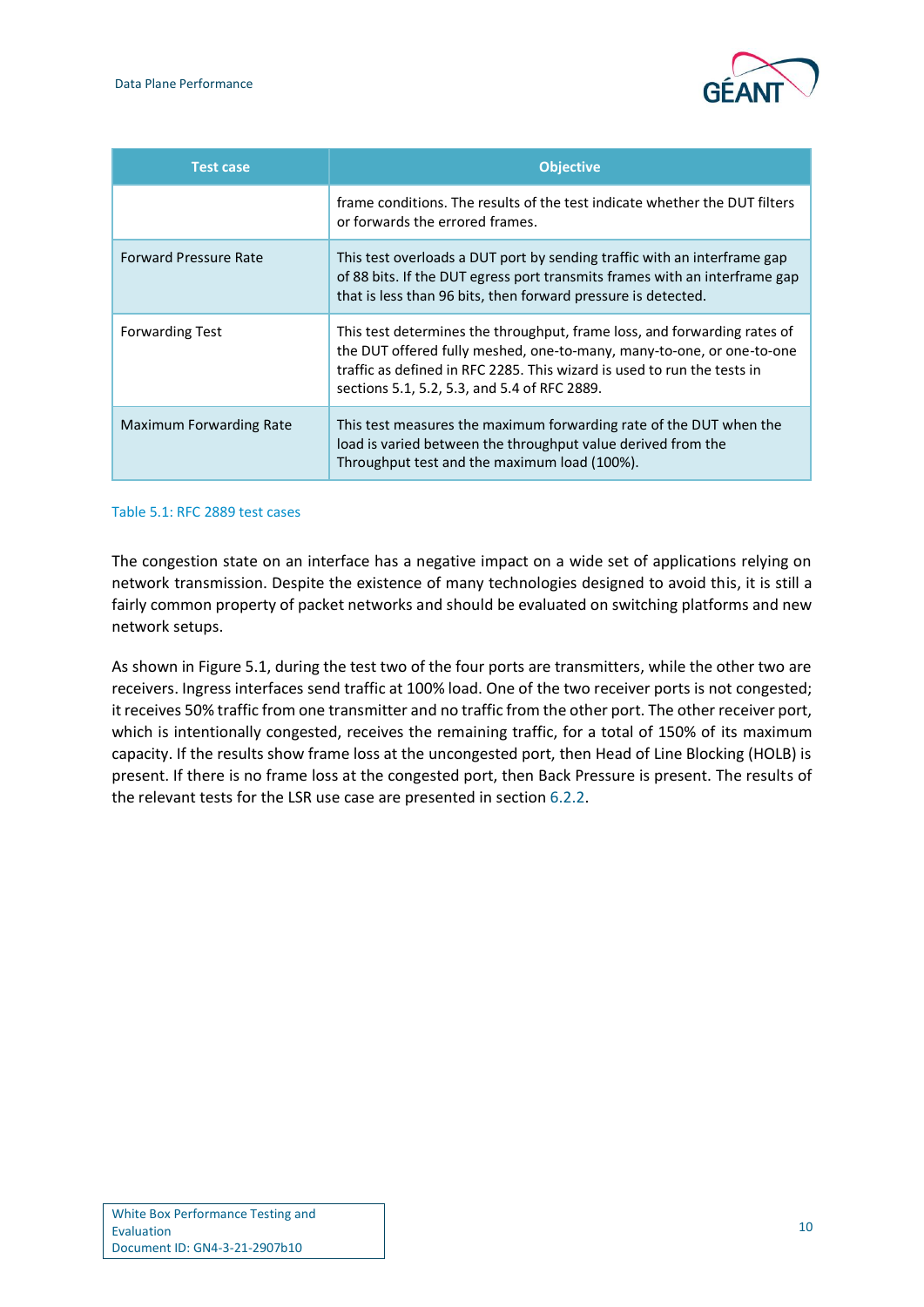

| <b>Test case</b>             | <b>Objective</b>                                                                                                                                                                                                                                                             |
|------------------------------|------------------------------------------------------------------------------------------------------------------------------------------------------------------------------------------------------------------------------------------------------------------------------|
|                              | frame conditions. The results of the test indicate whether the DUT filters<br>or forwards the errored frames.                                                                                                                                                                |
| <b>Forward Pressure Rate</b> | This test overloads a DUT port by sending traffic with an interframe gap<br>of 88 bits. If the DUT egress port transmits frames with an interframe gap<br>that is less than 96 bits, then forward pressure is detected.                                                      |
| <b>Forwarding Test</b>       | This test determines the throughput, frame loss, and forwarding rates of<br>the DUT offered fully meshed, one-to-many, many-to-one, or one-to-one<br>traffic as defined in RFC 2285. This wizard is used to run the tests in<br>sections 5.1, 5.2, 5.3, and 5.4 of RFC 2889. |
| Maximum Forwarding Rate      | This test measures the maximum forwarding rate of the DUT when the<br>load is varied between the throughput value derived from the<br>Throughput test and the maximum load (100%).                                                                                           |

### <span id="page-12-0"></span>Table 5.1: RFC 2889 test cases

The congestion state on an interface has a negative impact on a wide set of applications relying on network transmission. Despite the existence of many technologies designed to avoid this, it is still a fairly common property of packet networks and should be evaluated on switching platforms and new network setups.

As shown i[n Figure 5.1,](#page-13-1) during the test two of the four ports are transmitters, while the other two are receivers. Ingress interfaces send traffic at 100% load. One of the two receiver ports is not congested; it receives 50% traffic from one transmitter and no traffic from the other port. The other receiver port, which is intentionally congested, receives the remaining traffic, for a total of 150% of its maximum capacity. If the results show frame loss at the uncongested port, then Head of Line Blocking (HOLB) is present. If there is no frame loss at the congested port, then Back Pressure is present. The results of the relevant tests for the LSR use case are presented in section [6.2.2.](#page-19-0)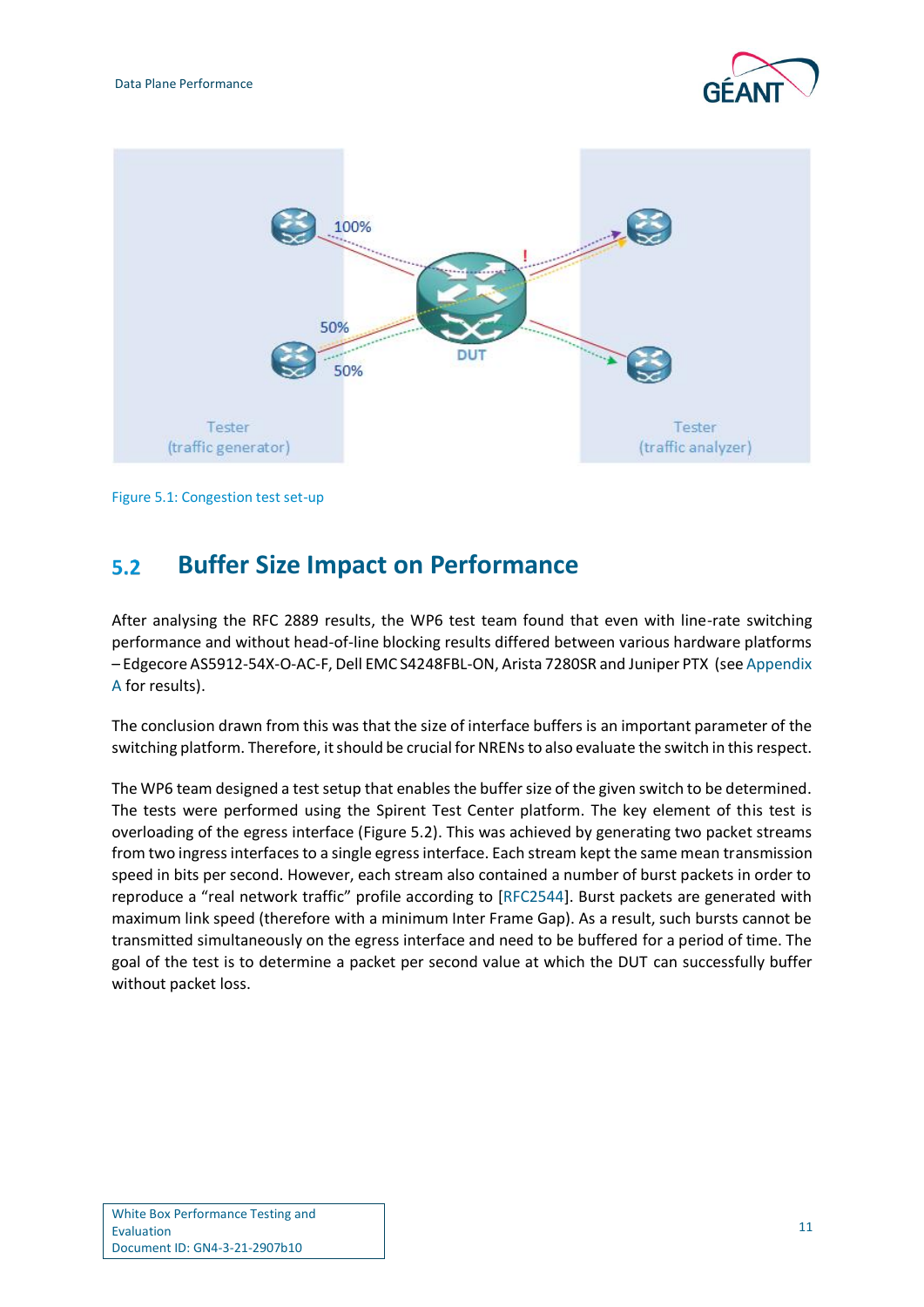



Figure 5.1: Congestion test set-up

#### <span id="page-13-1"></span><span id="page-13-0"></span>**Buffer Size Impact on Performance**  $5.2$

After analysing the RFC 2889 results, the WP6 test team found that even with line-rate switching performance and without head-of-line blocking results differed between various hardware platforms – Edgecore AS5912-54X-O-AC-F, Dell EMC S4248FBL-ON, Arista 7280SR and Juniper PTX (see [Appendix](#page-24-0)  [A](#page-24-0) for results).

The conclusion drawn from this was that the size of interface buffers is an important parameter of the switching platform. Therefore, it should be crucial for NRENsto also evaluate the switch in this respect.

The WP6 team designed a test setup that enables the buffer size of the given switch to be determined. The tests were performed using the Spirent Test Center platform. The key element of this test is overloading of the egress interface [\(Figure 5.2\)](#page-14-0). This was achieved by generating two packet streams from two ingress interfaces to a single egress interface. Each stream kept the same mean transmission speed in bits per second. However, each stream also contained a number of burst packets in order to reproduce a "real network traffic" profile according to [\[RFC2544\]](#page-36-1). Burst packets are generated with maximum link speed (therefore with a minimum Inter Frame Gap). As a result, such bursts cannot be transmitted simultaneously on the egress interface and need to be buffered for a period of time. The goal of the test is to determine a packet per second value at which the DUT can successfully buffer without packet loss.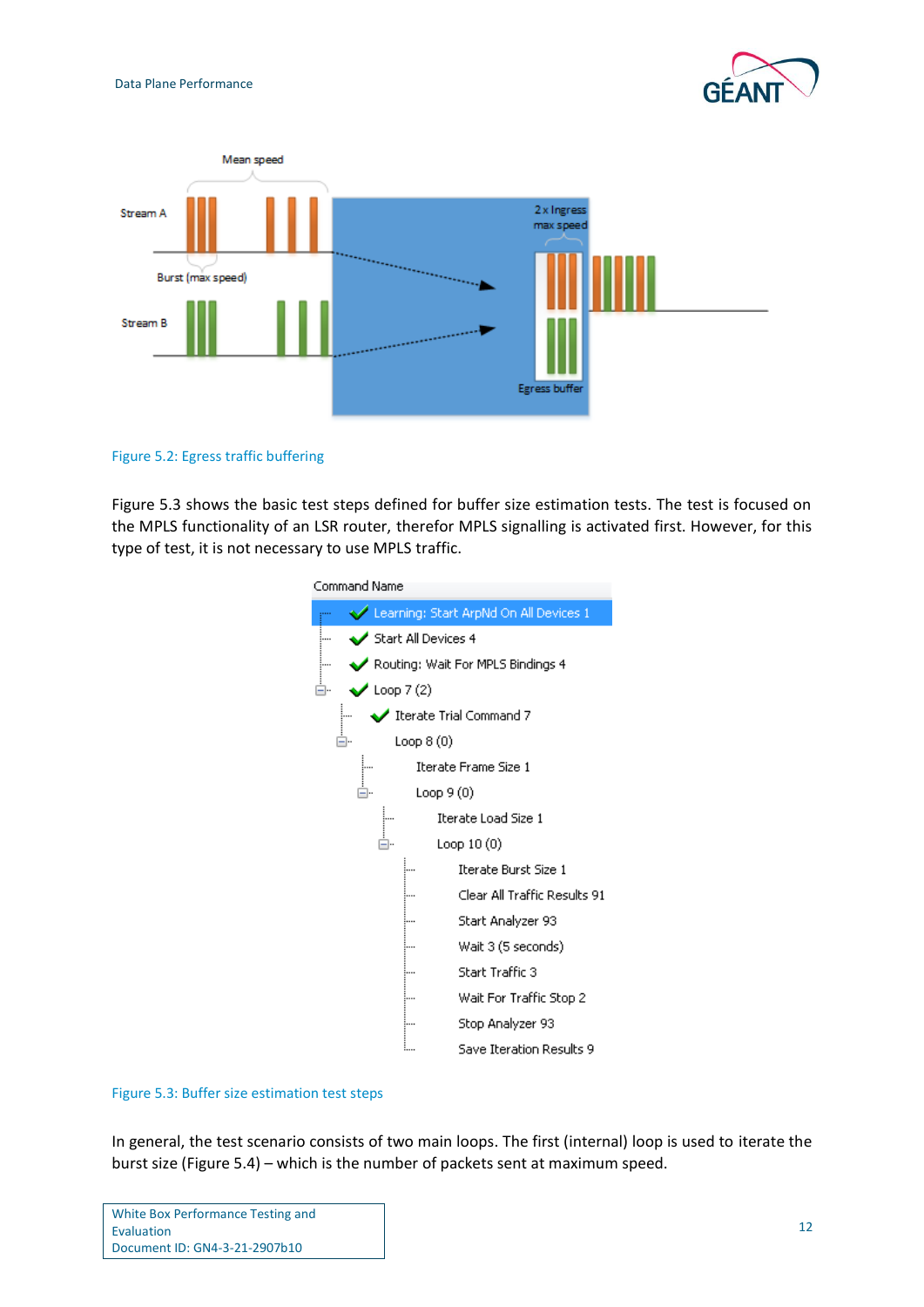



<span id="page-14-0"></span>Figure 5.2: Egress traffic buffering

[Figure 5.3](#page-14-1) shows the basic test steps defined for buffer size estimation tests. The test is focused on the MPLS functionality of an LSR router, therefor MPLS signalling is activated first. However, for this type of test, it is not necessary to use MPLS traffic.



### <span id="page-14-1"></span>Figure 5.3: Buffer size estimation test steps

In general, the test scenario consists of two main loops. The first (internal) loop is used to iterate the burst size [\(Figure 5.4\)](#page-15-0) – which is the number of packets sent at maximum speed.

| White Box Performance Testing and |  |
|-----------------------------------|--|
| Evaluation                        |  |
| Document ID: GN4-3-21-2907b10     |  |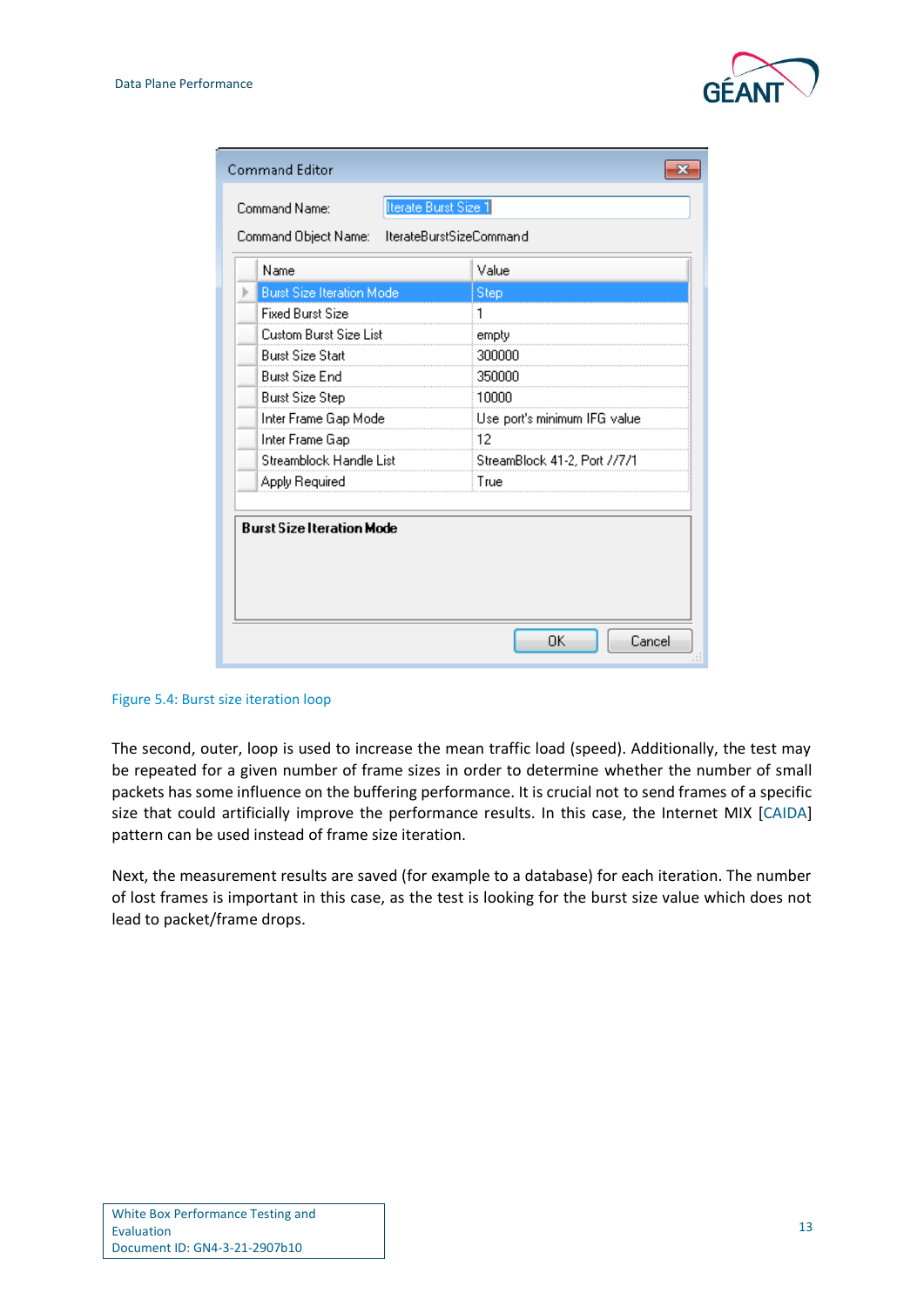

| Command Editor                   |                         |                              |        |
|----------------------------------|-------------------------|------------------------------|--------|
| Command Name:                    | Iterate Burst Size 1    |                              |        |
| Command Object Name:             | lterateBurstSizeCommand |                              |        |
| Name                             |                         | Value                        |        |
| <b>Burst Size Iteration Mode</b> |                         | Step                         |        |
| <b>Fixed Burst Size</b>          |                         | 1                            |        |
| Custom Burst Size List           |                         | empty                        |        |
| <b>Burst Size Start</b>          |                         | 300000                       |        |
| <b>Burst Size End</b>            |                         | 350000                       |        |
| <b>Burst Size Step</b>           |                         | 10000                        |        |
| Inter Frame Gap Mode             |                         | Use port's minimum IFG value |        |
| Inter Frame Gap                  |                         | 12                           |        |
| Streamblock Handle List          |                         | StreamBlock 41-2, Port //7/1 |        |
| Apply Required                   |                         | True                         |        |
| <b>Burst Size Iteration Mode</b> |                         |                              |        |
|                                  |                         | OK                           | Cancel |

<span id="page-15-0"></span>Figure 5.4: Burst size iteration loop

The second, outer, loop is used to increase the mean traffic load (speed). Additionally, the test may be repeated for a given number of frame sizes in order to determine whether the number of small packets has some influence on the buffering performance. It is crucial not to send frames of a specific size that could artificially improve the performance results. In this case, the Internet MIX [\[CAIDA\]](#page-36-4) pattern can be used instead of frame size iteration.

Next, the measurement results are saved (for example to a database) for each iteration. The number of lost frames is important in this case, as the test is looking for the burst size value which does not lead to packet/frame drops.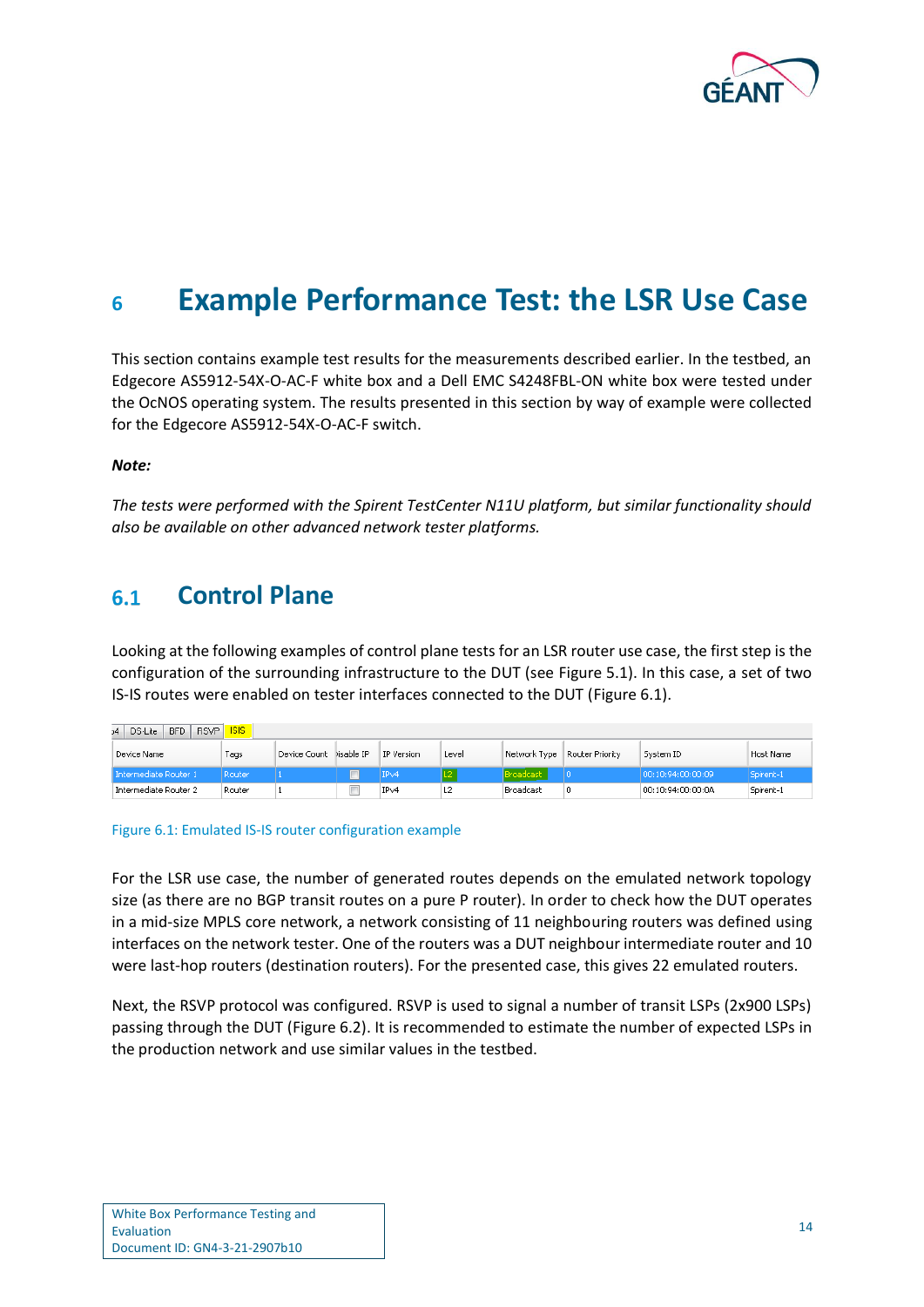

# <span id="page-16-0"></span>**<sup>6</sup> Example Performance Test: the LSR Use Case**

This section contains example test results for the measurements described earlier. In the testbed, an Edgecore AS5912-54X-O-AC-F white box and a Dell EMC S4248FBL-ON white box were tested under the OcNOS operating system. The results presented in this section by way of example were collected for the Edgecore AS5912-54X-O-AC-F switch.

### *Note:*

*The tests were performed with the Spirent TestCenter N11U platform, but similar functionality should also be available on other advanced network tester platforms.*

#### <span id="page-16-1"></span>**Control Plane**  $6.1$

Looking at the following examples of control plane tests for an LSR router use case, the first step is the configuration of the surrounding infrastructure to the DUT (see [Figure 5.1\)](#page-13-1). In this case, a set of two IS-IS routes were enabled on tester interfaces connected to the DUT [\(Figure 6.1\)](#page-16-2).

| <b>RSVP</b><br>BFD<br><sub>24</sub> DS-Lite | <b>ISIS</b> |                         |            |                |                        |                 |                   |           |
|---------------------------------------------|-------------|-------------------------|------------|----------------|------------------------|-----------------|-------------------|-----------|
| Device Name                                 | Tags        | Device Count Disable IP | IP Version | Level          | Network Type           | Router Priority | System ID         | Host Name |
| Intermediate Router 1                       | Router      |                         | IPv4       |                | Broadcast <sup>1</sup> |                 | 00:10:94:00:00:09 | Spirent-1 |
| Intermediate Router 2                       | Router      |                         | IPv4       | L <sub>2</sub> | Broadcast              |                 | 00:10:94:00:00:0A | Spirent-1 |

<span id="page-16-2"></span>Figure 6.1: Emulated IS-IS router configuration example

For the LSR use case, the number of generated routes depends on the emulated network topology size (as there are no BGP transit routes on a pure P router). In order to check how the DUT operates in a mid-size MPLS core network, a network consisting of 11 neighbouring routers was defined using interfaces on the network tester. One of the routers was a DUT neighbour intermediate router and 10 were last-hop routers (destination routers). For the presented case, this gives 22 emulated routers.

Next, the RSVP protocol was configured. RSVP is used to signal a number of transit LSPs (2x900 LSPs) passing through the DUT [\(Figure 6.2\)](#page-17-0). It is recommended to estimate the number of expected LSPs in the production network and use similar values in the testbed.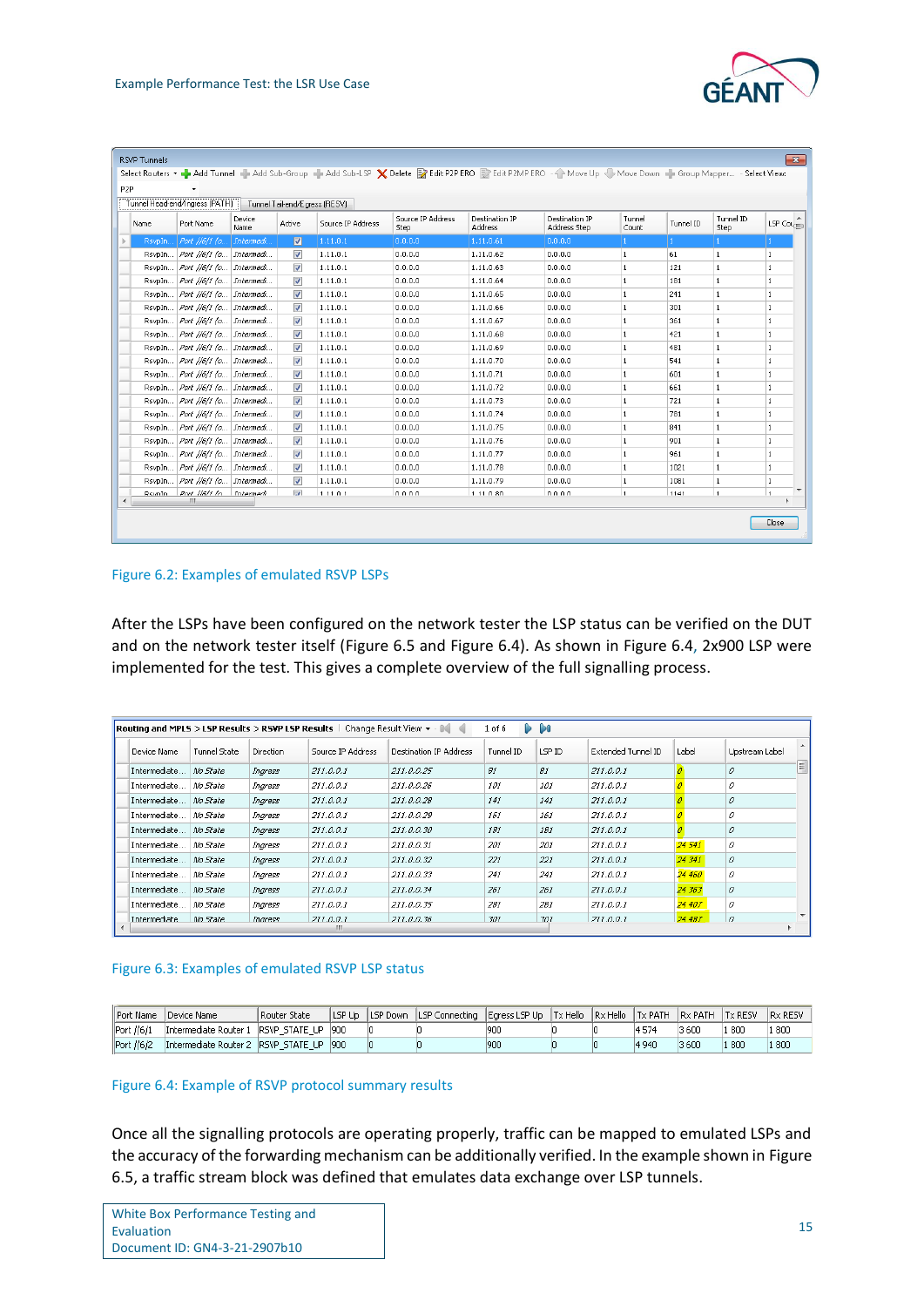

| Tunnel Head-end/Ingress (PATH) Tunnel Tail-end/Egress (RESV) |                                    |                 |                          |                   |                           |                                  |                                |                 |           |                          |                   |
|--------------------------------------------------------------|------------------------------------|-----------------|--------------------------|-------------------|---------------------------|----------------------------------|--------------------------------|-----------------|-----------|--------------------------|-------------------|
| <b>Name</b>                                                  | Port Name                          | Device<br>Name. | Active                   | Source IP Address | Source IP Address<br>Step | Destination IP<br><b>Address</b> | Destination IP<br>Address Step | Tunnel<br>Count | Tunnel ID | Tunnel ID<br><b>Step</b> | LSP Co $t_{\min}$ |
| RsvpIn.                                                      | Port //6/1 (o                      | Intermedi.      | $\blacksquare$           | 1.11.0.1          | 0.0.0.0                   | 1.11.0.61                        | 0.0.0.0                        |                 |           |                          |                   |
| RsvpIn                                                       | Port //6/1 (o Intermedi            |                 | $\overline{\mathsf{v}}$  | 1.11.0.1          | 0.0.0.0                   | 1.11.0.62                        | 0.0.0.0                        |                 | 61        | $\mathbf{1}$             | 1                 |
| RsypIn                                                       | Port //6/1 (o Intermedi            |                 | $\blacktriangledown$     | 1.11.0.1          | 0.0.0.0                   | 1.11.0.63                        | 0.0.0.0                        |                 | 121       |                          | $\mathbf{1}$      |
| RsypIn                                                       | Port //6/1 (o Intermedi            |                 | $\overline{\mathcal{A}}$ | 1.11.0.1          | 0.0.0.0                   | 1.11.0.64                        | 0.0.0.0                        |                 | 181       |                          | 1                 |
|                                                              | RsvpIn   Port //6/1 (o   Intermedi |                 | $\overline{\mathcal{A}}$ | 1.11.0.1          | 0.0.0.0                   | 1.11.0.65                        | 0.0.0.0                        |                 | 241       | $\mathbf{1}$             | $\mathbf{1}$      |
|                                                              | RsvpIn   Port //6/1 (o   Intermedi |                 | $\sqrt{}$                | 1.11.0.1          | 0.0.0.0                   | 1.11.0.66                        | 0.0.0.0                        |                 | 301       | $\mathbf{1}$             | $\mathbf{1}$      |
|                                                              | RsvpIn   Port //6/1 (o   Intermedi |                 | $\overline{\mathcal{L}}$ | 1.11.0.1          | 0.0.0.0                   | 1.11.0.67                        | 0.0.0.0                        |                 | 361       | $\mathbf{1}$             | $\mathbf{1}$      |
|                                                              | RsvpIn   Port //6/1 (o   Intermedi |                 | $\overline{\mathsf{v}}$  | 1.11.0.1          | 0.0.0.0                   | 1.11.0.68                        | 0.0.0.0                        |                 | 421       | $\mathbf{1}$             | $\mathbf{1}$      |
|                                                              | RsvpIn   Port //6/1 (o   Intermedi |                 | $\overline{\mathsf{v}}$  | 1.11.0.1          | 0.0.0.0                   | 1.11.0.69                        | 0.0.0.0                        |                 | 481       | $\mathbf{1}$             | $\mathbf{1}$      |
|                                                              | RsvpIn   Port //6/1 (o   Intermedi |                 | $\overline{\mathcal{S}}$ | 1.11.0.1          | 0.0.0.0                   | 1.11.0.70                        | 0.0.0.0                        |                 | 541       |                          | $\mathbf{1}$      |
| RsvpIn                                                       | Port //6/1 (o Intermedi            |                 | $\overline{\mathsf{v}}$  | 1.11.0.1          | 0.0.0.0                   | 1.11.0.71                        | 0.0.0.0                        |                 | 601       |                          |                   |
| RsvpIn                                                       | Port //6/1 (o Intermedi            |                 | $\overline{\mathsf{v}}$  | 1.11.0.1          | 0.0.0.0                   | 1.11.0.72                        | 0.0.0.0                        |                 | 661       |                          | 1                 |
| RsvpIn                                                       | Port //6/1 (o Intermedi            |                 | $\overline{\mathcal{A}}$ | 1.11.0.1          | 0.0.0.0                   | 1.11.0.73                        | 0.0.0.0                        |                 | 721       |                          | $\mathbf{1}$      |
| RsypIn                                                       | Port //6/1 (o Intermedi            |                 | $\sqrt{2}$               | 1.11.0.1          | 0.0.0.0                   | 1.11.0.74                        | 0.0.0.0                        |                 | 781       |                          | $\mathbf{1}$      |
| RsvpIn                                                       | Port //6/1 (o Intermedi            |                 | $\sqrt{}$                | 1.11.0.1          | 0.0.0.0                   | 1.11.0.75                        | 0.0.0.0                        |                 | 841       | $\mathbf{1}$             | $\mathbf{1}$      |
|                                                              | RsvpIn   Port //6/1 (o   Intermedi |                 | $\sqrt{}$                | 1.11.0.1          | 0.0.0.0                   | 1.11.0.76                        | 0.0.0.0                        |                 | 901       | 1                        | $\mathbf{1}$      |
|                                                              | RsvpIn   Port //6/1 (o   Intermedi |                 | $\overline{J}$           | 1.11.0.1          | 0.0.0.0                   | 1.11.0.77                        | 0.0.0.0                        | 1               | 961       | 1                        | 1                 |
|                                                              | RsvpIn   Port //6/1 (o   Intermedi |                 | $\overline{\mathcal{F}}$ | 1.11.0.1          | 0.0.0.0                   | 1.11.0.78                        | 0.0.0.0                        |                 | 1021      | 1                        | $\mathbf{1}$      |
|                                                              | RsvpIn   Port //6/1 (o   Intermedi |                 | $\overline{\mathsf{v}}$  | 1.11.0.1          | 0.0.0.0                   | 1.11.0.79                        | 0.0.0.0                        |                 | 1081      | $\mathbf{1}$             | $\mathbf{1}$      |
| RoynIn                                                       | Port IIGI1 In Intermedi            |                 | $\overline{L}$           | 11101             | nnnn                      | 1.11.0.80                        | lonon                          | $\overline{1}$  | 1141      | $\vert$ 1                | 1                 |

### <span id="page-17-0"></span>Figure 6.2: Examples of emulated RSVP LSPs

After the LSPs have been configured on the network tester the LSP status can be verified on the DUT and on the network tester itself [\(Figure 6.5](#page-18-2) and [Figure 6.4\)](#page-17-2). As shown in [Figure 6.4,](#page-17-2) 2x900 LSP were implemented for the test. This gives a complete overview of the full signalling process.

|                     | <b>D</b> DO<br>Routing and MPLS > LSP Results > RSVP LSP Results   Change Result View + - 14<br>1 of 6 |                  |                   |                               |           |            |                    |        |                |       |  |  |
|---------------------|--------------------------------------------------------------------------------------------------------|------------------|-------------------|-------------------------------|-----------|------------|--------------------|--------|----------------|-------|--|--|
| Device Name         | Tunnel State                                                                                           | <b>Direction</b> | Source IP Address | <b>Destination IP Address</b> | Tunnel ID | LSP ID     | Extended Tunnel ID | Label  | Upstream Label |       |  |  |
| Intermediate        | No State                                                                                               | Ingress          | 211.0.0.1         | 211.0.0.25                    | B1        | 81         | 211.0.0.1          |        | 0              | $\Xi$ |  |  |
| Intermediate        | No State                                                                                               | Ingress          | 211.0.0.1         | 211.0.0.26                    | 101       | 101        | 211.0.0.1          |        | 0              |       |  |  |
| Intermediate        | No State                                                                                               | Ingress          | 211.0.0.1         | 211.0.0.28                    | 141       | 141        | 211.0.0.1          |        | 0              |       |  |  |
| Intermediate        | No State                                                                                               | Ingress          | 211.0.0.1         | 211.0.0.29                    | 161       | 161        | 211.0.0.1          |        | 0              |       |  |  |
| Intermediate        | No State                                                                                               | Ingress          | 211.0.0.1         | 211.0.0.30                    | 181       | 181        | 211.0.0.1          |        | 0              |       |  |  |
| Intermediate        | No State                                                                                               | Ingress          | 211.0.0.1         | 211.0.0.31                    | 201       | <i>201</i> | 211.0.0.1          | 24 541 | 0              |       |  |  |
| Intermediate        | No State                                                                                               | Ingress          | 211.0.0.1         | 211.0.0.32                    | 221       | 221        | 211.0.0.1          | 24 341 | 0              |       |  |  |
| Intermediate        | No State                                                                                               | Ingress          | 211.0.0.1         | 211.0.0.33                    | 241       | 241        | 211.0.0.1          | 24 460 | 0              |       |  |  |
| Intermediate        | No State                                                                                               | Ingress          | 211.0.0.1         | 211.0.0.34                    | 261       | 261        | 211.0.0.1          | 24 363 | 0              |       |  |  |
| Intermediate        | No State                                                                                               | Ingress          | 211.0.0.1         | 211.0.0.35                    | 281       | 281        | 211.0.0.1          | 24 407 | 0              |       |  |  |
| <b>Intermediate</b> | Mo State                                                                                               | Indress          | 211.0.0.1         | 211.0.0.36                    | 301       | 301        | 211.0.0.1          | 24 487 | $\theta$       |       |  |  |
|                     |                                                                                                        |                  | ш                 |                               |           |            |                    |        |                | ь     |  |  |

### <span id="page-17-1"></span>Figure 6.3: Examples of emulated RSVP LSP status

|            | Port Name    Device Name                   | Router State |  | □ LSP Up [LSP Down [LSP Connecting [Eqress LSP Up [Tx Hello [Rx Hello [Tx PATH ]Rx PATH [Tx RESV ] |     |  |         |       |       | <b>IRX RESV</b> |
|------------|--------------------------------------------|--------------|--|----------------------------------------------------------------------------------------------------|-----|--|---------|-------|-------|-----------------|
| Port //6/1 | Intermediate Router 1 IRSVP STATE UP 1900  |              |  |                                                                                                    |     |  | 4574    | 3 600 | 1 800 | l 800           |
| Port //6/2 | lIntermediate Router 2 IRSVP STATE UP 1900 |              |  |                                                                                                    | 900 |  | 4 9 4 0 | 3600  | 1 800 | 1 800           |

### <span id="page-17-2"></span>Figure 6.4: Example of RSVP protocol summary results

Once all the signalling protocols are operating properly, traffic can be mapped to emulated LSPs and the accuracy of the forwarding mechanism can be additionally verified. In the example shown i[n Figure](#page-18-2)  [6.5,](#page-18-2) a traffic stream block was defined that emulates data exchange over LSP tunnels.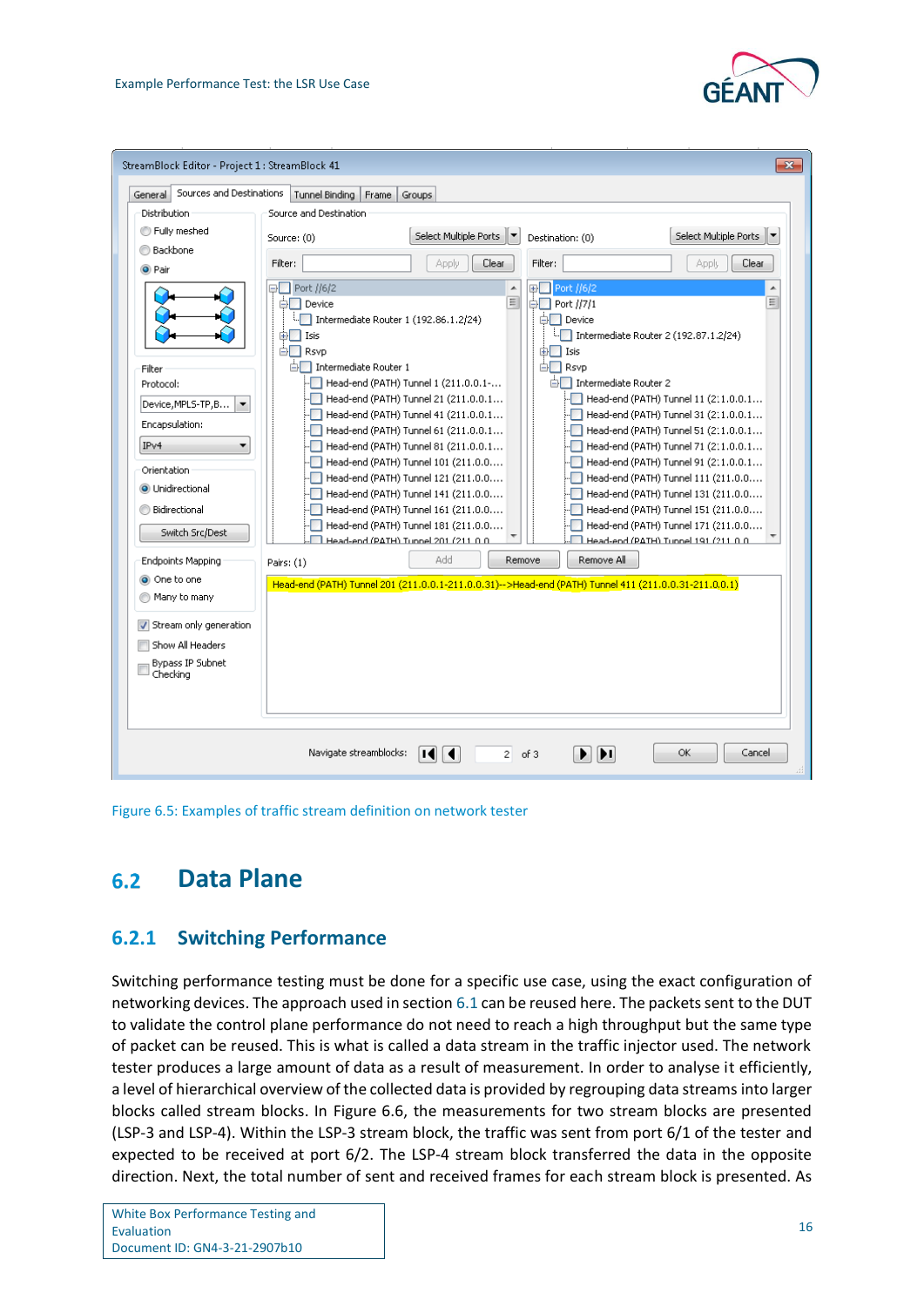



<span id="page-18-2"></span>Figure 6.5: Examples of traffic stream definition on network tester

#### <span id="page-18-0"></span> $6.2$ **Data Plane**

## <span id="page-18-1"></span>**6.2.1 Switching Performance**

Switching performance testing must be done for a specific use case, using the exact configuration of networking devices. The approach used in section [6.1](#page-16-1) can be reused here. The packets sent to the DUT to validate the control plane performance do not need to reach a high throughput but the same type of packet can be reused. This is what is called a data stream in the traffic injector used. The network tester produces a large amount of data as a result of measurement. In order to analyse it efficiently, a level of hierarchical overview of the collected data is provided by regrouping data streams into larger blocks called stream blocks. In [Figure 6.6,](#page-19-1) the measurements for two stream blocks are presented (LSP-3 and LSP-4). Within the LSP-3 stream block, the traffic was sent from port 6/1 of the tester and expected to be received at port 6/2. The LSP-4 stream block transferred the data in the opposite direction. Next, the total number of sent and received frames for each stream block is presented. As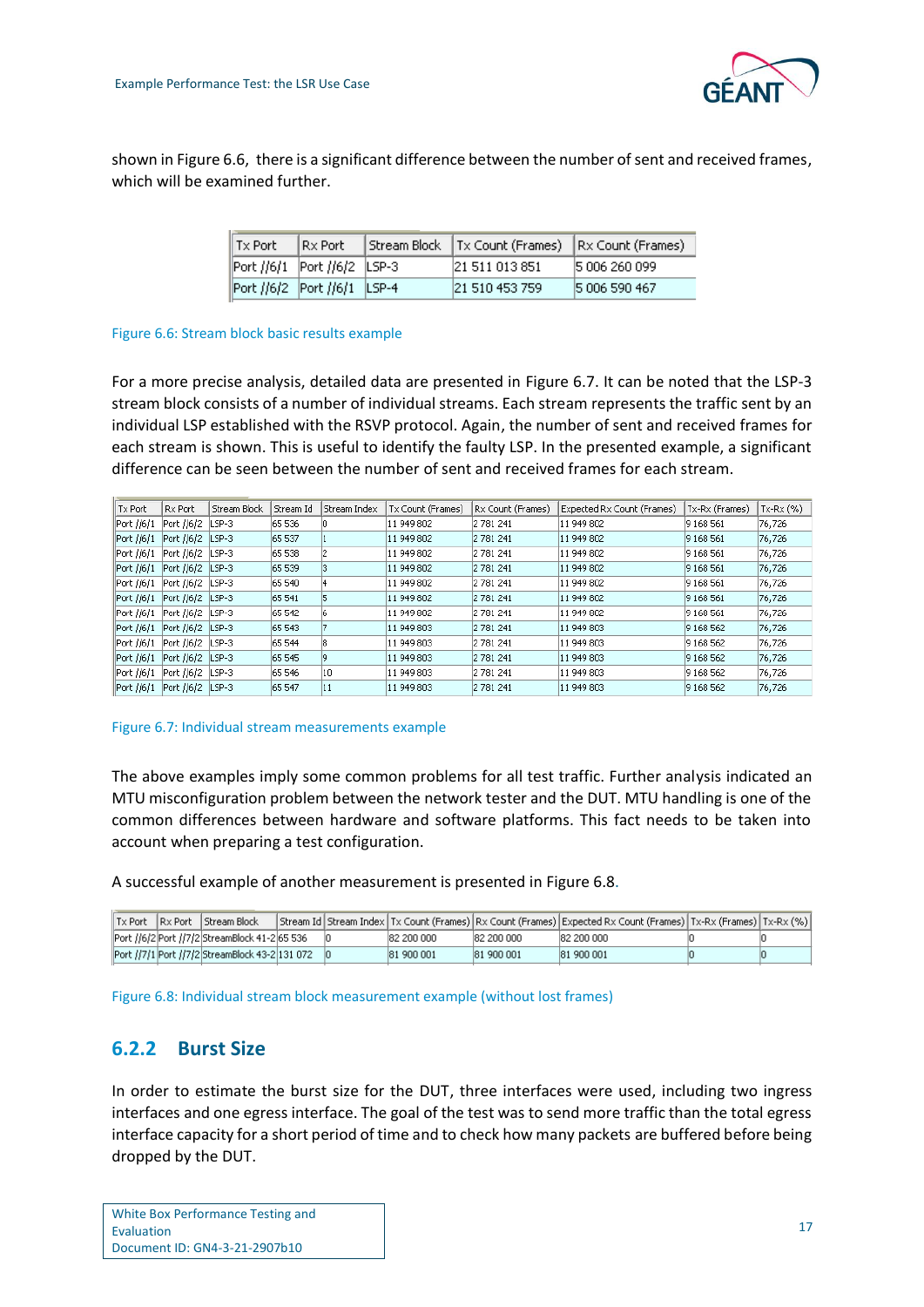

shown in [Figure 6.6,](#page-19-1) there is a significant difference between the number of sent and received frames, which will be examined further.

| $\parallel$ Tx Port             | IRx Port | Stream Block   Tx Count (Frames) | Rx Count (Frames) |
|---------------------------------|----------|----------------------------------|-------------------|
| Port //6/1 Port //6/2 LSP-3     |          | 21 511 013 851                   | 5 006 260 099     |
| Port //6/2   Port //6/1   LSP-4 |          | 21 510 453 759                   | 5 006 590 467     |

### <span id="page-19-1"></span>Figure 6.6: Stream block basic results example

For a more precise analysis, detailed data are presented in [Figure 6.7.](#page-19-2) It can be noted that the LSP-3 stream block consists of a number of individual streams. Each stream represents the traffic sent by an individual LSP established with the RSVP protocol. Again, the number of sent and received frames for each stream is shown. This is useful to identify the faulty LSP. In the presented example, a significant difference can be seen between the number of sent and received frames for each stream.

| Tx Port            | Rx Port    | Stream Block | Stream Id | Stream Index | Tx Count (Frames) | Rx Count (Frames) | Expected Rx Count (Frames) | Tx-Rx (Frames) | $Tx-Rx (%)$ |
|--------------------|------------|--------------|-----------|--------------|-------------------|-------------------|----------------------------|----------------|-------------|
| Port //6/1         | Port //6/2 | LSP-3        | 65 536    |              | 11 949 802        | 2 781 241         | 11 949 802                 | 9 168 561      | 76,726      |
| Port //6/1         | Port //6/2 | LSP-3        | 65 537    |              | 11 949 802        | 2 781 241         | 11 949 802                 | 9 168 561      | 76,726      |
| Port //6/1         | Port //6/2 | LSP-3        | 65 538    | 12           | 11 949 802        | 2 781 241         | 11 949 802                 | 9 168 561      | 76,726      |
| Port //6/1         | Port //6/2 | LSP-3        | 65 539    | 13           | 11 949 802        | 2 781 241         | 11 949 802                 | 9 168 561      | 76,726      |
| Port //6/1         | Port //6/2 | LSP-3        | 65 540    |              | 11 949 802        | 2 781 241         | 11 949 802                 | 9 168 561      | 76,726      |
| Port //6/1         | Port //6/2 | $LSP-3$      | 65 541    | 15           | 11 949 802        | 2 781 241         | 11 949 802                 | 9 168 561      | 76,726      |
| Port //6/1         | Port //6/2 | LSP-3        | 65 542    |              | 11 949 802        | 2 781 241         | 11 949 802                 | 9 168 561      | 76,726      |
| Port //6/1         | Port //6/2 | LSP-3        | 65 543    |              | 11 949 803        | 2 781 241         | 11 949 803                 | 9 168 562      | 76,726      |
| Port //6/1         | Port //6/2 | LSP-3        | 65 544    | 18           | 11 949 803        | 2 781 241         | 11 949 803                 | 9 168 562      | 76,726      |
| Port //6/1         | Port //6/2 | $LSP-3$      | 65 545    | 19           | 11 949 803        | 2 781 241         | 11 949 803                 | 9 168 562      | 76,726      |
| Port //6/1         | Port //6/2 | LSP-3        | 65 546    | 10           | 11 949 803        | 2 781 241         | 11 949 803                 | 9 168 562      | 76,726      |
| $\vert$ Port //6/1 | Port //6/2 | LSP-3        | 65 547    | 11           | 11 949 803        | 2 781 241         | 11 949 803                 | 9 168 562      | 76,726      |

### <span id="page-19-2"></span>Figure 6.7: Individual stream measurements example

The above examples imply some common problems for all test traffic. Further analysis indicated an MTU misconfiguration problem between the network tester and the DUT. MTU handling is one of the common differences between hardware and software platforms. This fact needs to be taken into account when preparing a test configuration.

A successful example of another measurement is presented in [Figure 6.8.](#page-19-3)

|  | <b>I</b> Tx Port I Rx Port I Stream Block         |  |            |             | [Stream Id Stream Index Tx Count (Frames) Rx Count (Frames) Expected Rx Count (Frames) Tx-Rx (Frames) Tx-Rx (%) |  |
|--|---------------------------------------------------|--|------------|-------------|-----------------------------------------------------------------------------------------------------------------|--|
|  | Port //6/2 Port //7/2 StreamBlock 41-2 65 536     |  | 82 200 000 | 182 200 000 | 182 200 000                                                                                                     |  |
|  | Port //7/1  Port //7/2  StreamBlock 43-2  131 072 |  | 81 900 001 | 81 900 001  | 81 900 001                                                                                                      |  |

<span id="page-19-3"></span>Figure 6.8: Individual stream block measurement example (without lost frames)

### <span id="page-19-0"></span>**6.2.2 Burst Size**

In order to estimate the burst size for the DUT, three interfaces were used, including two ingress interfaces and one egress interface. The goal of the test was to send more traffic than the total egress interface capacity for a short period of time and to check how many packets are buffered before being dropped by the DUT.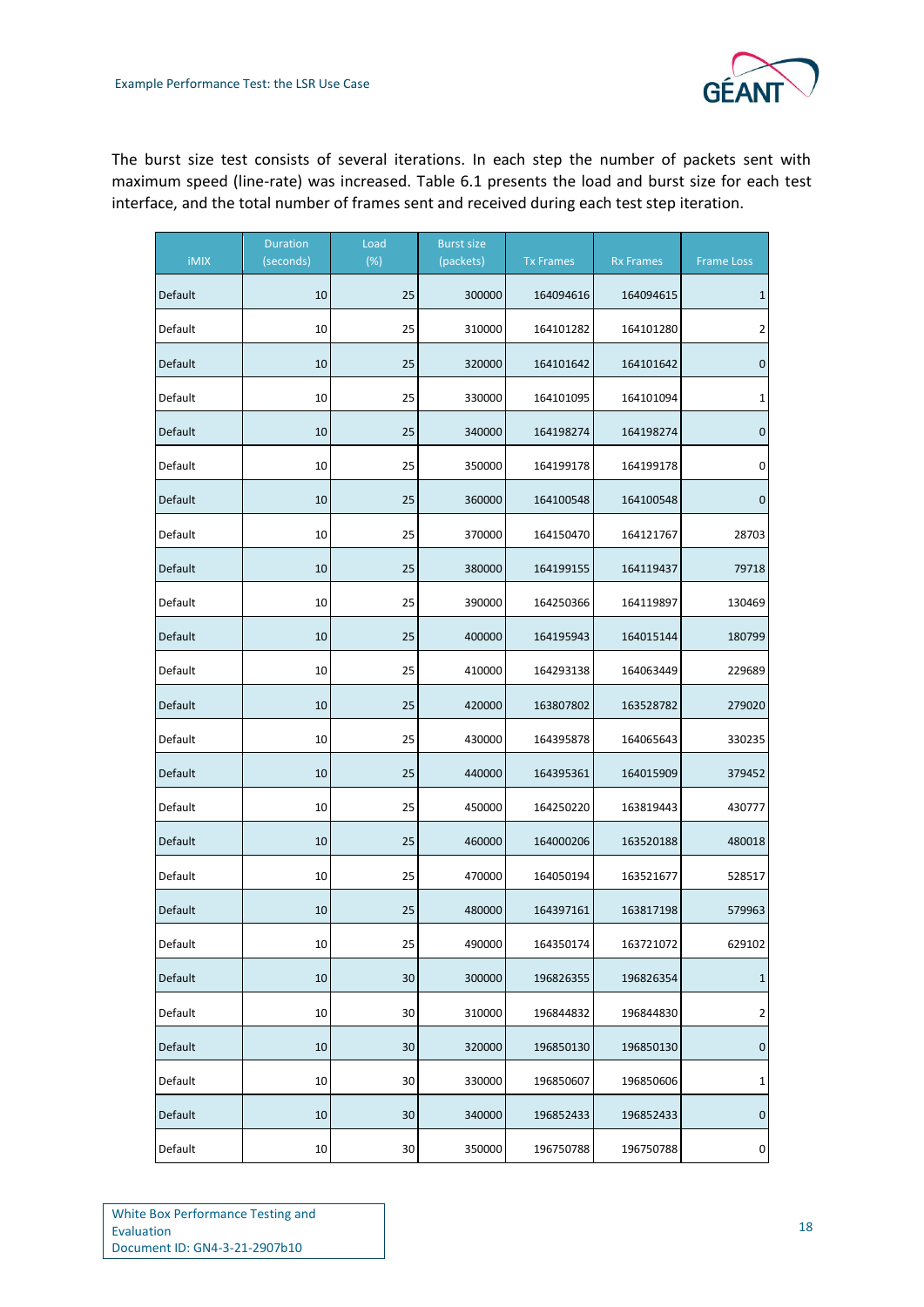The burst size test consists of several iterations. In each step the number of packets sent with maximum speed (line-rate) was increased. [Table 6.1](#page-21-0) presents the load and burst size for each test interface, and the total number of frames sent and received during each test step iteration.

| <b>iMIX</b> | <b>Duration</b><br>(seconds) | Load<br>(%) | <b>Burst size</b><br>(packets) | <b>Tx Frames</b> | <b>Rx Frames</b> | <b>Frame Loss</b> |
|-------------|------------------------------|-------------|--------------------------------|------------------|------------------|-------------------|
| Default     | 10                           | 25          | 300000                         | 164094616        | 164094615        | $\mathbf{1}$      |
| Default     | 10                           | 25          | 310000                         | 164101282        | 164101280        | $\overline{2}$    |
| Default     | 10                           | 25          | 320000                         | 164101642        | 164101642        | 0                 |
| Default     | 10                           | 25          | 330000                         | 164101095        | 164101094        | 1                 |
| Default     | 10                           | 25          | 340000                         | 164198274        | 164198274        | 0                 |
| Default     | 10                           | 25          | 350000                         | 164199178        | 164199178        | 0                 |
| Default     | 10                           | 25          | 360000                         | 164100548        | 164100548        | 0                 |
| Default     | 10                           | 25          | 370000                         | 164150470        | 164121767        | 28703             |
| Default     | 10                           | 25          | 380000                         | 164199155        | 164119437        | 79718             |
| Default     | 10                           | 25          | 390000                         | 164250366        | 164119897        | 130469            |
| Default     | 10                           | 25          | 400000                         | 164195943        | 164015144        | 180799            |
| Default     | 10                           | 25          | 410000                         | 164293138        | 164063449        | 229689            |
| Default     | 10                           | 25          | 420000                         | 163807802        | 163528782        | 279020            |
| Default     | 10                           | 25          | 430000                         | 164395878        | 164065643        | 330235            |
| Default     | 10                           | 25          | 440000                         | 164395361        | 164015909        | 379452            |
| Default     | 10                           | 25          | 450000                         | 164250220        | 163819443        | 430777            |
| Default     | 10                           | 25          | 460000                         | 164000206        | 163520188        | 480018            |
| Default     | 10                           | 25          | 470000                         | 164050194        | 163521677        | 528517            |
| Default     | 10                           | 25          | 480000                         | 164397161        | 163817198        | 579963            |
| Default     | 10                           | 25          | 490000                         | 164350174        | 163721072        | 629102            |
| Default     | 10                           | $30\,$      | 300000                         | 196826355        | 196826354        | $\mathbf{1}$      |
| Default     | 10                           | 30          | 310000                         | 196844832        | 196844830        | $\overline{2}$    |
| Default     | 10                           | 30          | 320000                         | 196850130        | 196850130        | 0                 |
| Default     | 10                           | 30          | 330000                         | 196850607        | 196850606        | 1                 |
| Default     | 10                           | 30          | 340000                         | 196852433        | 196852433        | $\pmb{0}$         |
| Default     | 10                           | 30          | 350000                         | 196750788        | 196750788        | 0                 |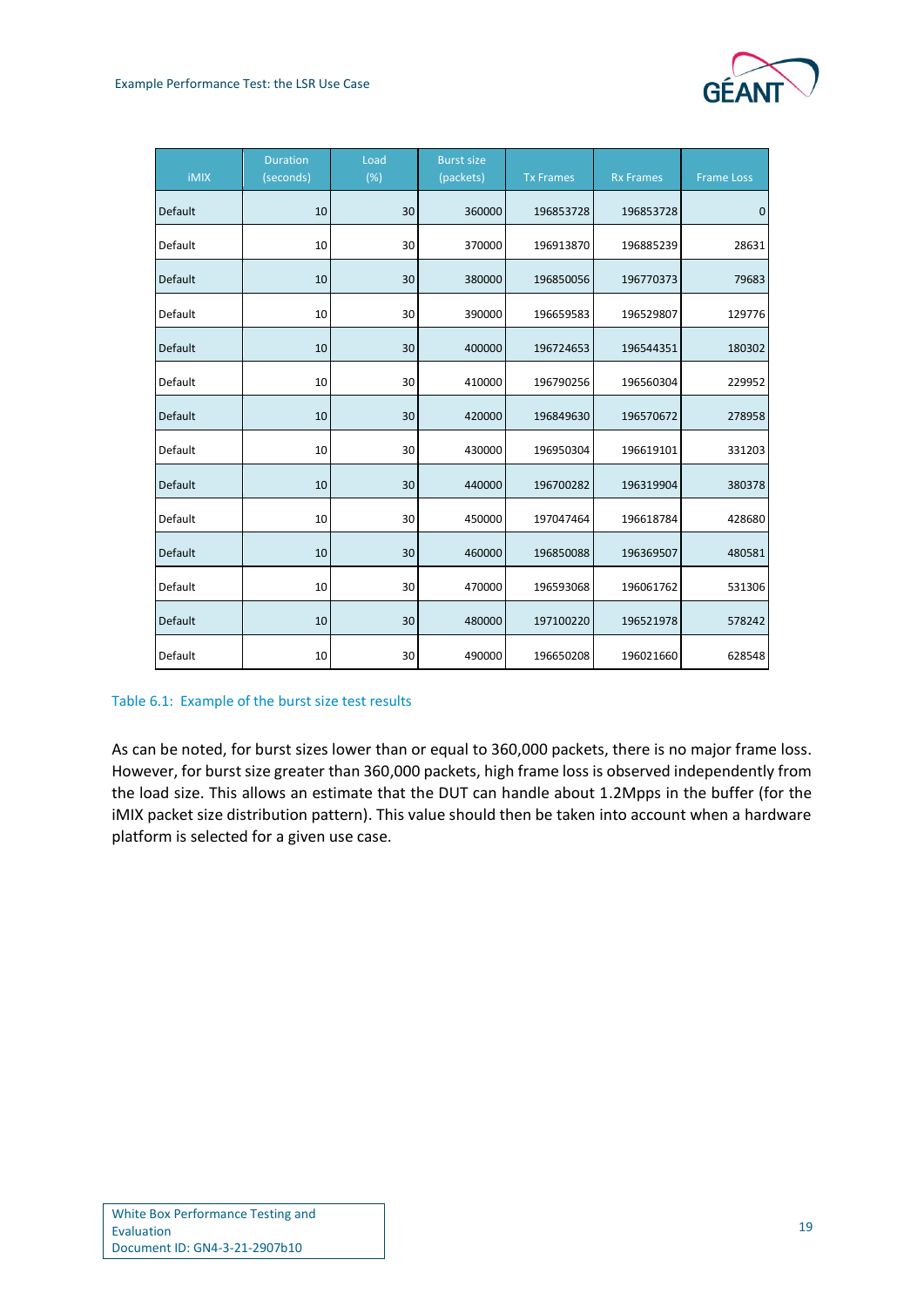| <b>iMIX</b> | <b>Duration</b><br>(seconds) | Load<br>(%) | <b>Burst size</b><br>(packets) | <b>Tx Frames</b> | <b>Rx Frames</b> | <b>Frame Loss</b> |
|-------------|------------------------------|-------------|--------------------------------|------------------|------------------|-------------------|
| Default     | 10                           | 30          | 360000                         | 196853728        | 196853728        | $\mathbf 0$       |
| Default     | 10                           | 30          | 370000                         | 196913870        | 196885239        | 28631             |
| Default     | 10                           | 30          | 380000                         | 196850056        | 196770373        | 79683             |
| Default     | 10                           | 30          | 390000                         | 196659583        | 196529807        | 129776            |
| Default     | 10                           | 30          | 400000                         | 196724653        | 196544351        | 180302            |
| Default     | 10                           | 30          | 410000                         | 196790256        | 196560304        | 229952            |
| Default     | 10                           | 30          | 420000                         | 196849630        | 196570672        | 278958            |
| Default     | 10                           | 30          | 430000                         | 196950304        | 196619101        | 331203            |
| Default     | 10                           | 30          | 440000                         | 196700282        | 196319904        | 380378            |
| Default     | 10                           | 30          | 450000                         | 197047464        | 196618784        | 428680            |
| Default     | 10                           | 30          | 460000                         | 196850088        | 196369507        | 480581            |
| Default     | 10                           | 30          | 470000                         | 196593068        | 196061762        | 531306            |
| Default     | 10                           | 30          | 480000                         | 197100220        | 196521978        | 578242            |
| Default     | 10                           | 30          | 490000                         | 196650208        | 196021660        | 628548            |

<span id="page-21-0"></span>Table 6.1: Example of the burst size test results

As can be noted, for burst sizes lower than or equal to 360,000 packets, there is no major frame loss. However, for burst size greater than 360,000 packets, high frame loss is observed independently from the load size. This allows an estimate that the DUT can handle about 1.2Mpps in the buffer (for the iMIX packet size distribution pattern). This value should then be taken into account when a hardware platform is selected for a given use case.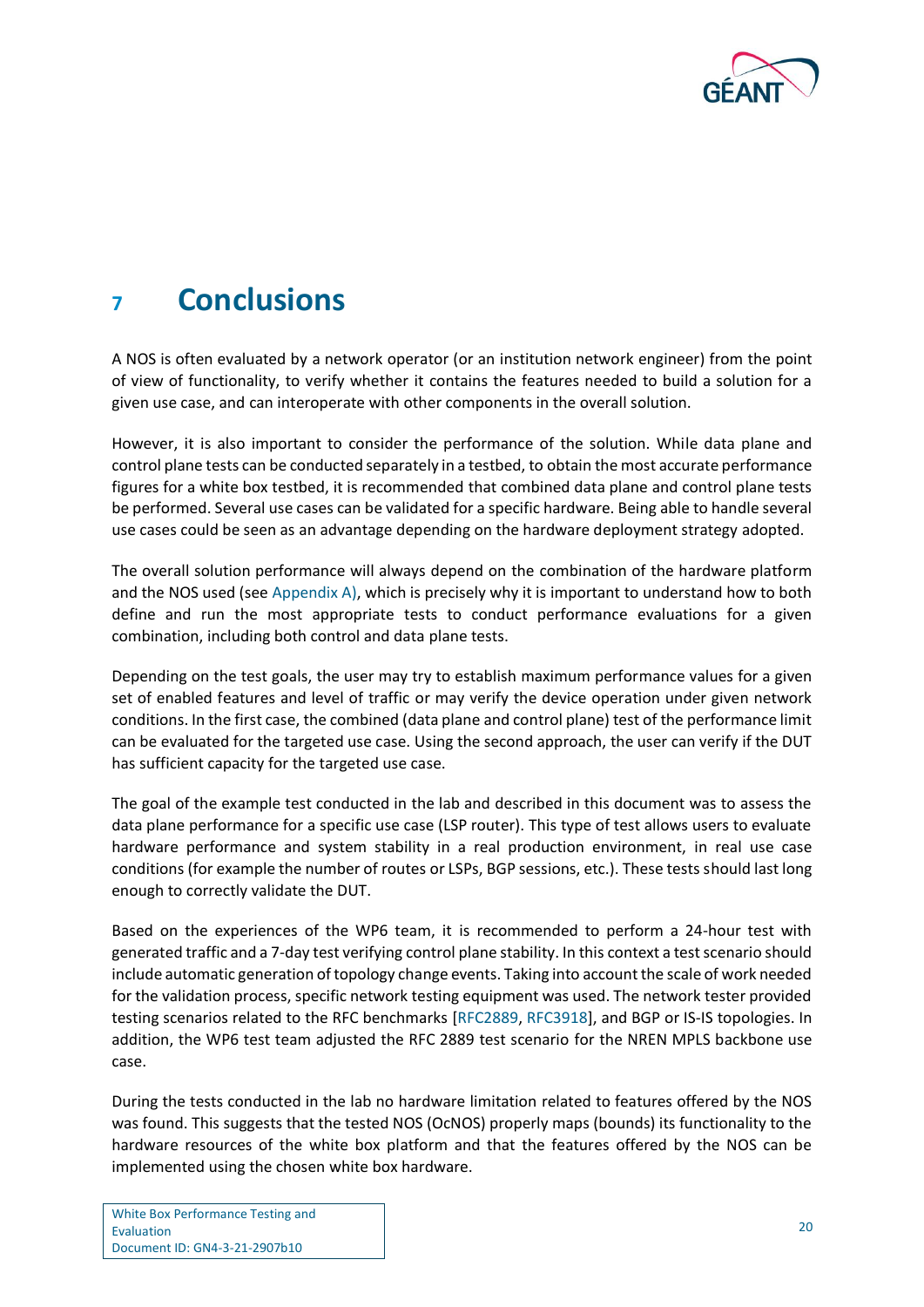

# <span id="page-22-0"></span>**<sup>7</sup> Conclusions**

A NOS is often evaluated by a network operator (or an institution network engineer) from the point of view of functionality, to verify whether it contains the features needed to build a solution for a given use case, and can interoperate with other components in the overall solution.

However, it is also important to consider the performance of the solution. While data plane and control plane tests can be conducted separately in a testbed, to obtain the most accurate performance figures for a white box testbed, it is recommended that combined data plane and control plane tests be performed. Several use cases can be validated for a specific hardware. Being able to handle several use cases could be seen as an advantage depending on the hardware deployment strategy adopted.

The overall solution performance will always depend on the combination of the hardware platform and the NOS used (see [Appendix A\)](#page-24-0), which is precisely why it is important to understand how to both define and run the most appropriate tests to conduct performance evaluations for a given combination, including both control and data plane tests.

Depending on the test goals, the user may try to establish maximum performance values for a given set of enabled features and level of traffic or may verify the device operation under given network conditions. In the first case, the combined (data plane and control plane) test of the performance limit can be evaluated for the targeted use case. Using the second approach, the user can verify if the DUT has sufficient capacity for the targeted use case.

The goal of the example test conducted in the lab and described in this document was to assess the data plane performance for a specific use case (LSP router). This type of test allows users to evaluate hardware performance and system stability in a real production environment, in real use case conditions (for example the number of routes or LSPs, BGP sessions, etc.). These tests should last long enough to correctly validate the DUT.

Based on the experiences of the WP6 team, it is recommended to perform a 24-hour test with generated traffic and a 7-day test verifying control plane stability. In this context a test scenario should include automatic generation of topology change events. Taking into account the scale of work needed for the validation process, specific network testing equipment was used. The network tester provided testing scenarios related to the RFC benchmarks [\[RFC2889,](#page-36-2) [RFC3918\]](#page-36-5), and BGP or IS-IS topologies. In addition, the WP6 test team adjusted the RFC 2889 test scenario for the NREN MPLS backbone use case.

During the tests conducted in the lab no hardware limitation related to features offered by the NOS was found. This suggests that the tested NOS (OcNOS) properly maps (bounds) its functionality to the hardware resources of the white box platform and that the features offered by the NOS can be implemented using the chosen white box hardware.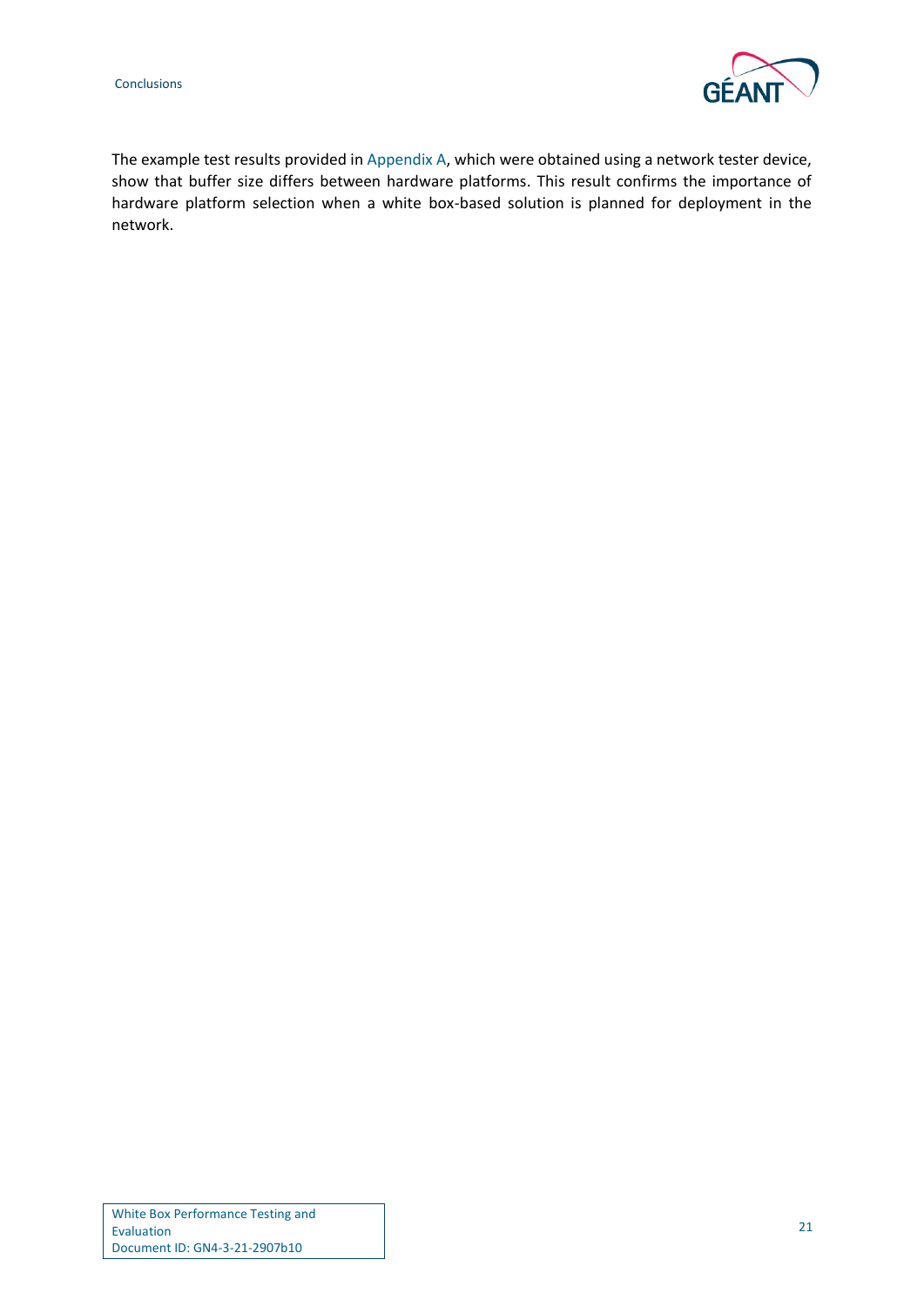

The example test results provided i[n Appendix A,](#page-24-0) which were obtained using a network tester device, show that buffer size differs between hardware platforms. This result confirms the importance of hardware platform selection when a white box-based solution is planned for deployment in the network.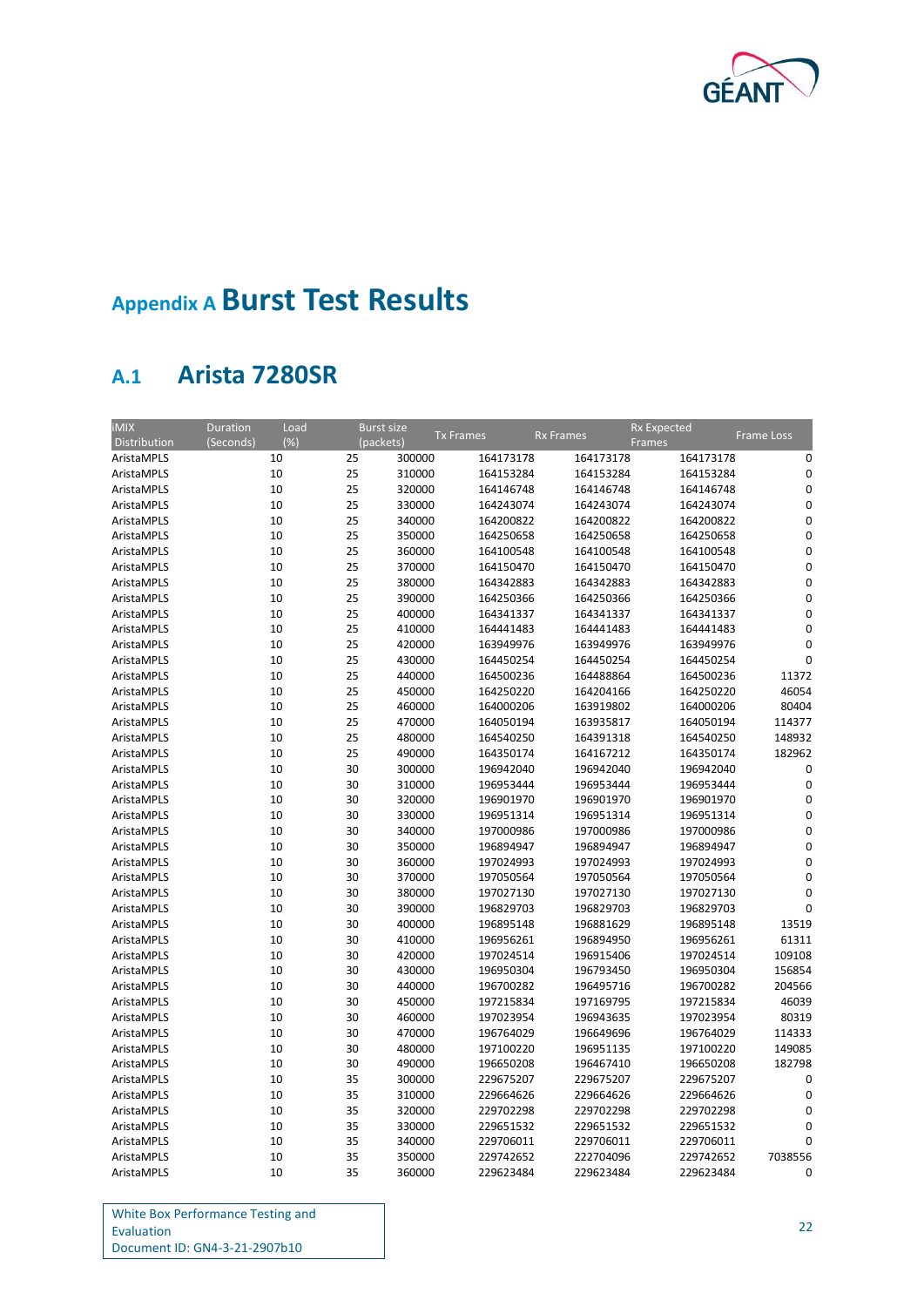

# <span id="page-24-0"></span>**Appendix A Burst Test Results**

## <span id="page-24-1"></span>**A.1 Arista 7280SR**

| <b>iMIX</b><br>Distribution | Load<br>Duration<br>(%)<br>(Seconds) |    | <b>Burst size</b><br>(packets) | <b>Tx Frames</b> | <b>Rx Frames</b> | <b>Rx Expected</b><br>Frames | <b>Frame Loss</b> |
|-----------------------------|--------------------------------------|----|--------------------------------|------------------|------------------|------------------------------|-------------------|
| AristaMPLS                  | 10                                   | 25 | 300000                         | 164173178        | 164173178        | 164173178                    | 0                 |
| AristaMPLS                  | 10                                   | 25 | 310000                         | 164153284        | 164153284        | 164153284                    | 0                 |
| AristaMPLS                  | 10                                   | 25 | 320000                         | 164146748        | 164146748        | 164146748                    | $\mathbf 0$       |
| AristaMPLS                  | 10                                   | 25 | 330000                         | 164243074        | 164243074        | 164243074                    | 0                 |
| AristaMPLS                  | 10                                   | 25 | 340000                         | 164200822        | 164200822        | 164200822                    | $\mathbf 0$       |
| AristaMPLS                  | 10                                   | 25 | 350000                         | 164250658        | 164250658        | 164250658                    | 0                 |
| AristaMPLS                  | 10                                   | 25 | 360000                         | 164100548        | 164100548        | 164100548                    | 0                 |
| AristaMPLS                  | 10                                   | 25 | 370000                         | 164150470        | 164150470        | 164150470                    | 0                 |
| AristaMPLS                  | 10                                   | 25 | 380000                         | 164342883        | 164342883        | 164342883                    | 0                 |
| AristaMPLS                  | 10                                   | 25 | 390000                         | 164250366        | 164250366        | 164250366                    | 0                 |
| AristaMPLS                  | 10                                   | 25 | 400000                         | 164341337        | 164341337        | 164341337                    | $\mathbf 0$       |
| AristaMPLS                  | 10                                   | 25 | 410000                         | 164441483        | 164441483        | 164441483                    | 0                 |
| AristaMPLS                  | 10                                   | 25 | 420000                         | 163949976        | 163949976        | 163949976                    | $\mathbf{0}$      |
| AristaMPLS                  | 10                                   | 25 | 430000                         | 164450254        | 164450254        | 164450254                    | $\mathbf 0$       |
| AristaMPLS                  | 10                                   | 25 | 440000                         | 164500236        | 164488864        | 164500236                    | 11372             |
| AristaMPLS                  | 10                                   | 25 | 450000                         | 164250220        | 164204166        | 164250220                    | 46054             |
| AristaMPLS                  | 10                                   | 25 | 460000                         | 164000206        | 163919802        | 164000206                    | 80404             |
| AristaMPLS                  | 10                                   | 25 | 470000                         | 164050194        | 163935817        | 164050194                    | 114377            |
| AristaMPLS                  | 10                                   | 25 | 480000                         | 164540250        | 164391318        | 164540250                    | 148932            |
| AristaMPLS                  | 10                                   | 25 | 490000                         | 164350174        | 164167212        | 164350174                    | 182962            |
| AristaMPLS                  | 10                                   | 30 | 300000                         | 196942040        | 196942040        | 196942040                    | 0                 |
| AristaMPLS                  | 10                                   | 30 | 310000                         | 196953444        | 196953444        | 196953444                    | 0                 |
| AristaMPLS                  | 10                                   | 30 | 320000                         | 196901970        | 196901970        | 196901970                    | 0                 |
| AristaMPLS                  | 10                                   | 30 | 330000                         | 196951314        | 196951314        | 196951314                    | 0                 |
| AristaMPLS                  | 10                                   | 30 | 340000                         | 197000986        | 197000986        | 197000986                    | $\mathbf 0$       |
| AristaMPLS                  | 10                                   | 30 | 350000                         | 196894947        | 196894947        | 196894947                    | $\mathbf 0$       |
| AristaMPLS                  | 10                                   | 30 | 360000                         | 197024993        | 197024993        | 197024993                    | $\mathbf 0$       |
| AristaMPLS                  | 10                                   | 30 | 370000                         | 197050564        | 197050564        | 197050564                    | $\mathbf 0$       |
| AristaMPLS                  | 10                                   | 30 | 380000                         | 197027130        | 197027130        | 197027130                    | $\mathbf 0$       |
| AristaMPLS                  | 10                                   | 30 | 390000                         | 196829703        | 196829703        | 196829703                    | $\Omega$          |
| AristaMPLS                  | 10                                   | 30 | 400000                         | 196895148        | 196881629        | 196895148                    | 13519             |
| AristaMPLS                  | 10                                   | 30 | 410000                         | 196956261        | 196894950        | 196956261                    | 61311             |
| AristaMPLS                  | 10                                   | 30 | 420000                         | 197024514        | 196915406        | 197024514                    | 109108            |
| AristaMPLS                  | 10                                   | 30 | 430000                         | 196950304        | 196793450        | 196950304                    | 156854            |
| AristaMPLS                  | 10                                   | 30 | 440000                         | 196700282        | 196495716        | 196700282                    | 204566            |
| AristaMPLS                  | 10                                   | 30 | 450000                         | 197215834        | 197169795        | 197215834                    | 46039             |
| AristaMPLS                  | 10                                   | 30 | 460000                         | 197023954        | 196943635        | 197023954                    | 80319             |
| AristaMPLS                  | 10                                   | 30 | 470000                         | 196764029        | 196649696        | 196764029                    | 114333            |
| AristaMPLS                  | 10                                   | 30 | 480000                         | 197100220        | 196951135        | 197100220                    | 149085            |
| AristaMPLS                  | 10                                   | 30 | 490000                         | 196650208        | 196467410        | 196650208                    | 182798            |
| AristaMPLS                  | 10                                   | 35 | 300000                         | 229675207        | 229675207        | 229675207                    | 0                 |
| AristaMPLS                  | 10                                   | 35 | 310000                         | 229664626        | 229664626        | 229664626                    | $\mathbf{0}$      |
| AristaMPLS                  | 10                                   | 35 | 320000                         | 229702298        | 229702298        | 229702298                    | 0                 |
| AristaMPLS                  | 10                                   | 35 | 330000                         | 229651532        | 229651532        | 229651532                    | $\mathbf{0}$      |
| AristaMPLS                  | 10                                   | 35 | 340000                         | 229706011        | 229706011        | 229706011                    | 0                 |
| AristaMPLS                  | 10                                   | 35 | 350000                         | 229742652        | 222704096        | 229742652                    | 7038556           |
| AristaMPLS                  | 10                                   | 35 | 360000                         | 229623484        | 229623484        | 229623484                    | 0                 |

| White Box Performance Testing and |
|-----------------------------------|
| Evaluation                        |
| Document ID: GN4-3-21-2907b10     |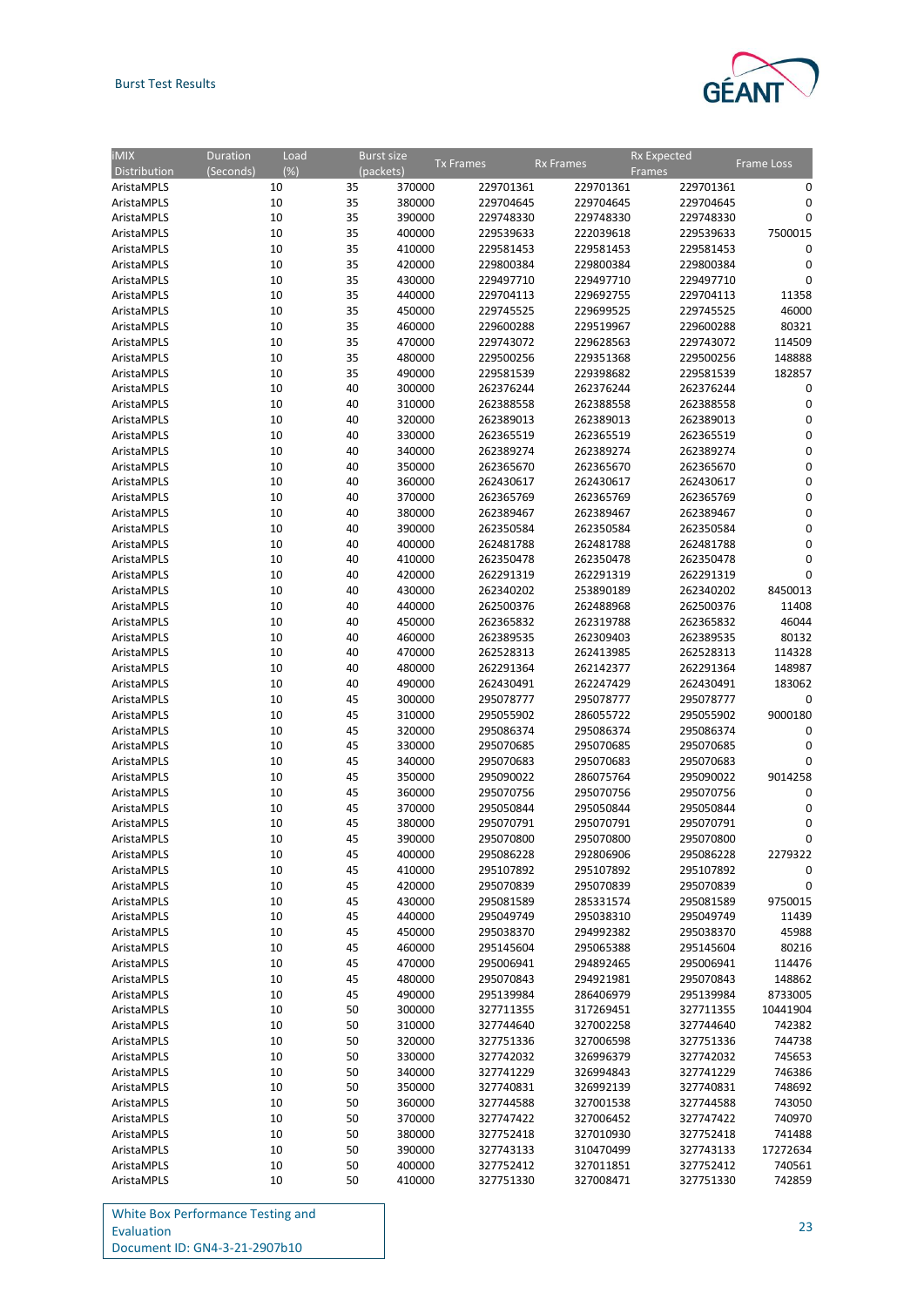

| $\overline{IMIX}$ | Duration<br>Load |          | <b>Burst size</b> | <b>Tx Frames</b>       | <b>Rx Frames</b> | <b>Rx Expected</b> | Frame Loss       |
|-------------------|------------------|----------|-------------------|------------------------|------------------|--------------------|------------------|
| Distribution      | (%)<br>(Seconds) |          | (packets)         |                        |                  | <b>Frames</b>      |                  |
| AristaMPLS        | 10               | 35       | 370000            | 229701361              | 229701361        | 229701361          | 0                |
| AristaMPLS        | 10               | 35       | 380000            | 229704645              | 229704645        | 229704645          | 0                |
| AristaMPLS        | 10               | 35       | 390000            | 229748330              | 229748330        | 229748330          | 0                |
| AristaMPLS        | 10               | 35       | 400000            | 229539633              | 222039618        | 229539633          | 7500015          |
| AristaMPLS        | 10               | 35       | 410000            | 229581453              | 229581453        | 229581453          | 0                |
| AristaMPLS        | 10               | 35       | 420000            | 229800384              | 229800384        | 229800384          | 0                |
| AristaMPLS        | 10               | 35       | 430000            | 229497710              | 229497710        | 229497710          | 0                |
| AristaMPLS        | 10               | 35       | 440000            | 229704113              | 229692755        | 229704113          | 11358            |
| AristaMPLS        | 10               | 35       | 450000            | 229745525              | 229699525        | 229745525          | 46000            |
| AristaMPLS        | 10               | 35       | 460000            | 229600288              | 229519967        | 229600288          | 80321            |
| AristaMPLS        | 10               | 35       | 470000            | 229743072              | 229628563        | 229743072          | 114509           |
| AristaMPLS        | 10               | 35       | 480000            | 229500256              | 229351368        | 229500256          | 148888           |
| AristaMPLS        | 10               | 35       | 490000            | 229581539              | 229398682        | 229581539          | 182857           |
| AristaMPLS        | 10               | 40       | 300000            | 262376244              | 262376244        | 262376244          | 0                |
| AristaMPLS        | 10               | 40       | 310000            | 262388558              | 262388558        | 262388558          | 0                |
| AristaMPLS        | 10               | 40       | 320000            | 262389013              | 262389013        | 262389013          | 0                |
| AristaMPLS        | 10               | 40       | 330000            | 262365519              | 262365519        | 262365519          | 0                |
| AristaMPLS        | 10               | 40       | 340000            | 262389274              | 262389274        | 262389274          | 0                |
| AristaMPLS        | 10               | 40       | 350000            | 262365670              | 262365670        | 262365670          | 0                |
| AristaMPLS        | 10               | 40       | 360000            | 262430617              | 262430617        | 262430617          | 0                |
| AristaMPLS        | 10               | 40       | 370000            | 262365769              | 262365769        | 262365769          | 0                |
| AristaMPLS        | 10               | 40       | 380000            | 262389467              | 262389467        | 262389467          | 0                |
| AristaMPLS        | 10               | 40       | 390000            | 262350584              | 262350584        | 262350584          | 0                |
| AristaMPLS        | 10               | 40       | 400000            | 262481788              | 262481788        | 262481788          | 0                |
| AristaMPLS        | 10               | 40       | 410000            | 262350478              | 262350478        | 262350478          | 0                |
| AristaMPLS        | 10               | 40       | 420000            | 262291319              | 262291319        | 262291319          | $\Omega$         |
| AristaMPLS        | 10               | 40       | 430000            | 262340202              | 253890189        | 262340202          | 8450013          |
| AristaMPLS        | 10               | 40       | 440000            | 262500376              | 262488968        | 262500376          | 11408            |
| AristaMPLS        | 10               | 40       | 450000            | 262365832              | 262319788        | 262365832          | 46044            |
| AristaMPLS        | 10               | 40       | 460000            | 262389535              | 262309403        | 262389535          | 80132            |
| AristaMPLS        | 10               | 40       | 470000            | 262528313              | 262413985        | 262528313          | 114328           |
| AristaMPLS        | 10               | 40       | 480000            | 262291364              | 262142377        | 262291364          | 148987           |
| AristaMPLS        | 10               | 40       | 490000            | 262430491              | 262247429        | 262430491          | 183062           |
| AristaMPLS        | 10               | 45       | 300000            | 295078777              | 295078777        | 295078777          | 0                |
| AristaMPLS        | 10               | 45       | 310000            | 295055902              | 286055722        | 295055902          | 9000180          |
| AristaMPLS        | 10               | 45       | 320000            | 295086374              | 295086374        | 295086374          | 0                |
| AristaMPLS        | 10               | 45       | 330000            | 295070685              | 295070685        | 295070685          | 0                |
| AristaMPLS        | 10               | 45       | 340000            | 295070683              | 295070683        | 295070683          | $\mathbf 0$      |
|                   |                  | 45       | 350000            |                        | 286075764        |                    | 9014258          |
| AristaMPLS        | 10<br>10         | 45       | 360000            | 295090022<br>295070756 | 295070756        | 295090022          | 0                |
| AristaMPLS        |                  |          |                   |                        |                  | 295070756          | 0                |
| AristaMPLS        | 10               | 45<br>45 | 370000<br>380000  | 295050844              | 295050844        | 295050844          |                  |
| AristaMPLS        | 10               |          |                   | 295070791              | 295070791        | 295070791          | 0<br>$\mathbf 0$ |
| AristaMPLS        | 10               | 45       | 390000            | 295070800              | 295070800        | 295070800          |                  |
| AristaMPLS        | 10               | 45       | 400000            | 295086228              | 292806906        | 295086228          | 2279322          |
| AristaMPLS        | 10               | 45       | 410000            | 295107892              | 295107892        | 295107892          | 0                |
| AristaMPLS        | 10               | 45       | 420000            | 295070839              | 295070839        | 295070839          | 0                |
| AristaMPLS        | 10               | 45       | 430000            | 295081589              | 285331574        | 295081589          | 9750015          |
| AristaMPLS        | 10               | 45       | 440000            | 295049749              | 295038310        | 295049749          | 11439            |
| AristaMPLS        | 10               | 45       | 450000            | 295038370              | 294992382        | 295038370          | 45988            |
| AristaMPLS        | 10               | 45       | 460000            | 295145604              | 295065388        | 295145604          | 80216            |
| AristaMPLS        | 10               | 45       | 470000            | 295006941              | 294892465        | 295006941          | 114476           |
| AristaMPLS        | 10               | 45       | 480000            | 295070843              | 294921981        | 295070843          | 148862           |
| AristaMPLS        | 10               | 45       | 490000            | 295139984              | 286406979        | 295139984          | 8733005          |
| AristaMPLS        | 10               | 50       | 300000            | 327711355              | 317269451        | 327711355          | 10441904         |
| AristaMPLS        | 10               | 50       | 310000            | 327744640              | 327002258        | 327744640          | 742382           |
| AristaMPLS        | 10               | 50       | 320000            | 327751336              | 327006598        | 327751336          | 744738           |
| AristaMPLS        | 10               | 50       | 330000            | 327742032              | 326996379        | 327742032          | 745653           |
| AristaMPLS        | 10               | 50       | 340000            | 327741229              | 326994843        | 327741229          | 746386           |
| AristaMPLS        | 10               | 50       | 350000            | 327740831              | 326992139        | 327740831          | 748692           |
| AristaMPLS        | 10               | 50       | 360000            | 327744588              | 327001538        | 327744588          | 743050           |
| AristaMPLS        | 10               | 50       | 370000            | 327747422              | 327006452        | 327747422          | 740970           |
| AristaMPLS        | 10               | 50       | 380000            | 327752418              | 327010930        | 327752418          | 741488           |
| AristaMPLS        | 10               | 50       | 390000            | 327743133              | 310470499        | 327743133          | 17272634         |
| AristaMPLS        | 10               | 50       | 400000            | 327752412              | 327011851        | 327752412          | 740561           |
| AristaMPLS        | 10               | 50       | 410000            | 327751330              | 327008471        | 327751330          | 742859           |
|                   |                  |          |                   |                        |                  |                    |                  |

| <b>White Box Performance Testing and</b> |
|------------------------------------------|
| Evaluation                               |
| Document ID: GN4-3-21-2907b10            |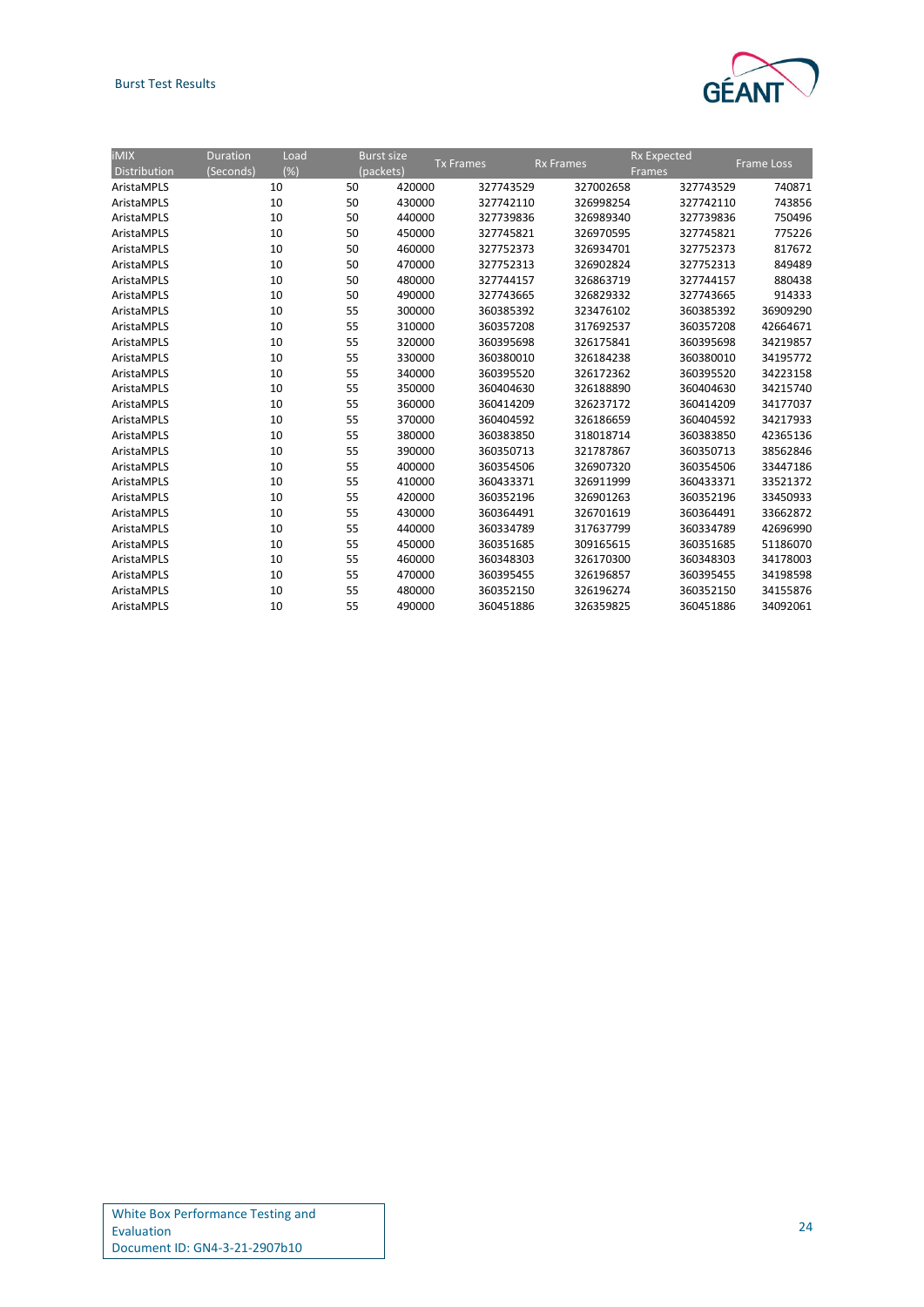### Burst Test Results



| $i$ MIX<br>Distribution | <b>Duration</b><br>(Seconds) | Load<br>(%) | <b>Burst size</b><br>(packets) | <b>Tx Frames</b> | <b>Rx Frames</b> | <b>Frames</b> | <b>Rx Expected</b> | <b>Frame Loss</b> |
|-------------------------|------------------------------|-------------|--------------------------------|------------------|------------------|---------------|--------------------|-------------------|
| AristaMPLS              |                              | 10<br>50    |                                | 420000           | 327743529        | 327002658     | 327743529          | 740871            |
| AristaMPLS              |                              | 10<br>50    |                                | 430000           | 327742110        | 326998254     | 327742110          | 743856            |
| AristaMPLS              |                              | 10<br>50    |                                | 440000           | 327739836        | 326989340     | 327739836          | 750496            |
| AristaMPLS              |                              | 10<br>50    |                                | 450000           | 327745821        | 326970595     | 327745821          | 775226            |
| AristaMPLS              |                              | 50<br>10    |                                | 460000           | 327752373        | 326934701     | 327752373          | 817672            |
| AristaMPLS              |                              | 10<br>50    |                                | 470000           | 327752313        | 326902824     | 327752313          | 849489            |
| AristaMPLS              |                              | 10<br>50    |                                | 480000           | 327744157        | 326863719     | 327744157          | 880438            |
| AristaMPLS              |                              | 50<br>10    |                                | 490000           | 327743665        | 326829332     | 327743665          | 914333            |
| AristaMPLS              |                              | 10<br>55    |                                | 300000           | 360385392        | 323476102     | 360385392          | 36909290          |
| AristaMPLS              |                              | 10<br>55    |                                | 310000           | 360357208        | 317692537     | 360357208          | 42664671          |
| AristaMPLS              |                              | 10<br>55    |                                | 320000           | 360395698        | 326175841     | 360395698          | 34219857          |
| AristaMPLS              |                              | 10<br>55    |                                | 330000           | 360380010        | 326184238     | 360380010          | 34195772          |
| AristaMPLS              |                              | 55<br>10    |                                | 340000           | 360395520        | 326172362     | 360395520          | 34223158          |
| AristaMPLS              |                              | 55<br>10    |                                | 350000           | 360404630        | 326188890     | 360404630          | 34215740          |
| AristaMPLS              |                              | 55<br>10    |                                | 360000           | 360414209        | 326237172     | 360414209          | 34177037          |
| AristaMPLS              |                              | 55<br>10    |                                | 370000           | 360404592        | 326186659     | 360404592          | 34217933          |
| AristaMPLS              |                              | 55<br>10    |                                | 380000           | 360383850        | 318018714     | 360383850          | 42365136          |
| AristaMPLS              |                              | 55<br>10    |                                | 390000           | 360350713        | 321787867     | 360350713          | 38562846          |
| AristaMPLS              |                              | 55<br>10    |                                | 400000           | 360354506        | 326907320     | 360354506          | 33447186          |
| AristaMPLS              |                              | 55<br>10    |                                | 410000           | 360433371        | 326911999     | 360433371          | 33521372          |
| AristaMPLS              |                              | 55<br>10    |                                | 420000           | 360352196        | 326901263     | 360352196          | 33450933          |
| AristaMPLS              |                              | 55<br>10    |                                | 430000           | 360364491        | 326701619     | 360364491          | 33662872          |
| AristaMPLS              |                              | 55<br>10    |                                | 440000           | 360334789        | 317637799     | 360334789          | 42696990          |
| AristaMPLS              |                              | 55<br>10    |                                | 450000           | 360351685        | 309165615     | 360351685          | 51186070          |
| AristaMPLS              |                              | 55<br>10    |                                | 460000           | 360348303        | 326170300     | 360348303          | 34178003          |
| AristaMPLS              |                              | 55<br>10    |                                | 470000           | 360395455        | 326196857     | 360395455          | 34198598          |
| AristaMPLS              |                              | 10<br>55    |                                | 480000           | 360352150        | 326196274     | 360352150          | 34155876          |
| AristaMPLS              |                              | 55<br>10    |                                | 490000           | 360451886        | 326359825     | 360451886          | 34092061          |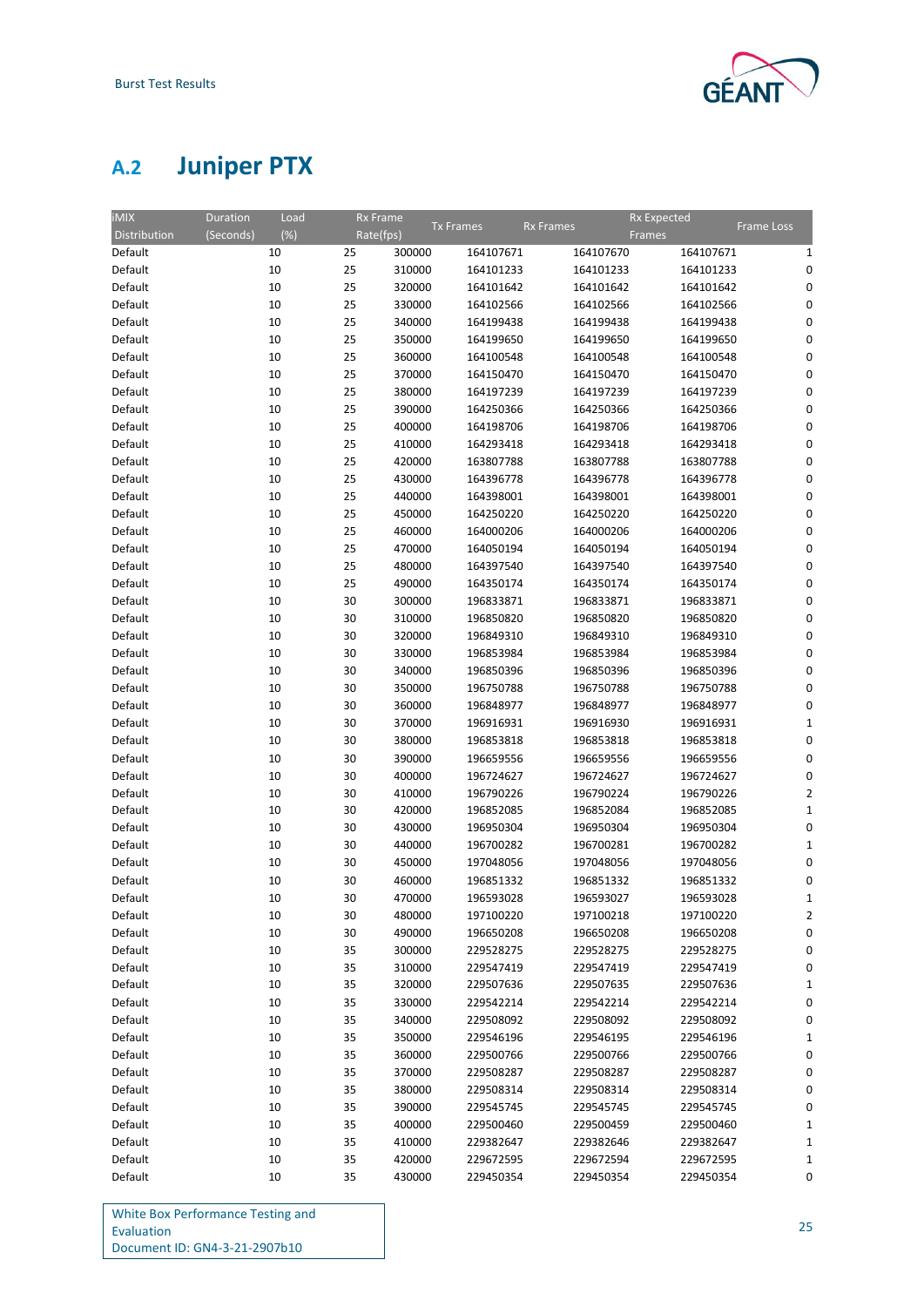

# <span id="page-27-0"></span>**A.2 Juniper PTX**

| <b>iMIX</b>  | <b>Duration</b><br>Load |           | <b>Rx Frame</b> |                  |                  | <b>Rx Expected</b> |                         |
|--------------|-------------------------|-----------|-----------------|------------------|------------------|--------------------|-------------------------|
| Distribution | (%)<br>(Seconds)        | Rate(fps) |                 | <b>Tx Frames</b> | <b>Rx Frames</b> | Frames             | Frame Loss              |
| Default      | 10                      | 25        | 300000          | 164107671        | 164107670        | 164107671          | 1                       |
| Default      | 10                      | 25        | 310000          | 164101233        | 164101233        | 164101233          | 0                       |
| Default      | 10                      | 25        | 320000          | 164101642        | 164101642        | 164101642          | 0                       |
| Default      | 10                      | 25        | 330000          | 164102566        | 164102566        | 164102566          | 0                       |
| Default      | 10                      | 25        | 340000          | 164199438        | 164199438        | 164199438          | 0                       |
| Default      | 10                      | 25        | 350000          | 164199650        | 164199650        | 164199650          | 0                       |
| Default      | 10                      | 25        | 360000          | 164100548        | 164100548        | 164100548          | 0                       |
| Default      | 10                      | 25        | 370000          | 164150470        | 164150470        | 164150470          | 0                       |
|              |                         |           | 380000          |                  |                  |                    | 0                       |
| Default      | 10                      | 25        |                 | 164197239        | 164197239        | 164197239          |                         |
| Default      | 10                      | 25        | 390000          | 164250366        | 164250366        | 164250366          | 0                       |
| Default      | 10                      | 25        | 400000          | 164198706        | 164198706        | 164198706          | 0                       |
| Default      | 10                      | 25        | 410000          | 164293418        | 164293418        | 164293418          | 0                       |
| Default      | 10                      | 25        | 420000          | 163807788        | 163807788        | 163807788          | 0                       |
| Default      | 10                      | 25        | 430000          | 164396778        | 164396778        | 164396778          | 0                       |
| Default      | 10                      | 25        | 440000          | 164398001        | 164398001        | 164398001          | 0                       |
| Default      | 10                      | 25        | 450000          | 164250220        | 164250220        | 164250220          | 0                       |
| Default      | 10                      | 25        | 460000          | 164000206        | 164000206        | 164000206          | 0                       |
| Default      | 10                      | 25        | 470000          | 164050194        | 164050194        | 164050194          | 0                       |
| Default      | 10                      | 25        | 480000          | 164397540        | 164397540        | 164397540          | 0                       |
| Default      | 10                      | 25        | 490000          | 164350174        | 164350174        | 164350174          | 0                       |
| Default      | 10                      | 30        | 300000          | 196833871        | 196833871        | 196833871          | 0                       |
| Default      | 10                      | 30        | 310000          | 196850820        | 196850820        | 196850820          | 0                       |
| Default      | 10                      | 30        | 320000          | 196849310        | 196849310        | 196849310          | 0                       |
| Default      | 10                      | 30        | 330000          | 196853984        | 196853984        | 196853984          | 0                       |
| Default      | 10                      | 30        | 340000          | 196850396        | 196850396        | 196850396          | 0                       |
| Default      | 10                      | 30        | 350000          | 196750788        | 196750788        | 196750788          | 0                       |
| Default      | 10                      | 30        | 360000          | 196848977        | 196848977        | 196848977          | 0                       |
| Default      | 10                      | 30        | 370000          | 196916931        | 196916930        | 196916931          | 1                       |
| Default      | 10                      | 30        | 380000          | 196853818        | 196853818        | 196853818          | 0                       |
| Default      | 10                      | 30        | 390000          | 196659556        | 196659556        | 196659556          | 0                       |
| Default      | 10                      | 30        | 400000          | 196724627        | 196724627        | 196724627          | 0                       |
| Default      | 10                      | 30        | 410000          | 196790226        | 196790224        | 196790226          | $\overline{2}$          |
| Default      | 10                      | 30        | 420000          | 196852085        | 196852084        | 196852085          | $\mathbf{1}$            |
| Default      | 10                      | 30        | 430000          | 196950304        | 196950304        | 196950304          | 0                       |
| Default      | 10                      | 30        | 440000          | 196700282        | 196700281        | 196700282          | $\mathbf{1}$            |
| Default      | 10                      | 30        | 450000          | 197048056        | 197048056        | 197048056          | 0                       |
| Default      | 10                      | 30        | 460000          | 196851332        | 196851332        | 196851332          | 0                       |
| Default      | 10                      | 30        | 470000          | 196593028        | 196593027        | 196593028          | $\mathbf{1}$            |
| Default      | 10                      | 30        | 480000          | 197100220        | 197100218        | 197100220          | $\overline{\mathbf{2}}$ |
| Default      | 10                      | 30        | 490000          | 196650208        | 196650208        | 196650208          | 0                       |
|              |                         |           |                 |                  |                  |                    |                         |
| Default      | 10                      | 35        | 300000          | 229528275        | 229528275        | 229528275          | 0                       |
| Default      | 10                      | 35        | 310000          | 229547419        | 229547419        | 229547419          | 0                       |
| Default      | 10                      | 35        | 320000          | 229507636        | 229507635        | 229507636          | 1                       |
| Default      | 10                      | 35        | 330000          | 229542214        | 229542214        | 229542214          | 0                       |
| Default      | 10                      | 35        | 340000          | 229508092        | 229508092        | 229508092          | 0                       |
| Default      | 10                      | 35        | 350000          | 229546196        | 229546195        | 229546196          | 1                       |
| Default      | 10                      | 35        | 360000          | 229500766        | 229500766        | 229500766          | 0                       |
| Default      | 10                      | 35        | 370000          | 229508287        | 229508287        | 229508287          | 0                       |
| Default      | 10                      | 35        | 380000          | 229508314        | 229508314        | 229508314          | 0                       |
| Default      | 10                      | 35        | 390000          | 229545745        | 229545745        | 229545745          | 0                       |
| Default      | 10                      | 35        | 400000          | 229500460        | 229500459        | 229500460          | 1                       |
| Default      | 10                      | 35        | 410000          | 229382647        | 229382646        | 229382647          | 1                       |
| Default      | 10                      | 35        | 420000          | 229672595        | 229672594        | 229672595          | 1                       |
| Default      | 10                      | 35        | 430000          | 229450354        | 229450354        | 229450354          | 0                       |

| <b>White Box Performance Testing and</b> |
|------------------------------------------|
| Evaluation                               |
| Document ID: GN4-3-21-2907b10            |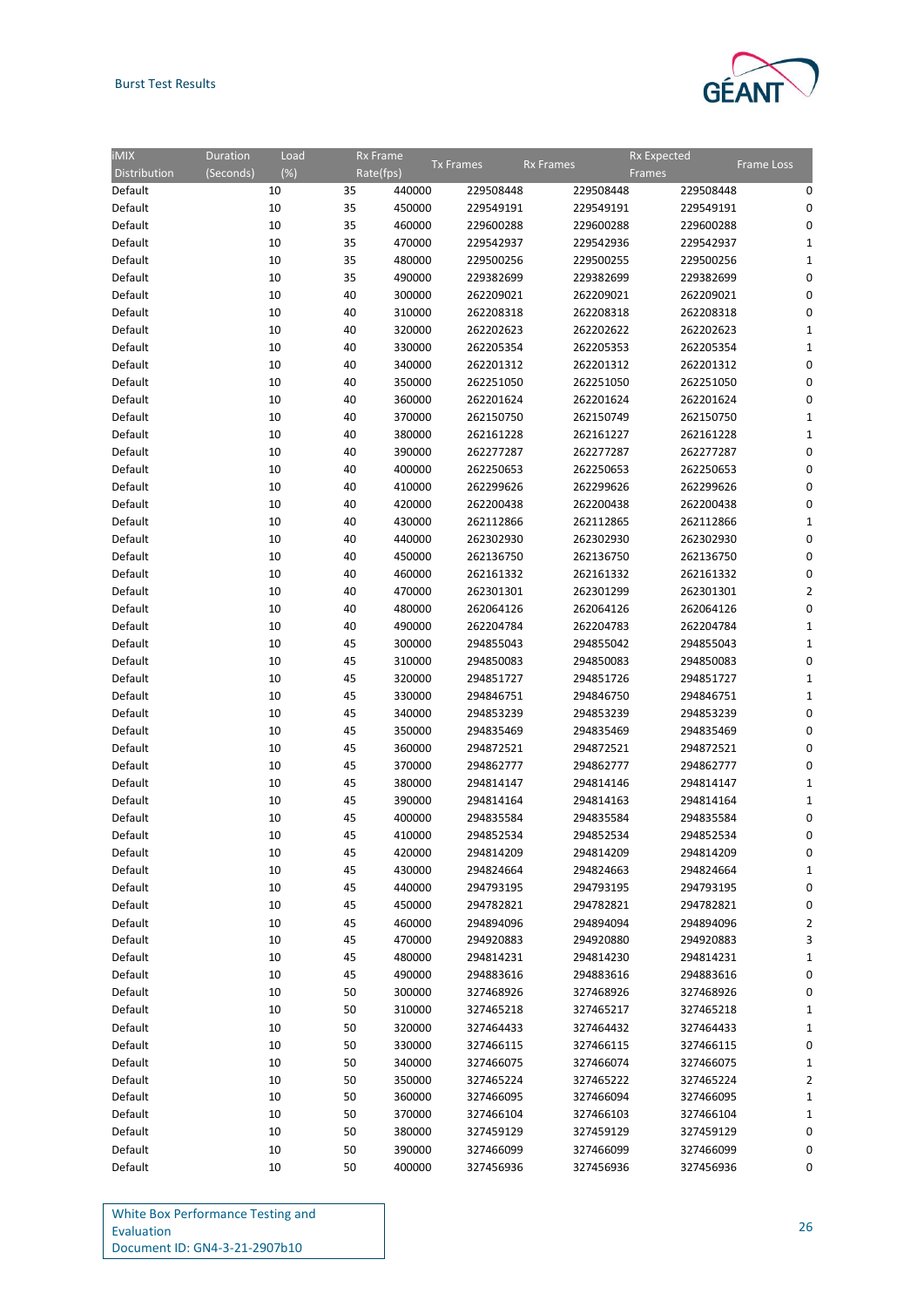

| <b>iMIX</b>  | Duration<br>Load    | Rx Frame  | <b>Tx Frames</b> |           | <b>Rx Frames</b> | <b>Rx Expected</b> | <b>Frame Loss</b> |
|--------------|---------------------|-----------|------------------|-----------|------------------|--------------------|-------------------|
| Distribution | $(\%)$<br>(Seconds) | Rate(fps) |                  |           |                  | <b>Frames</b>      |                   |
| Default      | 10                  | 35        | 440000           | 229508448 | 229508448        | 229508448          | 0                 |
| Default      | 10                  | 35        | 450000           | 229549191 | 229549191        | 229549191          | 0                 |
| Default      | 10                  | 35        | 460000           | 229600288 | 229600288        | 229600288          | 0                 |
| Default      | 10                  | 35        | 470000           | 229542937 | 229542936        | 229542937          | $\mathbf{1}$      |
| Default      | 10                  | 35        | 480000           | 229500256 | 229500255        | 229500256          | $\mathbf{1}$      |
| Default      | 10                  | 35        | 490000           | 229382699 | 229382699        | 229382699          | 0                 |
| Default      | 10                  | 40        | 300000           | 262209021 | 262209021        | 262209021          | 0                 |
| Default      | 10                  | 40        | 310000           | 262208318 | 262208318        | 262208318          | 0                 |
| Default      | 10                  | 40        | 320000           | 262202623 | 262202622        | 262202623          | 1                 |
| Default      | 10                  | 40        | 330000           | 262205354 | 262205353        | 262205354          | $\mathbf{1}$      |
| Default      | 10                  | 40        | 340000           | 262201312 | 262201312        | 262201312          | 0                 |
| Default      | 10                  | 40        | 350000           | 262251050 | 262251050        | 262251050          | 0                 |
| Default      | 10                  | 40        | 360000           | 262201624 | 262201624        | 262201624          | 0                 |
| Default      | 10                  | 40        | 370000           | 262150750 | 262150749        | 262150750          | 1                 |
| Default      | 10                  | 40        | 380000           | 262161228 | 262161227        | 262161228          | $\mathbf{1}$      |
|              |                     |           |                  |           |                  |                    | 0                 |
| Default      | 10                  | 40        | 390000           | 262277287 | 262277287        | 262277287          |                   |
| Default      | 10                  | 40        | 400000           | 262250653 | 262250653        | 262250653          | 0                 |
| Default      | 10                  | 40        | 410000           | 262299626 | 262299626        | 262299626          | $\mathbf 0$       |
| Default      | 10                  | 40        | 420000           | 262200438 | 262200438        | 262200438          | 0                 |
| Default      | 10                  | 40        | 430000           | 262112866 | 262112865        | 262112866          | 1                 |
| Default      | 10                  | 40        | 440000           | 262302930 | 262302930        | 262302930          | 0                 |
| Default      | 10                  | 40        | 450000           | 262136750 | 262136750        | 262136750          | 0                 |
| Default      | 10                  | 40        | 460000           | 262161332 | 262161332        | 262161332          | 0                 |
| Default      | 10                  | 40        | 470000           | 262301301 | 262301299        | 262301301          | $\overline{2}$    |
| Default      | 10                  | 40        | 480000           | 262064126 | 262064126        | 262064126          | $\mathbf 0$       |
| Default      | 10                  | 40        | 490000           | 262204784 | 262204783        | 262204784          | $\mathbf{1}$      |
| Default      | 10                  | 45        | 300000           | 294855043 | 294855042        | 294855043          | $\mathbf{1}$      |
| Default      | 10                  | 45        | 310000           | 294850083 | 294850083        | 294850083          | 0                 |
| Default      | 10                  | 45        | 320000           | 294851727 | 294851726        | 294851727          | $\mathbf{1}$      |
| Default      | 10                  | 45        | 330000           | 294846751 | 294846750        | 294846751          | 1                 |
| Default      | 10                  | 45        | 340000           | 294853239 | 294853239        | 294853239          | 0                 |
| Default      | 10                  | 45        | 350000           | 294835469 | 294835469        | 294835469          | 0                 |
| Default      | 10                  | 45        | 360000           | 294872521 | 294872521        | 294872521          | 0                 |
| Default      | 10                  | 45        | 370000           | 294862777 | 294862777        | 294862777          | 0                 |
| Default      | 10                  | 45        | 380000           | 294814147 | 294814146        | 294814147          | $\mathbf{1}$      |
| Default      | 10                  | 45        | 390000           | 294814164 | 294814163        | 294814164          | 1                 |
| Default      | 10                  | 45        | 400000           | 294835584 | 294835584        | 294835584          | 0                 |
| Default      | 10                  | 45        | 410000           | 294852534 | 294852534        | 294852534          | 0                 |
| Default      | 10                  | 45        | 420000           | 294814209 | 294814209        | 294814209          | 0                 |
| Default      | 10                  | 45        | 430000           | 294824664 | 294824663        | 294824664          | 1                 |
| Default      | 10                  | 45        | 440000           | 294793195 | 294793195        | 294793195          | 0                 |
| Default      | 10                  | 45        | 450000           | 294782821 | 294782821        | 294782821          | 0                 |
| Default      | 10                  | 45        | 460000           | 294894096 | 294894094        | 294894096          | $\overline{2}$    |
| Default      | 10                  | 45        | 470000           | 294920883 | 294920880        | 294920883          | 3                 |
| Default      | 10                  | 45        | 480000           | 294814231 | 294814230        | 294814231          | 1                 |
| Default      | 10                  | 45        | 490000           | 294883616 | 294883616        | 294883616          | 0                 |
| Default      | 10                  | 50        | 300000           | 327468926 | 327468926        | 327468926          | 0                 |
| Default      | 10                  | 50        | 310000           | 327465218 | 327465217        | 327465218          | 1                 |
| Default      | 10                  | 50        | 320000           | 327464433 | 327464432        | 327464433          | $\mathbf{1}$      |
| Default      | 10                  | 50        | 330000           | 327466115 | 327466115        | 327466115          | 0                 |
| Default      | 10                  | 50        | 340000           | 327466075 | 327466074        | 327466075          | $\mathbf{1}$      |
| Default      | 10                  | 50        | 350000           | 327465224 | 327465222        | 327465224          | $\overline{2}$    |
| Default      | 10                  | 50        | 360000           | 327466095 | 327466094        | 327466095          | $\mathbf{1}$      |
| Default      | 10                  | 50        | 370000           | 327466104 | 327466103        | 327466104          | 1                 |
| Default      | 10                  | 50        | 380000           | 327459129 | 327459129        | 327459129          | 0                 |
| Default      | 10                  | 50        | 390000           | 327466099 | 327466099        | 327466099          | 0                 |
| Default      | 10                  | 50        | 400000           | 327456936 | 327456936        | 327456936          | 0                 |
|              |                     |           |                  |           |                  |                    |                   |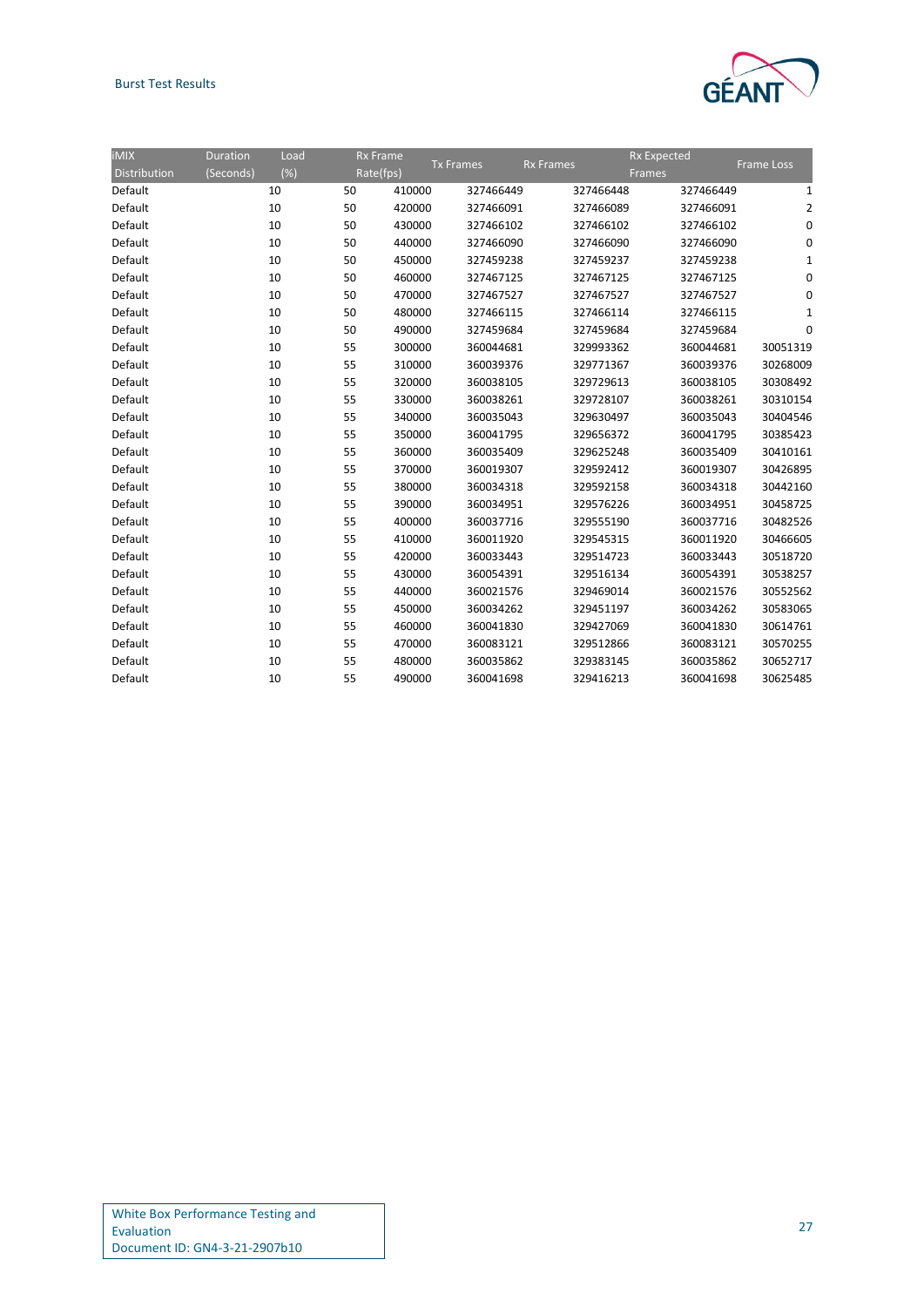### Burst Test Results



| <b>iMIX</b>  | <b>Duration</b> | Load | <b>Rx Frame</b> |                  |                  | <b>Rx Expected</b> |           |                   |
|--------------|-----------------|------|-----------------|------------------|------------------|--------------------|-----------|-------------------|
| Distribution | (Seconds)       | (%)  | Rate(fps)       | <b>Tx Frames</b> | <b>Rx Frames</b> | Frames             |           | <b>Frame Loss</b> |
| Default      |                 | 10   | 50              | 410000           | 327466449        | 327466448          | 327466449 | 1                 |
| Default      |                 | 10   | 50              | 420000           | 327466091        | 327466089          | 327466091 |                   |
| Default      |                 | 10   | 50              | 430000           | 327466102        | 327466102          | 327466102 |                   |
| Default      |                 | 10   | 50              | 440000           | 327466090        | 327466090          | 327466090 |                   |
| Default      |                 | 10   | 50              | 450000           | 327459238        | 327459237          | 327459238 |                   |
| Default      |                 | 10   | 50              | 460000           | 327467125        | 327467125          | 327467125 | 0                 |
| Default      |                 | 10   | 50              | 470000           | 327467527        | 327467527          | 327467527 |                   |
| Default      |                 | 10   | 50              | 480000           | 327466115        | 327466114          | 327466115 |                   |
| Default      |                 | 10   | 50              | 490000           | 327459684        | 327459684          | 327459684 | C                 |
| Default      |                 | 10   | 55              | 300000           | 360044681        | 329993362          | 360044681 | 30051319          |
| Default      |                 | 10   | 55              | 310000           | 360039376        | 329771367          | 360039376 | 30268009          |
| Default      |                 | 10   | 55              | 320000           | 360038105        | 329729613          | 360038105 | 30308492          |
| Default      |                 | 10   | 55              | 330000           | 360038261        | 329728107          | 360038261 | 30310154          |
| Default      |                 | 10   | 55              | 340000           | 360035043        | 329630497          | 360035043 | 30404546          |
| Default      |                 | 10   | 55              | 350000           | 360041795        | 329656372          | 360041795 | 30385423          |
| Default      |                 | 10   | 55              | 360000           | 360035409        | 329625248          | 360035409 | 30410161          |
| Default      |                 | 10   | 55              | 370000           | 360019307        | 329592412          | 360019307 | 30426895          |
| Default      |                 | 10   | 55              | 380000           | 360034318        | 329592158          | 360034318 | 30442160          |
| Default      |                 | 10   | 55              | 390000           | 360034951        | 329576226          | 360034951 | 30458725          |
| Default      |                 | 10   | 55              | 400000           | 360037716        | 329555190          | 360037716 | 30482526          |
| Default      |                 | 10   | 55              | 410000           | 360011920        | 329545315          | 360011920 | 30466605          |
| Default      |                 | 10   | 55              | 420000           | 360033443        | 329514723          | 360033443 | 30518720          |
| Default      |                 | 10   | 55              | 430000           | 360054391        | 329516134          | 360054391 | 30538257          |
| Default      |                 | 10   | 55              | 440000           | 360021576        | 329469014          | 360021576 | 30552562          |
| Default      |                 | 10   | 55              | 450000           | 360034262        | 329451197          | 360034262 | 30583065          |
| Default      |                 | 10   | 55              | 460000           | 360041830        | 329427069          | 360041830 | 30614761          |
| Default      |                 | 10   | 55              | 470000           | 360083121        | 329512866          | 360083121 | 30570255          |
| Default      |                 | 10   | 55              | 480000           | 360035862        | 329383145          | 360035862 | 30652717          |
| Default      |                 | 10   | 55              | 490000           | 360041698        | 329416213          | 360041698 | 30625485          |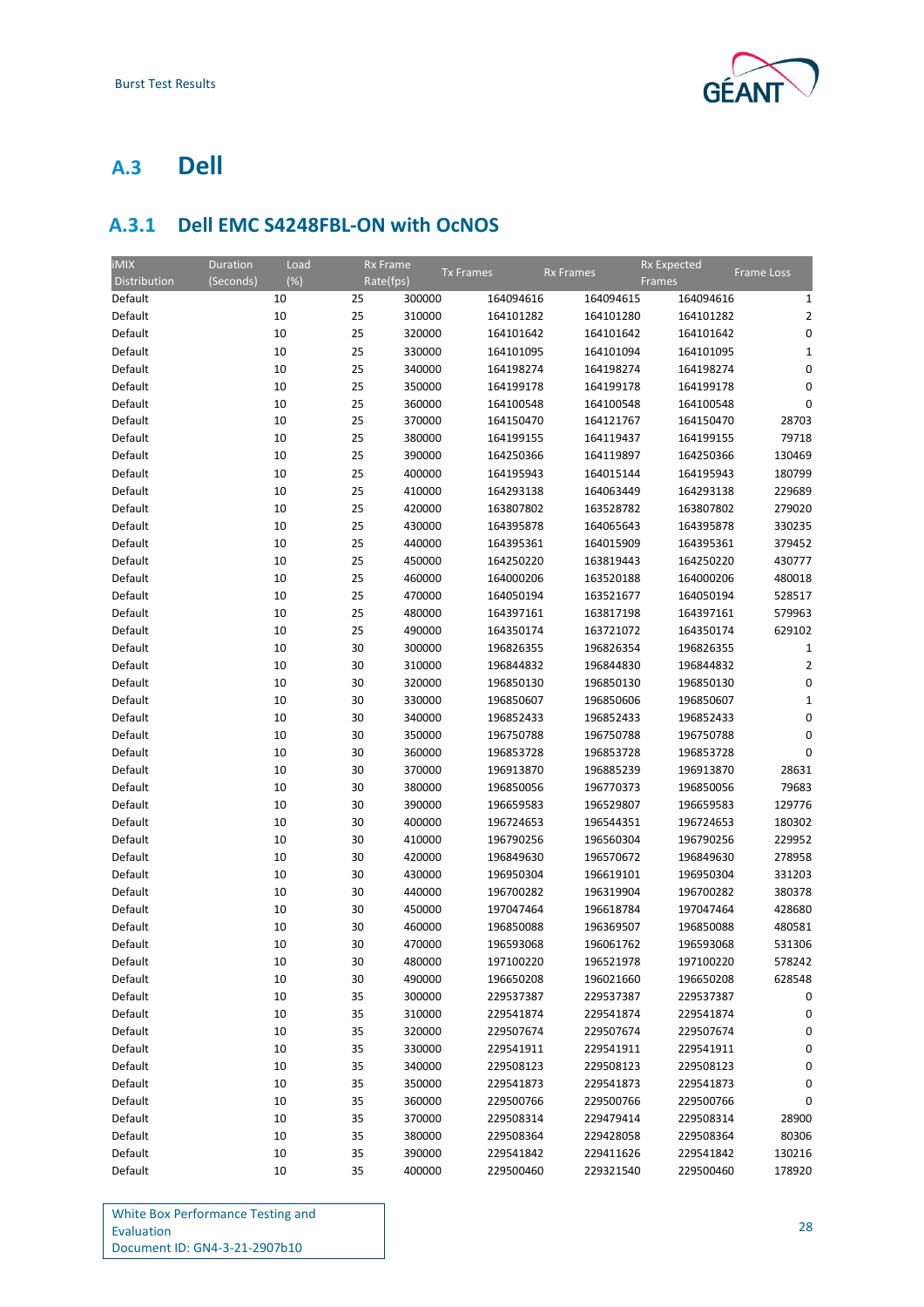

## <span id="page-30-0"></span>**A.3 Dell**

## <span id="page-30-1"></span>**A.3.1 Dell EMC S4248FBL-ON with OcNOS**

| <b>Tx Frames</b><br><b>Rx Frames</b><br>Frame Loss<br>$(\%)$<br>Distribution<br>(Seconds)<br>Rate(fps)<br>Frames<br>25<br>300000<br>164094616<br>164094615<br>164094616<br>Default<br>10<br>Default<br>10<br>25<br>310000<br>164101282<br>164101280<br>164101282<br>25<br>Default<br>10<br>320000<br>164101642<br>164101642<br>164101642<br>25<br>Default<br>10<br>330000<br>164101095<br>164101094<br>164101095<br>25<br>Default<br>10<br>340000<br>164198274<br>164198274<br>164198274<br>25<br>Default<br>10<br>350000<br>164199178<br>164199178<br>164199178 | 1<br>$\overline{2}$<br>0<br>$\mathbf{1}$<br>0<br>0<br>0<br>28703<br>79718 |
|------------------------------------------------------------------------------------------------------------------------------------------------------------------------------------------------------------------------------------------------------------------------------------------------------------------------------------------------------------------------------------------------------------------------------------------------------------------------------------------------------------------------------------------------------------------|---------------------------------------------------------------------------|
|                                                                                                                                                                                                                                                                                                                                                                                                                                                                                                                                                                  |                                                                           |
|                                                                                                                                                                                                                                                                                                                                                                                                                                                                                                                                                                  |                                                                           |
|                                                                                                                                                                                                                                                                                                                                                                                                                                                                                                                                                                  |                                                                           |
|                                                                                                                                                                                                                                                                                                                                                                                                                                                                                                                                                                  |                                                                           |
|                                                                                                                                                                                                                                                                                                                                                                                                                                                                                                                                                                  |                                                                           |
|                                                                                                                                                                                                                                                                                                                                                                                                                                                                                                                                                                  |                                                                           |
|                                                                                                                                                                                                                                                                                                                                                                                                                                                                                                                                                                  |                                                                           |
| 25<br>Default<br>10<br>360000<br>164100548<br>164100548<br>164100548                                                                                                                                                                                                                                                                                                                                                                                                                                                                                             |                                                                           |
| Default<br>10<br>25<br>370000<br>164150470<br>164121767<br>164150470                                                                                                                                                                                                                                                                                                                                                                                                                                                                                             |                                                                           |
| 25<br>Default<br>10<br>380000<br>164199155<br>164119437<br>164199155                                                                                                                                                                                                                                                                                                                                                                                                                                                                                             |                                                                           |
| Default<br>10<br>25<br>390000<br>164250366<br>164119897<br>164250366                                                                                                                                                                                                                                                                                                                                                                                                                                                                                             | 130469                                                                    |
| 25<br>Default<br>10<br>400000<br>164195943<br>164015144<br>164195943                                                                                                                                                                                                                                                                                                                                                                                                                                                                                             | 180799                                                                    |
| Default<br>10<br>25<br>410000<br>164293138<br>164063449<br>164293138                                                                                                                                                                                                                                                                                                                                                                                                                                                                                             | 229689                                                                    |
| 25<br>Default<br>10<br>420000<br>163807802<br>163528782<br>163807802                                                                                                                                                                                                                                                                                                                                                                                                                                                                                             | 279020                                                                    |
| 25<br>Default<br>10<br>430000<br>164395878<br>164065643<br>164395878                                                                                                                                                                                                                                                                                                                                                                                                                                                                                             | 330235                                                                    |
| 25<br>Default<br>10<br>440000<br>164395361<br>164015909<br>164395361                                                                                                                                                                                                                                                                                                                                                                                                                                                                                             | 379452                                                                    |
| Default<br>10<br>25<br>450000<br>164250220<br>163819443<br>164250220                                                                                                                                                                                                                                                                                                                                                                                                                                                                                             | 430777                                                                    |
| 10<br>25<br>Default<br>460000<br>164000206<br>163520188<br>164000206                                                                                                                                                                                                                                                                                                                                                                                                                                                                                             | 480018                                                                    |
| 25<br>Default<br>10<br>470000<br>164050194<br>163521677<br>164050194                                                                                                                                                                                                                                                                                                                                                                                                                                                                                             | 528517                                                                    |
| 25<br>Default<br>10<br>480000<br>164397161<br>163817198<br>164397161                                                                                                                                                                                                                                                                                                                                                                                                                                                                                             | 579963                                                                    |
| Default<br>10<br>25<br>490000<br>164350174<br>163721072<br>164350174                                                                                                                                                                                                                                                                                                                                                                                                                                                                                             | 629102                                                                    |
| 10<br>30<br>Default<br>300000<br>196826355<br>196826354<br>196826355                                                                                                                                                                                                                                                                                                                                                                                                                                                                                             | $\mathbf{1}$                                                              |
| Default<br>10<br>30<br>310000<br>196844832<br>196844830<br>196844832                                                                                                                                                                                                                                                                                                                                                                                                                                                                                             | $\overline{2}$                                                            |
| Default<br>10<br>30<br>320000<br>196850130<br>196850130<br>196850130                                                                                                                                                                                                                                                                                                                                                                                                                                                                                             | 0                                                                         |
| Default<br>10<br>30<br>330000<br>196850607<br>196850606<br>196850607                                                                                                                                                                                                                                                                                                                                                                                                                                                                                             | 1                                                                         |
| Default<br>10<br>30<br>340000<br>196852433<br>196852433<br>196852433                                                                                                                                                                                                                                                                                                                                                                                                                                                                                             | 0                                                                         |
| Default<br>10<br>30<br>350000<br>196750788<br>196750788<br>196750788                                                                                                                                                                                                                                                                                                                                                                                                                                                                                             | 0                                                                         |
| Default<br>10<br>30<br>360000<br>196853728<br>196853728<br>196853728                                                                                                                                                                                                                                                                                                                                                                                                                                                                                             | 0                                                                         |
| Default<br>10<br>30<br>196913870<br>370000<br>196885239<br>196913870                                                                                                                                                                                                                                                                                                                                                                                                                                                                                             | 28631                                                                     |
| 30<br>Default<br>10<br>380000<br>196850056<br>196770373<br>196850056                                                                                                                                                                                                                                                                                                                                                                                                                                                                                             | 79683                                                                     |
| Default<br>10<br>30<br>390000<br>196659583<br>196529807<br>196659583                                                                                                                                                                                                                                                                                                                                                                                                                                                                                             | 129776                                                                    |
| 30<br>Default<br>10<br>400000<br>196724653<br>196544351<br>196724653                                                                                                                                                                                                                                                                                                                                                                                                                                                                                             | 180302                                                                    |
| Default<br>10<br>30<br>410000<br>196790256<br>196560304<br>196790256                                                                                                                                                                                                                                                                                                                                                                                                                                                                                             | 229952                                                                    |
| 30<br>Default<br>10<br>420000<br>196849630<br>196570672<br>196849630                                                                                                                                                                                                                                                                                                                                                                                                                                                                                             | 278958                                                                    |
| Default<br>10<br>30<br>430000<br>196950304<br>196619101<br>196950304                                                                                                                                                                                                                                                                                                                                                                                                                                                                                             | 331203                                                                    |
| Default<br>10<br>30<br>440000<br>196700282<br>196319904<br>196700282                                                                                                                                                                                                                                                                                                                                                                                                                                                                                             | 380378                                                                    |
| Default<br>10<br>30<br>197047464<br>197047464<br>450000<br>196618784                                                                                                                                                                                                                                                                                                                                                                                                                                                                                             | 428680                                                                    |
| Default<br>30<br>10<br>460000<br>196850088<br>196369507<br>196850088                                                                                                                                                                                                                                                                                                                                                                                                                                                                                             | 480581                                                                    |
| 30<br>Default<br>10<br>470000<br>196593068<br>196061762<br>196593068                                                                                                                                                                                                                                                                                                                                                                                                                                                                                             | 531306                                                                    |
| Default<br>10<br>30<br>480000<br>197100220<br>196521978<br>197100220                                                                                                                                                                                                                                                                                                                                                                                                                                                                                             | 578242                                                                    |
| Default<br>10<br>30<br>490000<br>196650208<br>196021660<br>196650208                                                                                                                                                                                                                                                                                                                                                                                                                                                                                             | 628548                                                                    |
| 10<br>Default<br>35<br>300000<br>229537387<br>229537387<br>229537387                                                                                                                                                                                                                                                                                                                                                                                                                                                                                             | 0                                                                         |
| Default<br>10<br>35<br>310000<br>229541874<br>229541874<br>229541874                                                                                                                                                                                                                                                                                                                                                                                                                                                                                             | 0                                                                         |
| Default<br>10<br>35<br>320000<br>229507674<br>229507674<br>229507674                                                                                                                                                                                                                                                                                                                                                                                                                                                                                             | 0                                                                         |
| Default<br>35<br>10<br>330000<br>229541911<br>229541911<br>229541911                                                                                                                                                                                                                                                                                                                                                                                                                                                                                             | 0                                                                         |
| Default<br>10<br>35<br>340000<br>229508123<br>229508123<br>229508123                                                                                                                                                                                                                                                                                                                                                                                                                                                                                             | 0                                                                         |
| Default<br>35<br>10<br>350000<br>229541873<br>229541873<br>229541873                                                                                                                                                                                                                                                                                                                                                                                                                                                                                             | 0                                                                         |
| Default<br>10<br>35<br>360000<br>229500766<br>229500766<br>229500766                                                                                                                                                                                                                                                                                                                                                                                                                                                                                             | 0                                                                         |
| Default<br>35<br>10<br>370000<br>229508314<br>229479414<br>229508314                                                                                                                                                                                                                                                                                                                                                                                                                                                                                             | 28900                                                                     |
| Default<br>10<br>35<br>380000<br>229508364<br>229428058<br>229508364                                                                                                                                                                                                                                                                                                                                                                                                                                                                                             | 80306                                                                     |
| Default<br>35<br>229541842<br>229411626<br>229541842<br>10<br>390000                                                                                                                                                                                                                                                                                                                                                                                                                                                                                             | 130216                                                                    |
| Default<br>10<br>35<br>400000<br>229500460<br>229321540<br>229500460                                                                                                                                                                                                                                                                                                                                                                                                                                                                                             | 178920                                                                    |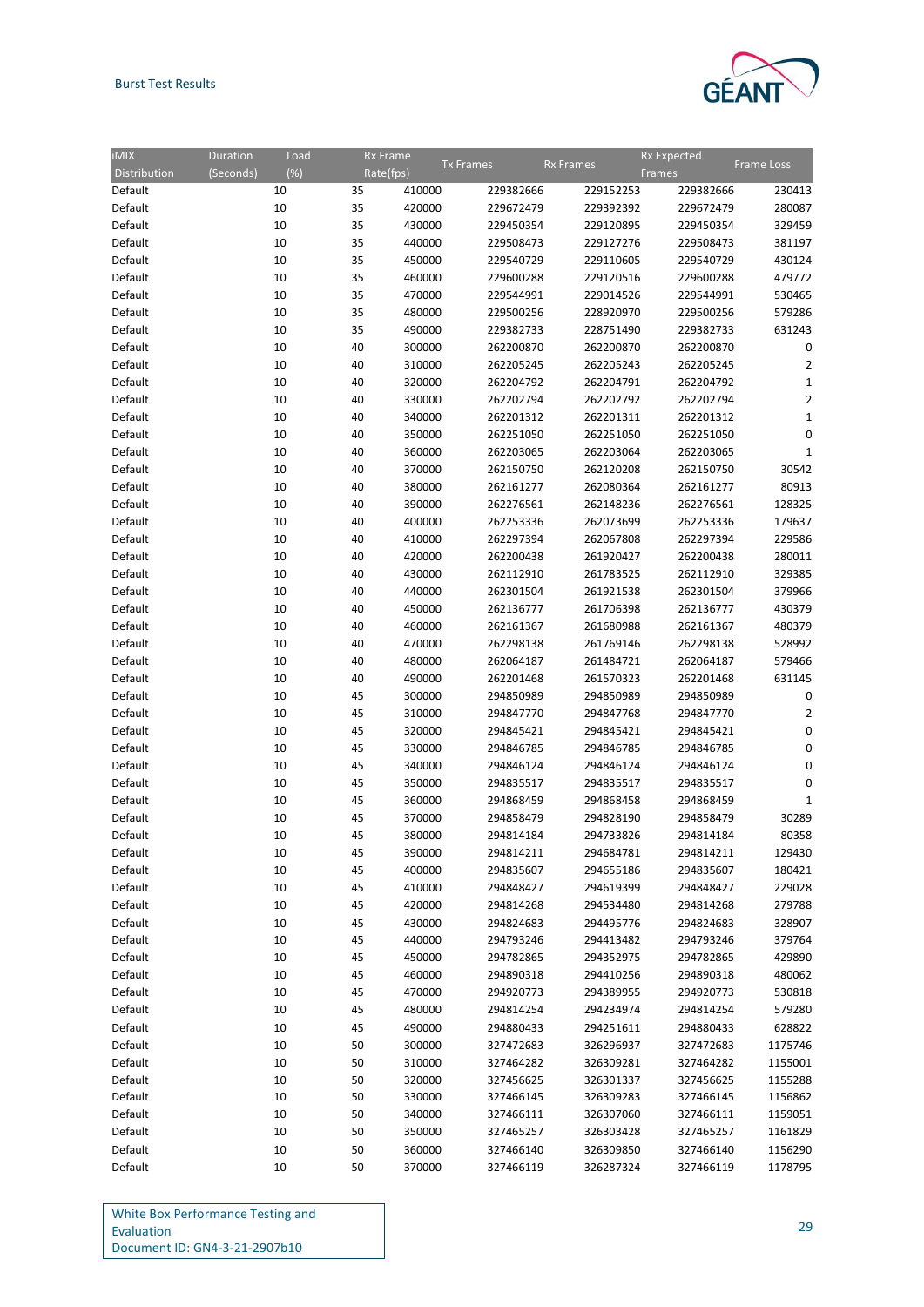### Burst Test Results



| IMIX         | Duration  | Load   | <b>Rx Frame</b> |                        |                  | <b>Rx Expected</b>     |                   |
|--------------|-----------|--------|-----------------|------------------------|------------------|------------------------|-------------------|
| Distribution | (Seconds) | $(\%)$ | Rate(fps)       | <b>Tx Frames</b>       | <b>Rx Frames</b> | Frames                 | <b>Frame Loss</b> |
| Default      | 10        | 35     | 410000          | 229382666              | 229152253        | 229382666              | 230413            |
| Default      | 10        | 35     | 420000          | 229672479              | 229392392        | 229672479              | 280087            |
| Default      | 10        | 35     | 430000          | 229450354              | 229120895        | 229450354              | 329459            |
| Default      | 10        | 35     | 440000          | 229508473              | 229127276        | 229508473              | 381197            |
| Default      | 10        | 35     | 450000          | 229540729              | 229110605        | 229540729              | 430124            |
| Default      | 10        | 35     | 460000          | 229600288              | 229120516        | 229600288              | 479772            |
| Default      | 10        | 35     | 470000          | 229544991              | 229014526        | 229544991              | 530465            |
| Default      | 10        | 35     | 480000          | 229500256              | 228920970        | 229500256              | 579286            |
|              |           |        | 490000          |                        |                  |                        | 631243            |
| Default      | 10        | 35     | 300000          | 229382733<br>262200870 | 228751490        | 229382733<br>262200870 |                   |
| Default      | 10        | 40     |                 |                        | 262200870        |                        | 0                 |
| Default      | 10        | 40     | 310000          | 262205245              | 262205243        | 262205245              | $\overline{2}$    |
| Default      | 10        | 40     | 320000          | 262204792              | 262204791        | 262204792              | $\mathbf{1}$      |
| Default      | 10        | 40     | 330000          | 262202794              | 262202792        | 262202794              | $\overline{2}$    |
| Default      | 10        | 40     | 340000          | 262201312              | 262201311        | 262201312              | $\mathbf{1}$      |
| Default      | 10        | 40     | 350000          | 262251050              | 262251050        | 262251050              | 0                 |
| Default      | 10        | 40     | 360000          | 262203065              | 262203064        | 262203065              | $\mathbf{1}$      |
| Default      | 10        | 40     | 370000          | 262150750              | 262120208        | 262150750              | 30542             |
| Default      | 10        | 40     | 380000          | 262161277              | 262080364        | 262161277              | 80913             |
| Default      | 10        | 40     | 390000          | 262276561              | 262148236        | 262276561              | 128325            |
| Default      | 10        | 40     | 400000          | 262253336              | 262073699        | 262253336              | 179637            |
| Default      | 10        | 40     | 410000          | 262297394              | 262067808        | 262297394              | 229586            |
| Default      | 10        | 40     | 420000          | 262200438              | 261920427        | 262200438              | 280011            |
| Default      | 10        | 40     | 430000          | 262112910              | 261783525        | 262112910              | 329385            |
| Default      | 10        | 40     | 440000          | 262301504              | 261921538        | 262301504              | 379966            |
| Default      | 10        | 40     | 450000          | 262136777              | 261706398        | 262136777              | 430379            |
| Default      | 10        | 40     | 460000          | 262161367              | 261680988        | 262161367              | 480379            |
| Default      | 10        | 40     | 470000          | 262298138              | 261769146        | 262298138              | 528992            |
| Default      | 10        | 40     | 480000          | 262064187              | 261484721        | 262064187              | 579466            |
| Default      | 10        | 40     | 490000          | 262201468              | 261570323        | 262201468              | 631145            |
| Default      | 10        | 45     | 300000          | 294850989              | 294850989        | 294850989              | 0                 |
| Default      | 10        | 45     | 310000          | 294847770              | 294847768        | 294847770              | $\overline{2}$    |
| Default      | 10        | 45     | 320000          | 294845421              | 294845421        | 294845421              | 0                 |
| Default      | 10        | 45     | 330000          | 294846785              | 294846785        | 294846785              | 0                 |
| Default      | 10        | 45     | 340000          | 294846124              | 294846124        | 294846124              | 0                 |
| Default      | 10        | 45     | 350000          | 294835517              | 294835517        | 294835517              | 0                 |
| Default      | 10        | 45     | 360000          | 294868459              | 294868458        | 294868459              | $\mathbf{1}$      |
| Default      | 10        | 45     | 370000          | 294858479              | 294828190        | 294858479              | 30289             |
| Default      | 10        | 45     | 380000          | 294814184              | 294733826        | 294814184              | 80358             |
| Default      | 10        | 45     | 390000          | 294814211              | 294684781        | 294814211              | 129430            |
| Default      | 10        | 45     | 400000          | 294835607              | 294655186        | 294835607              | 180421            |
| Default      | 10        | 45     | 410000          | 294848427              | 294619399        | 294848427              | 229028            |
| Default      | 10        | 45     | 420000          | 294814268              |                  |                        | 279788            |
|              |           |        |                 |                        | 294534480        | 294814268              |                   |
| Default      | 10        | 45     | 430000          | 294824683              | 294495776        | 294824683              | 328907            |
| Default      | 10        | 45     | 440000          | 294793246              | 294413482        | 294793246              | 379764            |
| Default      | 10        | 45     | 450000          | 294782865              | 294352975        | 294782865              | 429890            |
| Default      | 10        | 45     | 460000          | 294890318              | 294410256        | 294890318              | 480062            |
| Default      | 10        | 45     | 470000          | 294920773              | 294389955        | 294920773              | 530818            |
| Default      | 10        | 45     | 480000          | 294814254              | 294234974        | 294814254              | 579280            |
| Default      | 10        | 45     | 490000          | 294880433              | 294251611        | 294880433              | 628822            |
| Default      | 10        | 50     | 300000          | 327472683              | 326296937        | 327472683              | 1175746           |
| Default      | 10        | 50     | 310000          | 327464282              | 326309281        | 327464282              | 1155001           |
| Default      | 10        | 50     | 320000          | 327456625              | 326301337        | 327456625              | 1155288           |
| Default      | 10        | 50     | 330000          | 327466145              | 326309283        | 327466145              | 1156862           |
| Default      | 10        | 50     | 340000          | 327466111              | 326307060        | 327466111              | 1159051           |
| Default      | 10        | 50     | 350000          | 327465257              | 326303428        | 327465257              | 1161829           |
| Default      | 10        | 50     | 360000          | 327466140              | 326309850        | 327466140              | 1156290           |
| Default      | 10        | 50     | 370000          | 327466119              | 326287324        | 327466119              | 1178795           |

| White Box Performance Testing and |  |
|-----------------------------------|--|
| Evaluation                        |  |
| Document ID: GN4-3-21-2907b10     |  |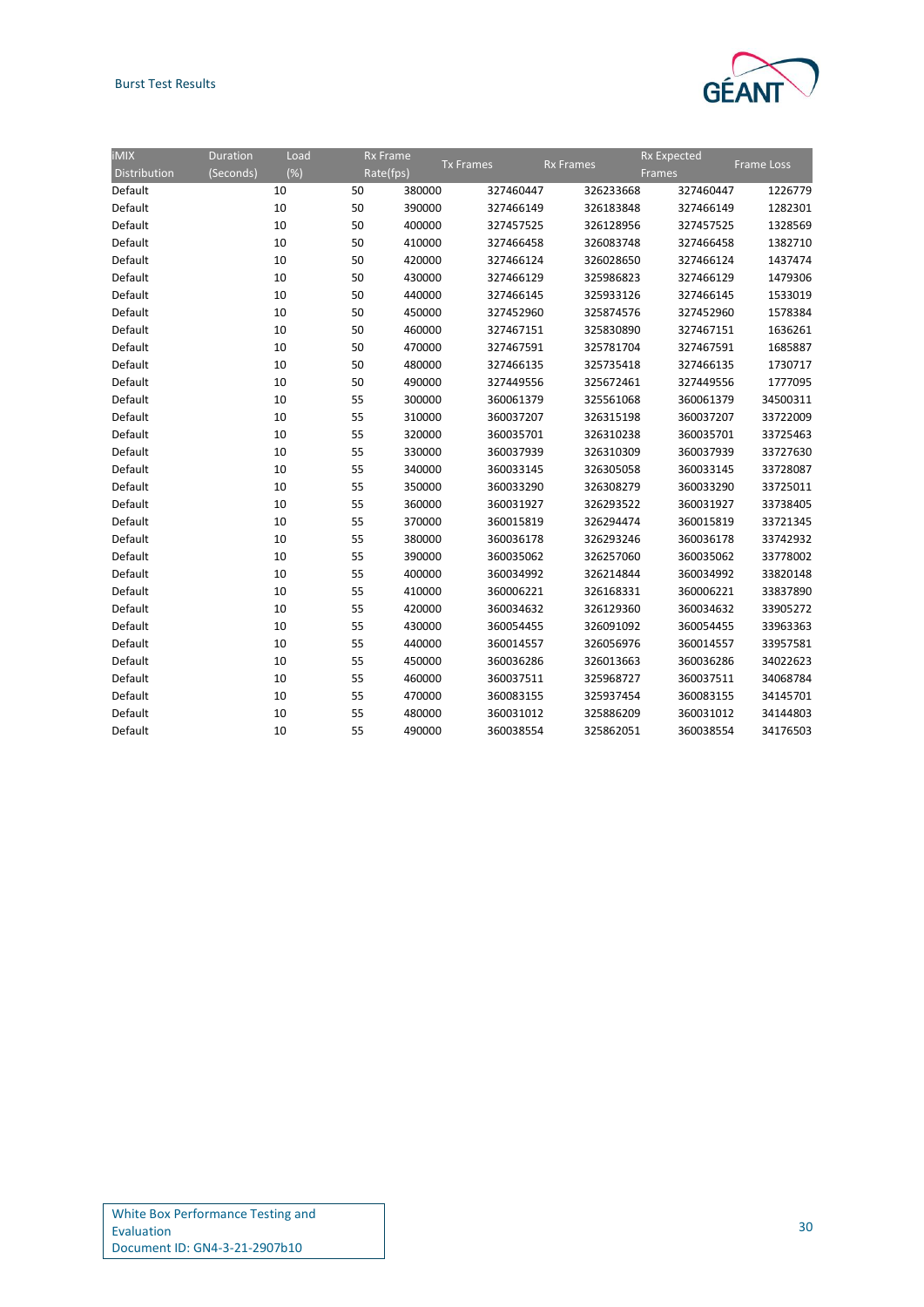### Burst Test Results



| IMIX         | <b>Duration</b> | Load   | <b>Rx Frame</b> |                  |                  |           | <b>Rx Expected</b> |                   |
|--------------|-----------------|--------|-----------------|------------------|------------------|-----------|--------------------|-------------------|
| Distribution | (Seconds)       | $(\%)$ | Rate(fps)       | <b>Tx Frames</b> | <b>Rx Frames</b> | Frames    |                    | <b>Frame Loss</b> |
| Default      |                 | 10     | 50              | 380000           | 327460447        | 326233668 | 327460447          | 1226779           |
| Default      |                 | 10     | 50              | 390000           | 327466149        | 326183848 | 327466149          | 1282301           |
| Default      |                 | 10     | 50              | 400000           | 327457525        | 326128956 | 327457525          | 1328569           |
| Default      |                 | 10     | 50              | 410000           | 327466458        | 326083748 | 327466458          | 1382710           |
| Default      |                 | 10     | 50              | 420000           | 327466124        | 326028650 | 327466124          | 1437474           |
| Default      |                 | 10     | 50              | 430000           | 327466129        | 325986823 | 327466129          | 1479306           |
| Default      |                 | 10     | 50              | 440000           | 327466145        | 325933126 | 327466145          | 1533019           |
| Default      |                 | 10     | 50              | 450000           | 327452960        | 325874576 | 327452960          | 1578384           |
| Default      |                 | 10     | 50              | 460000           | 327467151        | 325830890 | 327467151          | 1636261           |
| Default      |                 | 10     | 50              | 470000           | 327467591        | 325781704 | 327467591          | 1685887           |
| Default      |                 | 10     | 50              | 480000           | 327466135        | 325735418 | 327466135          | 1730717           |
| Default      |                 | 10     | 50              | 490000           | 327449556        | 325672461 | 327449556          | 1777095           |
| Default      |                 | 10     | 55              | 300000           | 360061379        | 325561068 | 360061379          | 34500311          |
| Default      |                 | 10     | 55              | 310000           | 360037207        | 326315198 | 360037207          | 33722009          |
| Default      |                 | 10     | 55              | 320000           | 360035701        | 326310238 | 360035701          | 33725463          |
| Default      |                 | 10     | 55              | 330000           | 360037939        | 326310309 | 360037939          | 33727630          |
| Default      |                 | 10     | 55              | 340000           | 360033145        | 326305058 | 360033145          | 33728087          |
| Default      |                 | 10     | 55              | 350000           | 360033290        | 326308279 | 360033290          | 33725011          |
| Default      |                 | 10     | 55              | 360000           | 360031927        | 326293522 | 360031927          | 33738405          |
| Default      |                 | 10     | 55              | 370000           | 360015819        | 326294474 | 360015819          | 33721345          |
| Default      |                 | 10     | 55              | 380000           | 360036178        | 326293246 | 360036178          | 33742932          |
| Default      |                 | 10     | 55              | 390000           | 360035062        | 326257060 | 360035062          | 33778002          |
| Default      |                 | 10     | 55              | 400000           | 360034992        | 326214844 | 360034992          | 33820148          |
| Default      |                 | 10     | 55              | 410000           | 360006221        | 326168331 | 360006221          | 33837890          |
| Default      |                 | 10     | 55              | 420000           | 360034632        | 326129360 | 360034632          | 33905272          |
| Default      |                 | 10     | 55              | 430000           | 360054455        | 326091092 | 360054455          | 33963363          |
| Default      |                 | 10     | 55              | 440000           | 360014557        | 326056976 | 360014557          | 33957581          |
| Default      |                 | 10     | 55              | 450000           | 360036286        | 326013663 | 360036286          | 34022623          |
| Default      |                 | 10     | 55              | 460000           | 360037511        | 325968727 | 360037511          | 34068784          |
| Default      |                 | 10     | 55              | 470000           | 360083155        | 325937454 | 360083155          | 34145701          |
| Default      |                 | 10     | 55              | 480000           | 360031012        | 325886209 | 360031012          | 34144803          |
| Default      |                 | 10     | 55              | 490000           | 360038554        | 325862051 | 360038554          | 34176503          |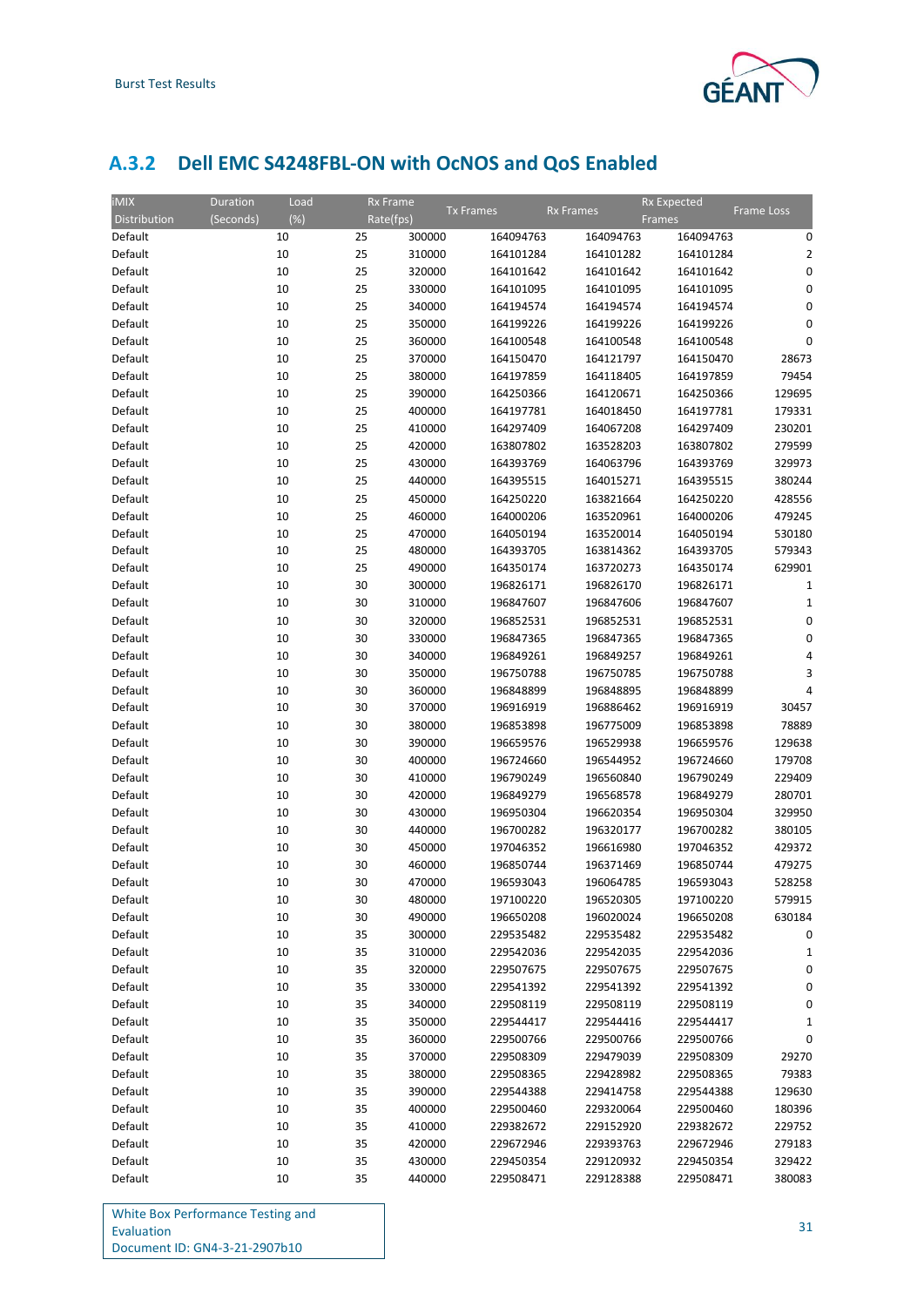

## <span id="page-33-0"></span>**A.3.2 Dell EMC S4248FBL-ON with OcNOS and QoS Enabled**

| <b>iMIX</b>  | Duration  | Load   | <b>Rx Frame</b> |                  |           |                  | <b>Rx Expected</b> |                |
|--------------|-----------|--------|-----------------|------------------|-----------|------------------|--------------------|----------------|
| Distribution | (Seconds) | $(\%)$ | Rate(fps)       | <b>Tx Frames</b> |           | <b>Rx Frames</b> | Frames             | Frame Loss     |
| Default      |           | 10     | 25              | 300000           | 164094763 | 164094763        | 164094763          | 0              |
| Default      |           | 10     | 25              | 310000           | 164101284 | 164101282        | 164101284          | $\overline{2}$ |
| Default      |           | 10     | 25              | 320000           | 164101642 | 164101642        | 164101642          | 0              |
| Default      |           | 10     | 25              | 330000           | 164101095 | 164101095        | 164101095          | 0              |
| Default      |           | 10     | 25              | 340000           | 164194574 | 164194574        | 164194574          | $\mathbf 0$    |
| Default      |           | 10     | 25              | 350000           | 164199226 | 164199226        | 164199226          | 0              |
| Default      |           | 10     | 25              | 360000           | 164100548 | 164100548        | 164100548          | $\mathbf 0$    |
| Default      |           | 10     | 25              | 370000           | 164150470 | 164121797        | 164150470          | 28673          |
| Default      |           | 10     | 25              | 380000           | 164197859 | 164118405        | 164197859          | 79454          |
| Default      |           | 10     | 25              | 390000           | 164250366 | 164120671        | 164250366          | 129695         |
| Default      |           | 10     | 25              | 400000           | 164197781 | 164018450        | 164197781          | 179331         |
| Default      |           | 10     | 25              | 410000           | 164297409 | 164067208        | 164297409          | 230201         |
| Default      |           | 10     | 25              | 420000           | 163807802 | 163528203        | 163807802          | 279599         |
| Default      |           | 10     | 25              | 430000           | 164393769 | 164063796        | 164393769          | 329973         |
| Default      |           | 10     | 25              | 440000           | 164395515 | 164015271        | 164395515          | 380244         |
| Default      |           | 10     | 25              | 450000           | 164250220 | 163821664        | 164250220          | 428556         |
| Default      |           | 10     | 25              | 460000           | 164000206 | 163520961        | 164000206          | 479245         |
| Default      |           | 10     | 25              | 470000           | 164050194 | 163520014        | 164050194          | 530180         |
| Default      |           | 10     | 25              | 480000           | 164393705 | 163814362        | 164393705          | 579343         |
| Default      |           | 10     | 25              | 490000           | 164350174 | 163720273        | 164350174          | 629901         |
| Default      |           | 10     | 30              | 300000           | 196826171 | 196826170        | 196826171          | $\mathbf{1}$   |
| Default      |           | 10     | 30              | 310000           | 196847607 | 196847606        | 196847607          | $\mathbf{1}$   |
| Default      |           | 10     | 30              | 320000           | 196852531 | 196852531        | 196852531          | 0              |
| Default      |           | 10     | 30              | 330000           | 196847365 | 196847365        | 196847365          | 0              |
| Default      |           | 10     | 30              | 340000           | 196849261 | 196849257        | 196849261          | 4              |
| Default      |           | 10     | 30              | 350000           | 196750788 | 196750785        | 196750788          | 3              |
| Default      |           | 10     | 30              | 360000           | 196848899 | 196848895        | 196848899          | 4              |
| Default      |           | 10     | 30              | 370000           | 196916919 | 196886462        | 196916919          | 30457          |
| Default      |           | 10     | 30              | 380000           | 196853898 | 196775009        | 196853898          | 78889          |
| Default      |           | 10     | 30              | 390000           | 196659576 | 196529938        | 196659576          | 129638         |
| Default      |           | 10     | 30              | 400000           | 196724660 | 196544952        | 196724660          | 179708         |
| Default      |           | 10     | 30              | 410000           | 196790249 | 196560840        | 196790249          | 229409         |
| Default      |           | 10     | 30              | 420000           | 196849279 | 196568578        | 196849279          | 280701         |
| Default      |           | 10     | 30              | 430000           | 196950304 | 196620354        | 196950304          | 329950         |
| Default      |           | 10     | 30              | 440000           | 196700282 | 196320177        | 196700282          | 380105         |
| Default      |           | 10     | 30              | 450000           | 197046352 | 196616980        | 197046352          | 429372         |
| Default      |           | 10     | 30              | 460000           | 196850744 | 196371469        | 196850744          | 479275         |
| Default      |           | 10     | 30              | 470000           | 196593043 | 196064785        | 196593043          | 528258         |
| Default      |           | 10     | 30              | 480000           | 197100220 | 196520305        | 197100220          | 579915         |
| Default      |           | 10     | 30              | 490000           | 196650208 | 196020024        | 196650208          | 630184         |
| Default      |           | 10     | 35              | 300000           | 229535482 | 229535482        | 229535482          | 0              |
| Default      |           | 10     | 35              | 310000           | 229542036 | 229542035        | 229542036          | 1              |
| Default      |           | 10     | 35              | 320000           | 229507675 | 229507675        | 229507675          | 0              |
| Default      |           | 10     | 35              | 330000           | 229541392 | 229541392        | 229541392          | 0              |
| Default      |           | 10     | 35              | 340000           | 229508119 | 229508119        | 229508119          | 0              |
| Default      |           | 10     | 35              | 350000           | 229544417 | 229544416        | 229544417          | 1              |
| Default      |           | 10     | 35              | 360000           | 229500766 | 229500766        | 229500766          | 0              |
| Default      |           | 10     | 35              | 370000           | 229508309 | 229479039        | 229508309          | 29270          |
| Default      |           | 10     | 35              | 380000           | 229508365 | 229428982        | 229508365          | 79383          |
| Default      |           | 10     | 35              | 390000           | 229544388 | 229414758        | 229544388          | 129630         |
| Default      |           | 10     | 35              | 400000           | 229500460 | 229320064        | 229500460          | 180396         |
| Default      |           | 10     | 35              | 410000           | 229382672 | 229152920        | 229382672          | 229752         |
| Default      |           | 10     | 35              | 420000           | 229672946 | 229393763        | 229672946          | 279183         |
| Default      |           | 10     | 35              | 430000           | 229450354 | 229120932        | 229450354          | 329422         |
| Default      |           | 10     | 35              | 440000           | 229508471 | 229128388        | 229508471          | 380083         |
|              |           |        |                 |                  |           |                  |                    |                |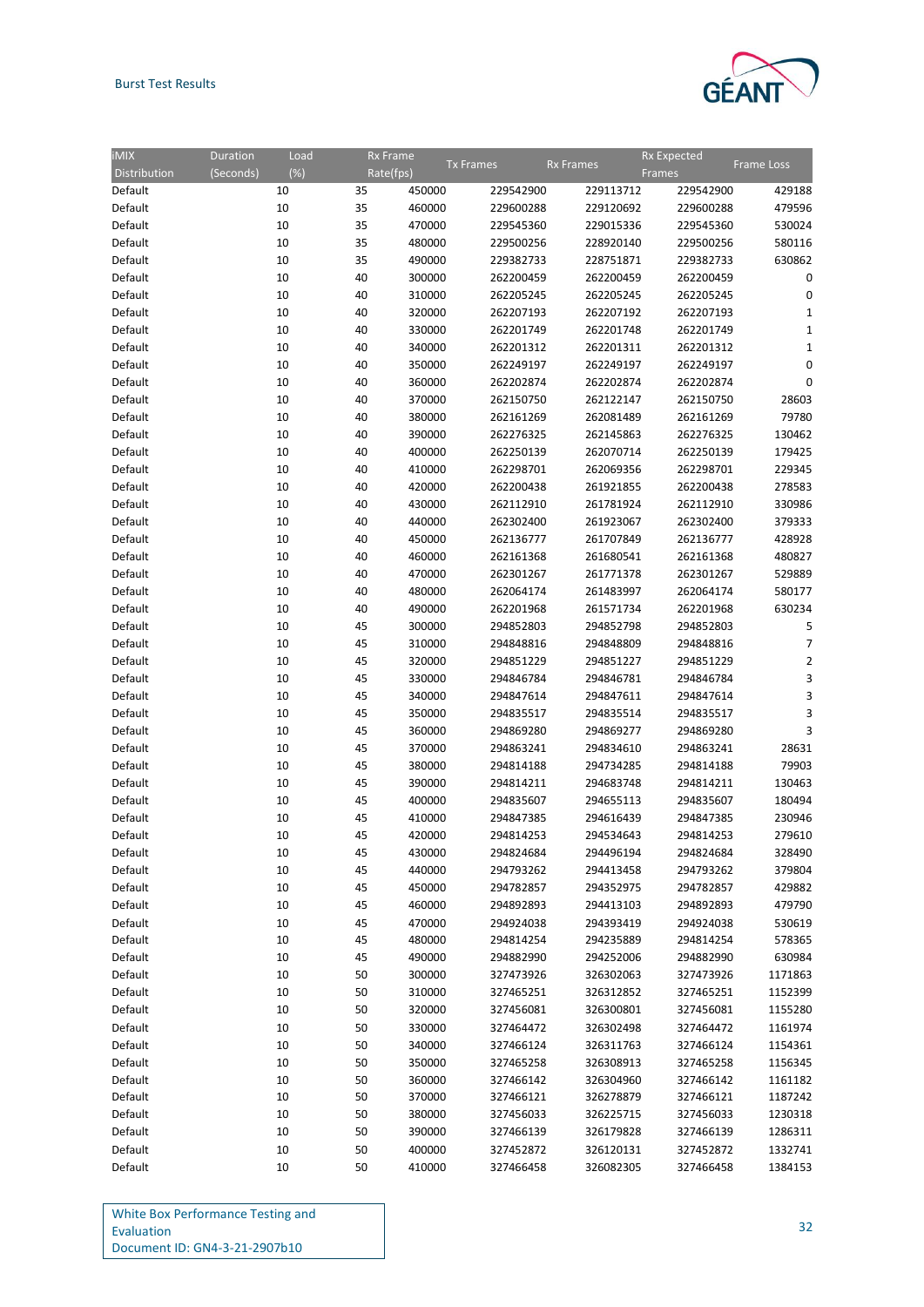### Burst Test Results



| $\overline{\text{IMIX}}$ | Duration<br>Load    |    | <b>Rx Frame</b> |                  |           | <b>Rx Expected</b> |                |
|--------------------------|---------------------|----|-----------------|------------------|-----------|--------------------|----------------|
| Distribution             | $(\%)$<br>(Seconds) |    | Rate(fps)       | <b>Tx</b> Frames | Rx Frames | Frames             | Frame Loss     |
| Default                  | 10                  | 35 | 450000          | 229542900        | 229113712 | 229542900          | 429188         |
| Default                  | 10                  | 35 | 460000          | 229600288        | 229120692 | 229600288          | 479596         |
| Default                  | 10                  | 35 | 470000          | 229545360        | 229015336 | 229545360          | 530024         |
|                          |                     |    |                 |                  |           |                    |                |
| Default                  | 10                  | 35 | 480000          | 229500256        | 228920140 | 229500256          | 580116         |
| Default                  | 10                  | 35 | 490000          | 229382733        | 228751871 | 229382733          | 630862         |
| Default                  | 10                  | 40 | 300000          | 262200459        | 262200459 | 262200459          | 0              |
| Default                  | 10                  | 40 | 310000          | 262205245        | 262205245 | 262205245          | 0              |
| Default                  | 10                  | 40 | 320000          | 262207193        | 262207192 | 262207193          | 1              |
| Default                  | 10                  | 40 | 330000          | 262201749        | 262201748 | 262201749          | 1              |
| Default                  | 10                  | 40 | 340000          | 262201312        | 262201311 | 262201312          | 1              |
| Default                  | 10                  | 40 | 350000          | 262249197        | 262249197 | 262249197          | 0              |
| Default                  | 10                  | 40 | 360000          | 262202874        | 262202874 | 262202874          | 0              |
| Default                  | 10                  | 40 | 370000          | 262150750        | 262122147 | 262150750          | 28603          |
| Default                  | 10                  | 40 | 380000          | 262161269        | 262081489 | 262161269          | 79780          |
| Default                  | 10                  | 40 | 390000          | 262276325        | 262145863 | 262276325          | 130462         |
| Default                  | 10                  | 40 | 400000          | 262250139        | 262070714 | 262250139          | 179425         |
| Default                  | 10                  | 40 | 410000          | 262298701        | 262069356 | 262298701          | 229345         |
| Default                  | 10                  | 40 | 420000          | 262200438        | 261921855 | 262200438          | 278583         |
| Default                  | 10                  | 40 | 430000          | 262112910        | 261781924 | 262112910          | 330986         |
| Default                  | 10                  | 40 | 440000          | 262302400        | 261923067 | 262302400          | 379333         |
| Default                  | 10                  | 40 | 450000          | 262136777        | 261707849 | 262136777          | 428928         |
| Default                  | 10                  | 40 | 460000          | 262161368        | 261680541 | 262161368          | 480827         |
| Default                  | 10                  | 40 | 470000          | 262301267        | 261771378 | 262301267          | 529889         |
| Default                  | 10                  | 40 | 480000          | 262064174        | 261483997 | 262064174          | 580177         |
| Default                  | 10                  | 40 | 490000          | 262201968        | 261571734 | 262201968          | 630234         |
|                          |                     |    |                 |                  |           |                    |                |
| Default                  | 10                  | 45 | 300000          | 294852803        | 294852798 | 294852803          | 5              |
| Default                  | 10                  | 45 | 310000          | 294848816        | 294848809 | 294848816          | 7              |
| Default                  | 10                  | 45 | 320000          | 294851229        | 294851227 | 294851229          | $\overline{2}$ |
| Default                  | 10                  | 45 | 330000          | 294846784        | 294846781 | 294846784          | 3              |
| Default                  | 10                  | 45 | 340000          | 294847614        | 294847611 | 294847614          | 3              |
| Default                  | 10                  | 45 | 350000          | 294835517        | 294835514 | 294835517          | 3              |
| Default                  | 10                  | 45 | 360000          | 294869280        | 294869277 | 294869280          | 3              |
| Default                  | 10                  | 45 | 370000          | 294863241        | 294834610 | 294863241          | 28631          |
| Default                  | 10                  | 45 | 380000          | 294814188        | 294734285 | 294814188          | 79903          |
| Default                  | 10                  | 45 | 390000          | 294814211        | 294683748 | 294814211          | 130463         |
| Default                  | 10                  | 45 | 400000          | 294835607        | 294655113 | 294835607          | 180494         |
| Default                  | 10                  | 45 | 410000          | 294847385        | 294616439 | 294847385          | 230946         |
| Default                  | 10                  | 45 | 420000          | 294814253        | 294534643 | 294814253          | 279610         |
| Default                  | 10                  | 45 | 430000          | 294824684        | 294496194 | 294824684          | 328490         |
| Default                  | 10                  | 45 | 440000          | 294793262        | 294413458 | 294793262          | 379804         |
| Default                  | 10                  | 45 | 450000          | 294782857        | 294352975 | 294782857          | 429882         |
| Default                  | 10                  | 45 | 460000          | 294892893        | 294413103 | 294892893          | 479790         |
| Default                  | 10                  | 45 | 470000          | 294924038        | 294393419 | 294924038          | 530619         |
| Default                  | 10                  | 45 | 480000          | 294814254        | 294235889 | 294814254          | 578365         |
| Default                  | 10                  | 45 | 490000          | 294882990        | 294252006 | 294882990          | 630984         |
| Default                  | 10                  | 50 | 300000          | 327473926        | 326302063 | 327473926          | 1171863        |
| Default                  | 10                  | 50 | 310000          | 327465251        | 326312852 | 327465251          | 1152399        |
| Default                  | 10                  | 50 | 320000          | 327456081        | 326300801 | 327456081          | 1155280        |
| Default                  | 10                  | 50 | 330000          | 327464472        | 326302498 | 327464472          | 1161974        |
| Default                  | 10                  | 50 | 340000          | 327466124        | 326311763 | 327466124          | 1154361        |
| Default                  | 10                  | 50 | 350000          | 327465258        | 326308913 | 327465258          | 1156345        |
| Default                  |                     | 50 | 360000          |                  |           |                    | 1161182        |
|                          | 10                  |    |                 | 327466142        | 326304960 | 327466142          |                |
| Default                  | 10                  | 50 | 370000          | 327466121        | 326278879 | 327466121          | 1187242        |
| Default                  | 10                  | 50 | 380000          | 327456033        | 326225715 | 327456033          | 1230318        |
| Default                  | 10                  | 50 | 390000          | 327466139        | 326179828 | 327466139          | 1286311        |
| Default                  | 10                  | 50 | 400000          | 327452872        | 326120131 | 327452872          | 1332741        |
| Default                  | 10                  | 50 | 410000          | 327466458        | 326082305 | 327466458          | 1384153        |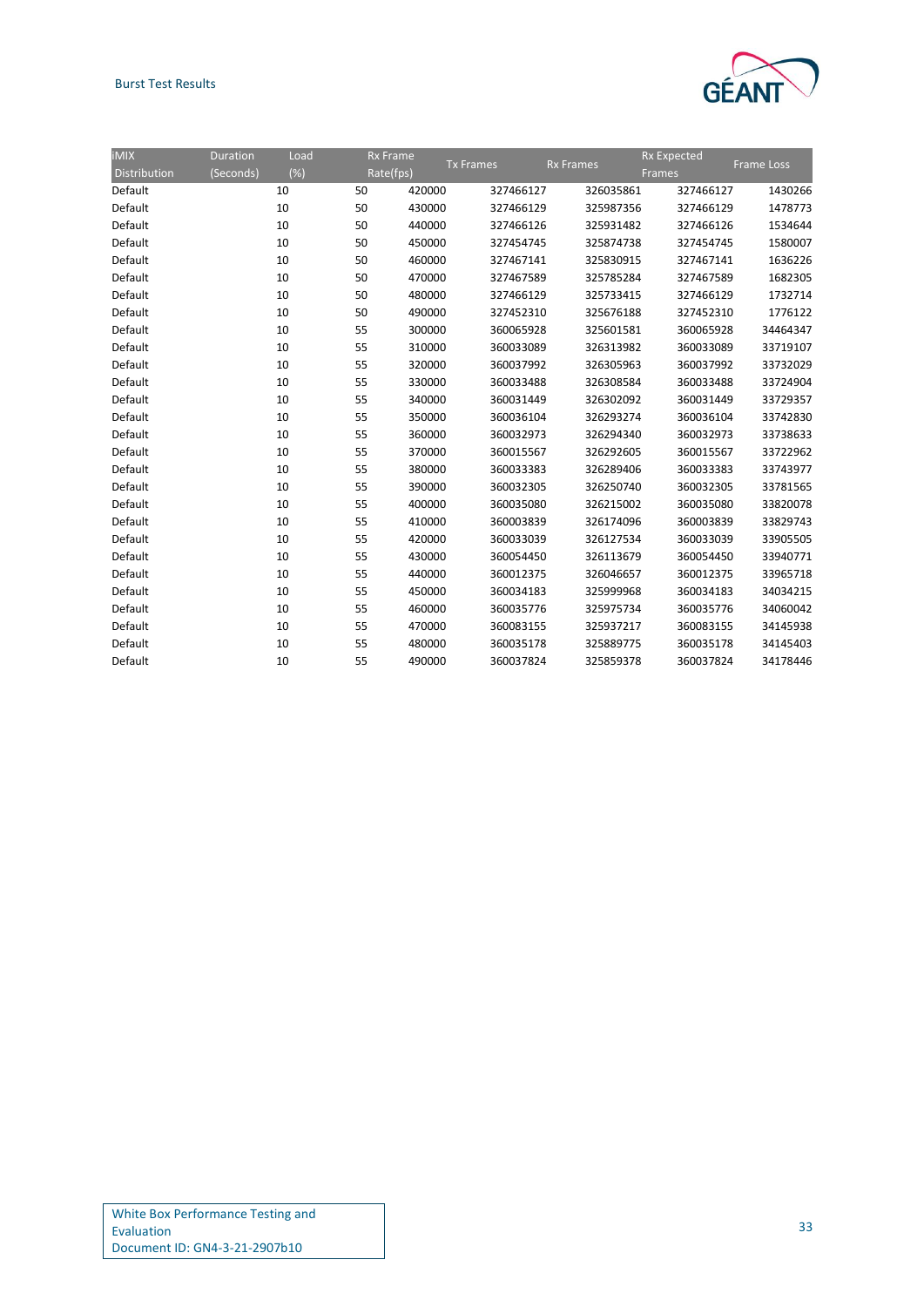### Burst Test Results



| <b>iMIX</b>  | <b>Duration</b> | Load | <b>Rx Frame</b> |                  |                  |           | <b>Rx Expected</b> |                   |
|--------------|-----------------|------|-----------------|------------------|------------------|-----------|--------------------|-------------------|
| Distribution | (Seconds)       | (%)  | Rate(fps)       | <b>Tx Frames</b> | <b>Rx Frames</b> | Frames    |                    | <b>Frame Loss</b> |
| Default      |                 | 10   | 50              | 420000           | 327466127        | 326035861 | 327466127          | 1430266           |
| Default      |                 | 10   | 50              | 430000           | 327466129        | 325987356 | 327466129          | 1478773           |
| Default      |                 | 10   | 50              | 440000           | 327466126        | 325931482 | 327466126          | 1534644           |
| Default      |                 | 10   | 50              | 450000           | 327454745        | 325874738 | 327454745          | 1580007           |
| Default      |                 | 10   | 50              | 460000           | 327467141        | 325830915 | 327467141          | 1636226           |
| Default      |                 | 10   | 50              | 470000           | 327467589        | 325785284 | 327467589          | 1682305           |
| Default      |                 | 10   | 50              | 480000           | 327466129        | 325733415 | 327466129          | 1732714           |
| Default      |                 | 10   | 50              | 490000           | 327452310        | 325676188 | 327452310          | 1776122           |
| Default      |                 | 10   | 55              | 300000           | 360065928        | 325601581 | 360065928          | 34464347          |
| Default      |                 | 10   | 55              | 310000           | 360033089        | 326313982 | 360033089          | 33719107          |
| Default      |                 | 10   | 55              | 320000           | 360037992        | 326305963 | 360037992          | 33732029          |
| Default      |                 | 10   | 55              | 330000           | 360033488        | 326308584 | 360033488          | 33724904          |
| Default      |                 | 10   | 55              | 340000           | 360031449        | 326302092 | 360031449          | 33729357          |
| Default      |                 | 10   | 55              | 350000           | 360036104        | 326293274 | 360036104          | 33742830          |
| Default      |                 | 10   | 55              | 360000           | 360032973        | 326294340 | 360032973          | 33738633          |
| Default      |                 | 10   | 55              | 370000           | 360015567        | 326292605 | 360015567          | 33722962          |
| Default      |                 | 10   | 55              | 380000           | 360033383        | 326289406 | 360033383          | 33743977          |
| Default      |                 | 10   | 55              | 390000           | 360032305        | 326250740 | 360032305          | 33781565          |
| Default      |                 | 10   | 55              | 400000           | 360035080        | 326215002 | 360035080          | 33820078          |
| Default      |                 | 10   | 55              | 410000           | 360003839        | 326174096 | 360003839          | 33829743          |
| Default      |                 | 10   | 55              | 420000           | 360033039        | 326127534 | 360033039          | 33905505          |
| Default      |                 | 10   | 55              | 430000           | 360054450        | 326113679 | 360054450          | 33940771          |
| Default      |                 | 10   | 55              | 440000           | 360012375        | 326046657 | 360012375          | 33965718          |
| Default      |                 | 10   | 55              | 450000           | 360034183        | 325999968 | 360034183          | 34034215          |
| Default      |                 | 10   | 55              | 460000           | 360035776        | 325975734 | 360035776          | 34060042          |
| Default      |                 | 10   | 55              | 470000           | 360083155        | 325937217 | 360083155          | 34145938          |
| Default      |                 | 10   | 55              | 480000           | 360035178        | 325889775 | 360035178          | 34145403          |
| Default      |                 | 10   | 55              | 490000           | 360037824        | 325859378 | 360037824          | 34178446          |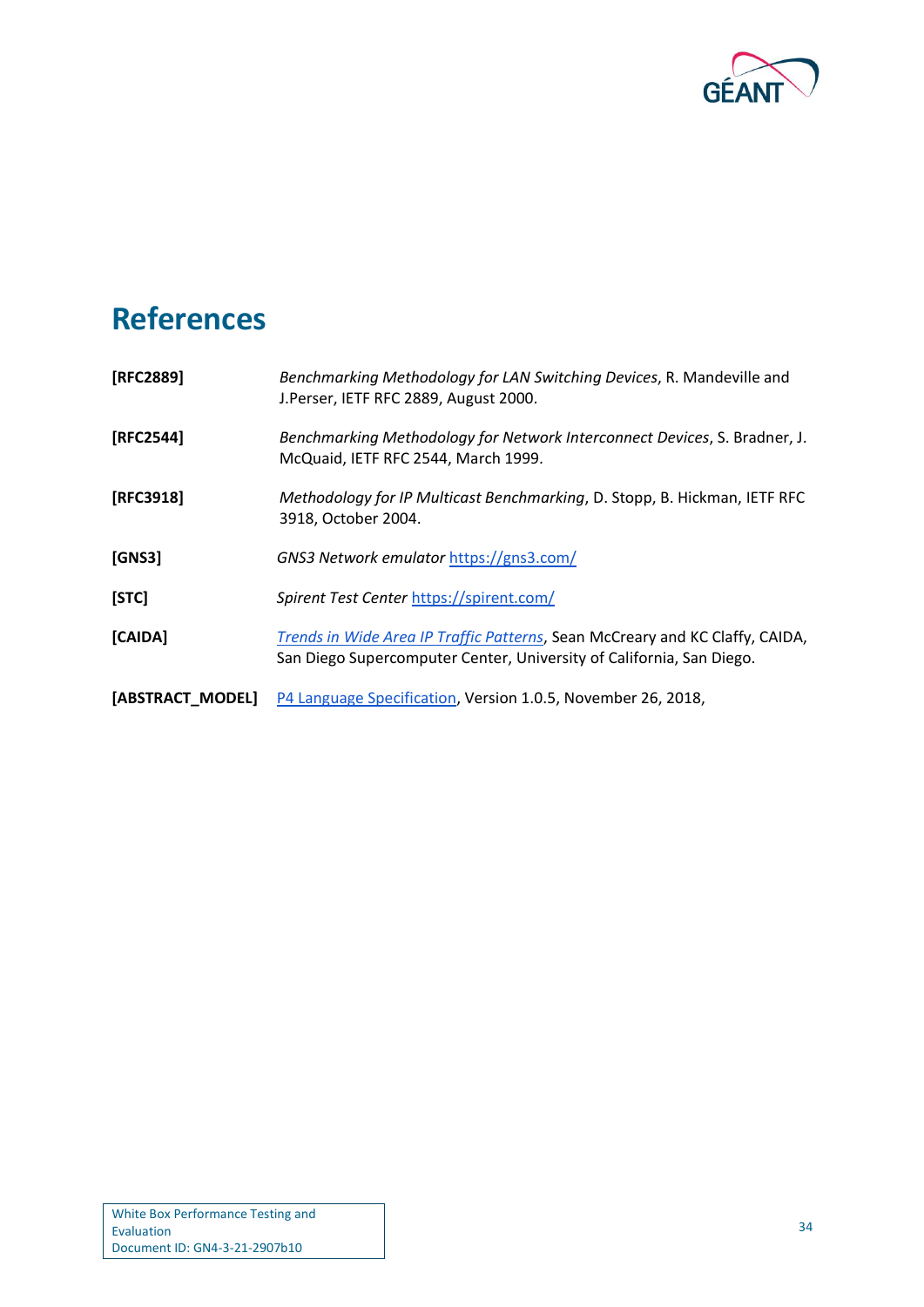

# <span id="page-36-0"></span>**References**

<span id="page-36-5"></span><span id="page-36-4"></span><span id="page-36-3"></span><span id="page-36-2"></span><span id="page-36-1"></span>

| [RFC2889]        | Benchmarking Methodology for LAN Switching Devices, R. Mandeville and<br>J.Perser, IETF RFC 2889, August 2000.                                       |
|------------------|------------------------------------------------------------------------------------------------------------------------------------------------------|
| [RFC2544]        | Benchmarking Methodology for Network Interconnect Devices, S. Bradner, J.<br>McQuaid, IETF RFC 2544, March 1999.                                     |
| [RFC3918]        | Methodology for IP Multicast Benchmarking, D. Stopp, B. Hickman, IETF RFC<br>3918, October 2004.                                                     |
| [GNS3]           | GNS3 Network emulator https://gns3.com/                                                                                                              |
| [STC]            | Spirent Test Center https://spirent.com/                                                                                                             |
| [CAIDA]          | Trends in Wide Area IP Traffic Patterns, Sean McCreary and KC Claffy, CAIDA,<br>San Diego Supercomputer Center, University of California, San Diego. |
| [ABSTRACT MODEL] | P4 Language Specification, Version 1.0.5, November 26, 2018,                                                                                         |